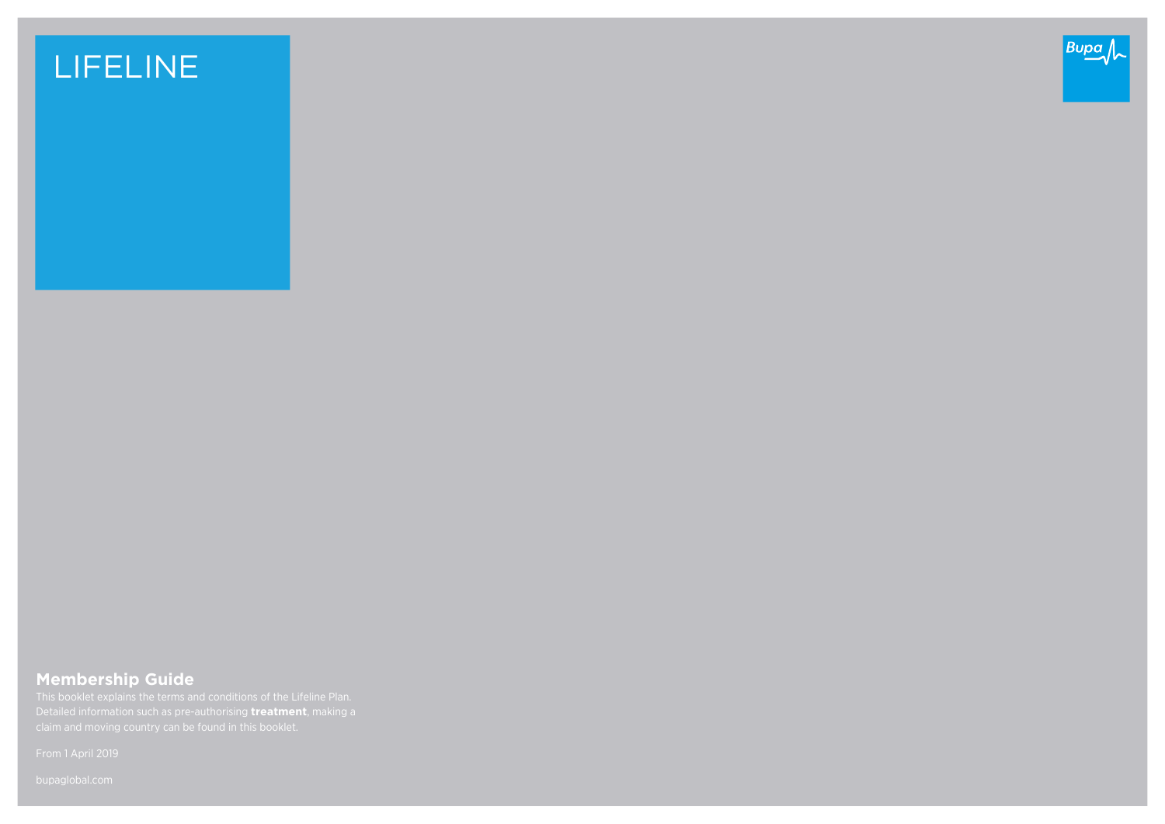# LIFELINE



## **Membership Guide**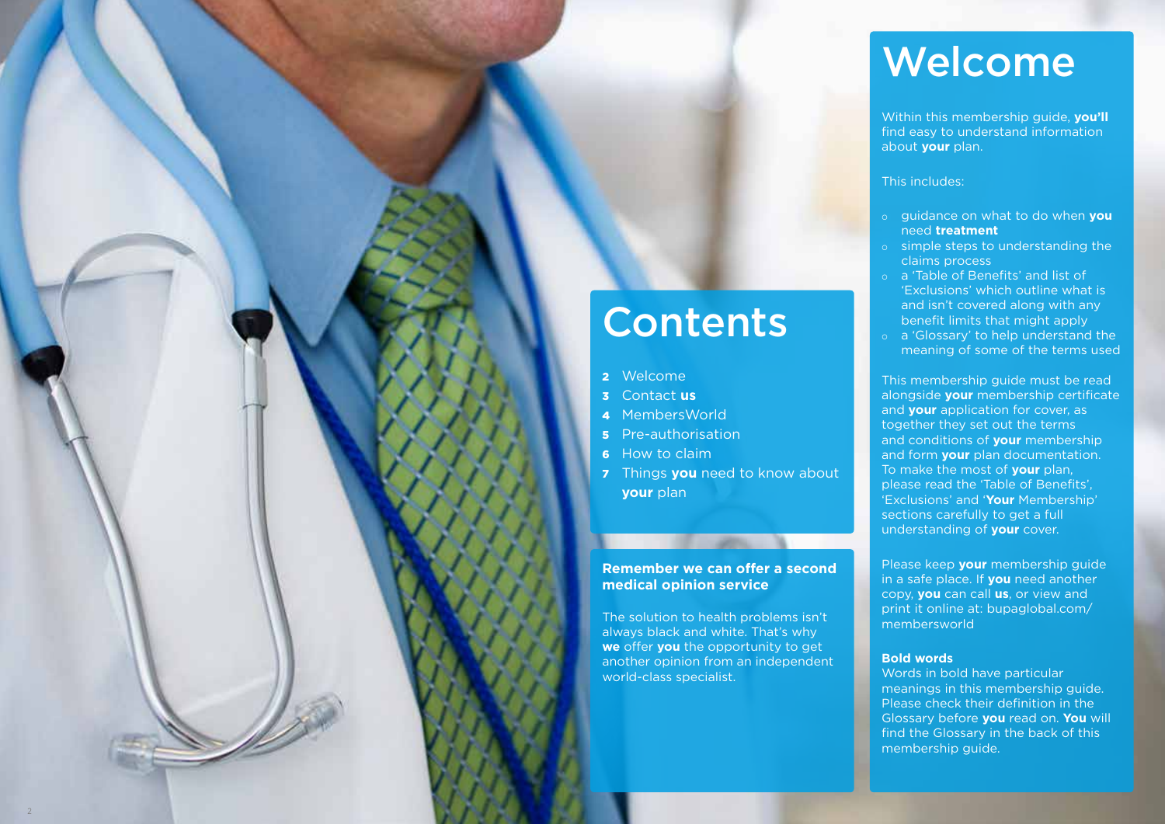# Welcome

Within this membership guide, **you'll** find easy to understand information about **your** plan.

### This includes:

- ¡ guidance on what to do when **you** need **treatment**
- o simple steps to understanding the claims process
- o a 'Table of Benefits' and list of 'Exclusions' which outline what is and isn't covered along with any benefit limits that might apply
- ¡ a 'Glossary' to help understand the meaning of some of the terms used

This membership guide must be read alongside **your** membership certificate and **your** application for cover, as together they set out the terms and conditions of **your** membership and form **your** plan documentation. To make the most of **your** plan, please read the 'Table of Benefits', 'Exclusions' and '**Your** Membership' sections carefully to get a full understanding of **your** cover.

Please keep **your** membership guide in a safe place. If **you** need another copy, **you** can call **us**, or view and print it online at: bupaglobal.com/ membersworld

### **Bold words**

Words in bold have particular meanings in this membership guide. Please check their definition in the Glossary before **you** read on. **You** will find the Glossary in the back of this membership guide.

# **Contents**

- 2 Welcome
- 3 Contact **us**
- 4 MembersWorld
- 5 Pre-authorisation
- 6 How to claim
- **7** Things you need to know about **your** plan

### **Remember we can offer a second medical opinion service**

**CONTRACTOR** 

The solution to health problems isn't always black and white. That's why **we** offer **you** the opportunity to get another opinion from an independent world-class specialist.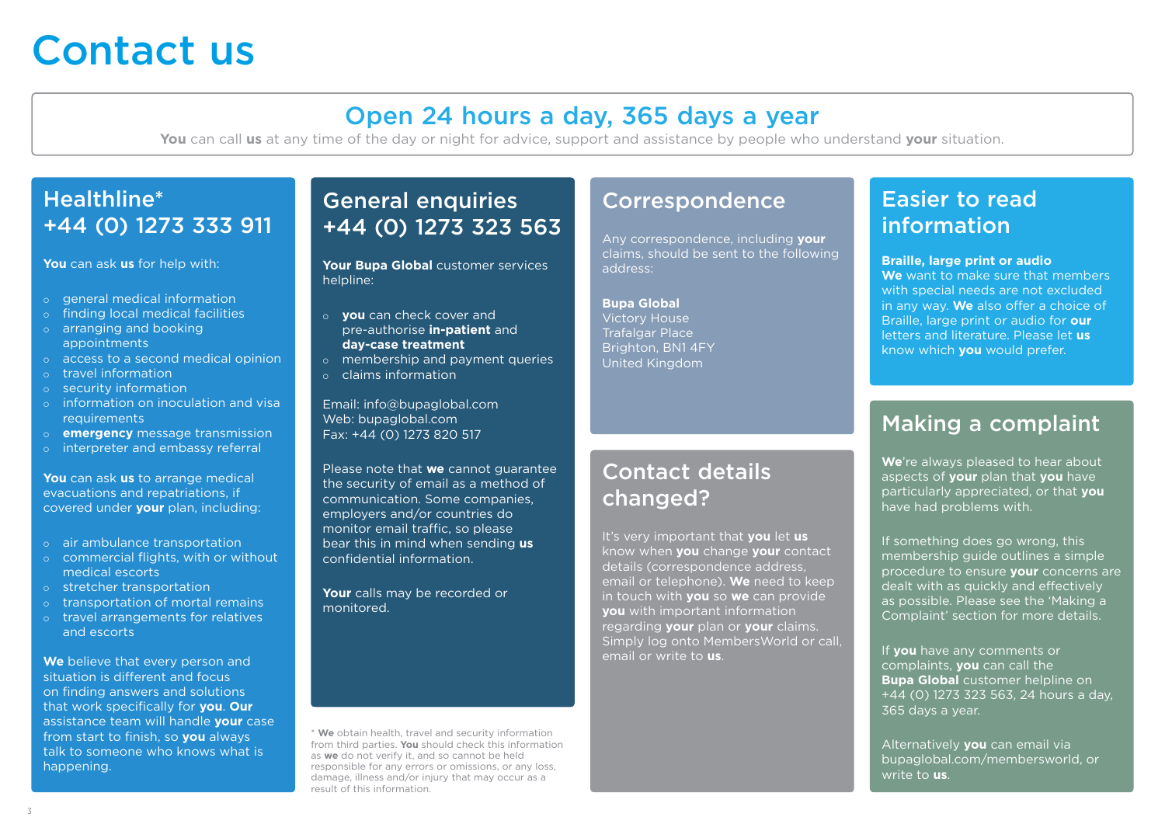# Contact us

## Open 24 hours a day, 365 days a year

**You** can call **us** at any time of the day or night for advice, support and assistance by people who understand **your** situation.

## Healthline\* +44 (0) 1273 333 911

**You** can ask **us** for help with:

- o general medical information
- o finding local medical facilities
- o arranging and booking appointments
- $\circ$  access to a second medical opinion
- o travel information
- o security information
- o information on inoculation and visa requirements
- ¡ **emergency** message transmission
- o interpreter and embassy referral

**You** can ask **us** to arrange medical evacuations and repatriations, if covered under **your** plan, including:

- o air ambulance transportation
- o commercial flights, with or without medical escorts
- ¡ stretcher transportation
- o transportation of mortal remains
- o travel arrangements for relatives and escorts

**We** believe that every person and situation is different and focus on finding answers and solutions that work specifically for **you**. **Our** assistance team will handle **your** case from start to finish, so **you** always talk to someone who knows what is happening.

## General enquiries +44 (0) 1273 323 563

**Your Bupa Global** customer services helpline:

- ¡ **you** can check cover and pre-authorise **in-patient** and **day-case treatment**
- o membership and payment queries
- ¡ claims information

Email: info@bupaglobal.com Web: bupaglobal.com Fax: +44 (0) 1273 820 517

Please note that **we** cannot guarantee the security of email as a method of communication. Some companies, employers and/or countries do monitor email traffic, so please bear this in mind when sending **us** confidential information.

**Your** calls may be recorded or monitored.

\* **We** obtain health, travel and security information from third parties. **You** should check this information as **we** do not verify it, and so cannot be held responsible for any errors or omissions, or any loss, damage, illness and/or injury that may occur as a result of this information.

## Correspondence

Any correspondence, including **your** claims, should be sent to the following address:

**Bupa Global** Victory House Trafalgar Place Brighton, BN1 4FY United Kingdom

## Contact details changed?

It's very important that **you** let **us** know when **you** change **your** contact details (correspondence address, email or telephone). **We** need to keep in touch with **you** so **we** can provide **you** with important information regarding **your** plan or **your** claims. Simply log onto MembersWorld or call, email or write to **us**.

## Easier to read information

### **Braille, large print or audio**

**We** want to make sure that members with special needs are not excluded in any way. **We** also offer a choice of Braille, large print or audio for **our** letters and literature. Please let **us** know which **you** would prefer.

## Making a complaint

**We**'re always pleased to hear about aspects of **your** plan that **you** have particularly appreciated, or that **you** have had problems with.

If something does go wrong, this membership guide outlines a simple procedure to ensure **your** concerns are dealt with as quickly and effectively as possible. Please see the 'Making a Complaint' section for more details.

If **you** have any comments or complaints, **you** can call the **Bupa Global** customer helpline on +44 (0) 1273 323 563, 24 hours a day, 365 days a year.

Alternatively **you** can email via bupaglobal.com/membersworld, or write to **us**.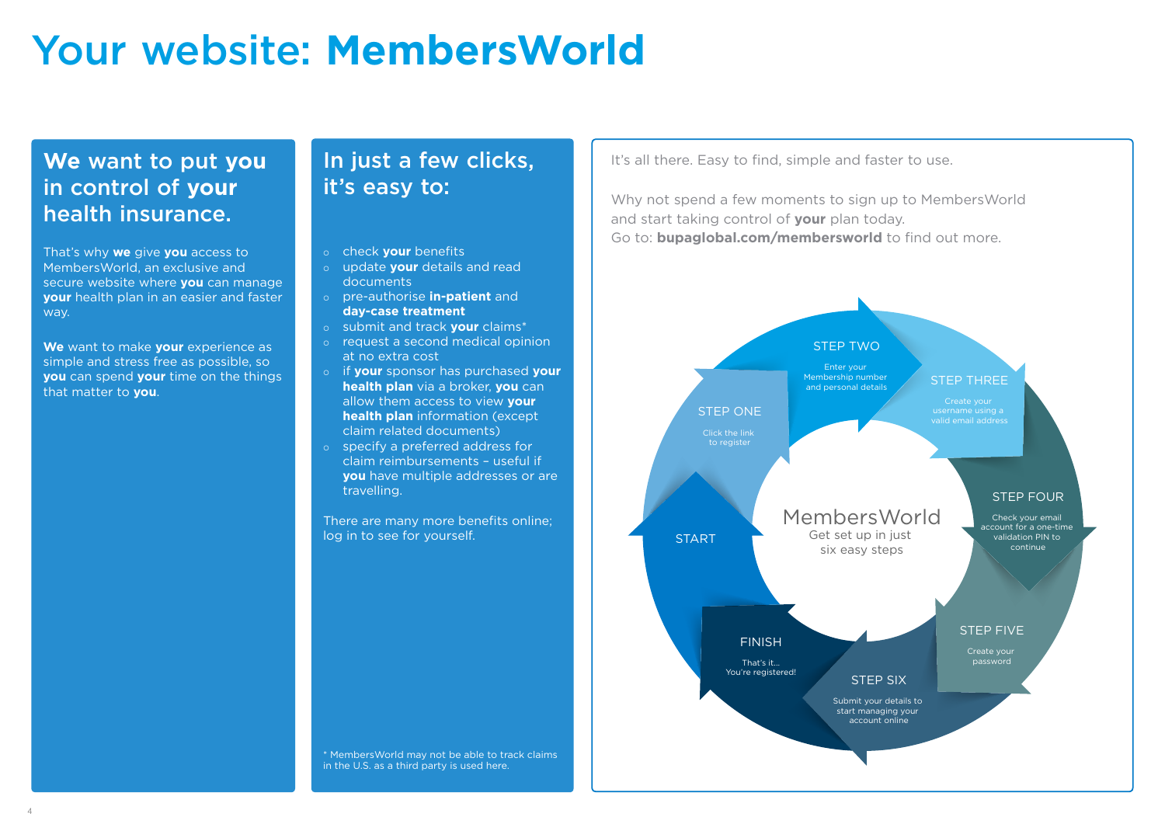# Your website: **MembersWorld**

## **We** want to put **you** in control of **your** health insurance.

That's why **we** give **you** access to MembersWorld, an exclusive and secure website where **you** can manage **your** health plan in an easier and faster way.

**We** want to make **your** experience as simple and stress free as possible, so **you** can spend **your** time on the things that matter to **you**.

## In just a few clicks, it's easy to:

- ¡ check **your** benefits
- ¡ update **your** details and read documents
- ¡ pre-authorise **in-patient** and **day-case treatment**
- ¡ submit and track **your** claims\*
- o request a second medical opinion at no extra cost
- ¡ if **your** sponsor has purchased **your health plan** via a broker, **you** can allow them access to view **your health plan** information (except claim related documents)
- ¡ specify a preferred address for claim reimbursements – useful if **you** have multiple addresses or are travelling.

There are many more benefits online; log in to see for yourself.

It's all there. Easy to find, simple and faster to use.

Why not spend a few moments to sign up to MembersWorld and start taking control of **your** plan today. Go to: **bupaglobal.com/membersworld** to find out more.



\* MembersWorld may not be able to track claims in the U.S. as a third party is used here.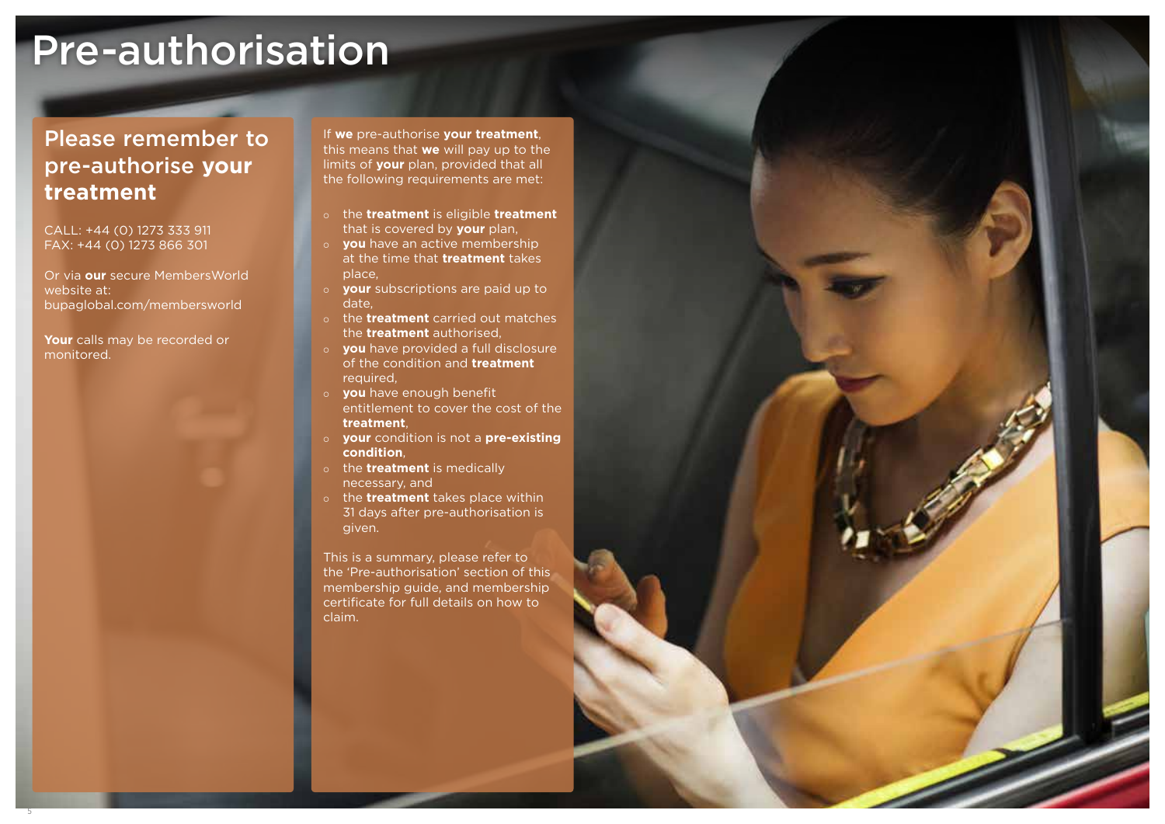# Pre-authorisation

## Please remember to pre-authorise **your treatment**

CALL: +44 (0) 1273 333 911 FAX: +44 (0) 1273 866 301

Or via **our** secure MembersWorld website at: bupaglobal.com/membersworld

**Your** calls may be recorded or monitored.

If **we** pre-authorise **your treatment**, this means that **we** will pay up to the limits of **your** plan, provided that all the following requirements are met:

- ¡ the **treatment** is eligible **treatment** that is covered by **your** plan,
- ¡ **you** have an active membership at the time that **treatment** takes place,
- ¡ **your** subscriptions are paid up to date,
- ¡ the **treatment** carried out matches the **treatment** authorised,
- ¡ **you** have provided a full disclosure of the condition and **treatment** required,
- ¡ **you** have enough benefit
- entitlement to cover the cost of the **treatment**,
- ¡ **your** condition is not a **pre-existing condition**,
- o the **treatment** is medically necessary, and
- ¡ the **treatment** takes place within 31 days after pre-authorisation is given.

This is a summary, please refer to the 'Pre-authorisation' section of this membership guide, and membership certificate for full details on how to claim.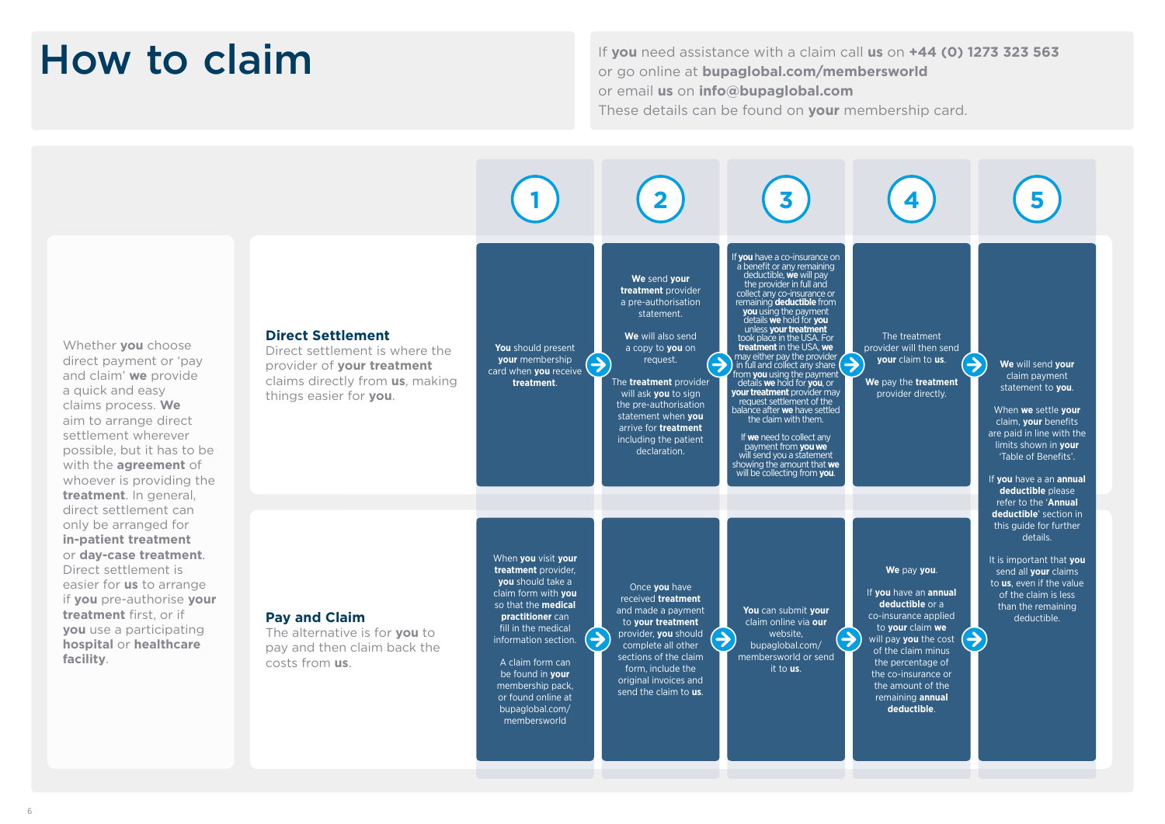# How to claim

If **you** need assistance with a claim call **us** on **+44 (0) 1273 323 563** or go online at **bupaglobal.com/membersworld** or email **us** on **info@bupaglobal.com** These details can be found on **your** membership card.

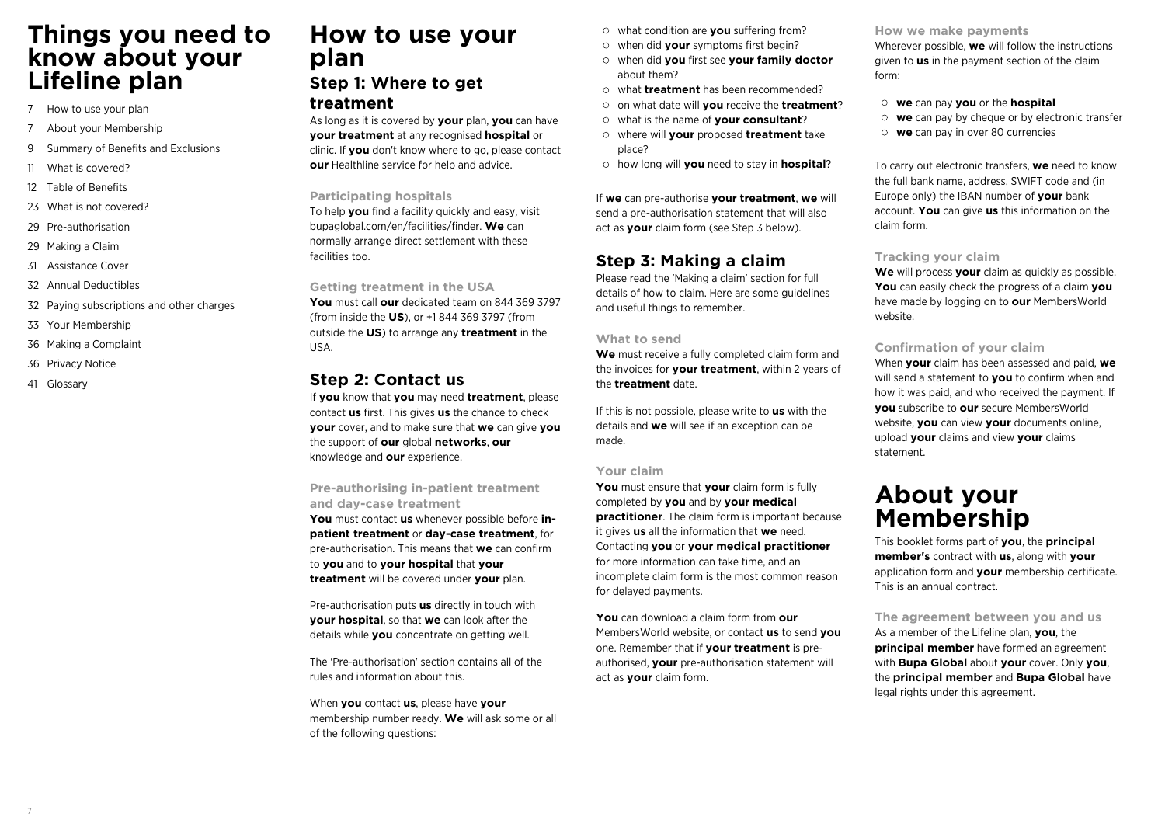## **Things you need to know about your Lifeline plan**

- 7 How to use your plan
- 7 About your Membership
- 9 Summary of Benefits and Exclusions
- 11 What is covered?
- 12 Table of Benefits
- 23 What is not covered?
- 29 Pre-authorisation
- 29 Making a Claim
- 31 Assistance Cover
- 32 Annual Deductibles
- 32 Paying subscriptions and other charges
- 33 Your Membership
- 36 Making a Complaint
- 36 Privacy Notice
- 41 Glossary

## **How to use your plan**

### **Step 1: Where to get treatment**

As long as it is covered by **your** plan, **you** can have **your treatment** at any recognised **hospital** or clinic. If **you** don't know where to go, please contact **our** Healthline service for help and advice.

#### **Participating hospitals**

To help **you** find a facility quickly and easy, visit bupaglobal.com/en/facilities/finder. **We** can normally arrange direct settlement with these facilities too.

#### **Getting treatment in the USA**

**You** must call **our** dedicated team on 844 369 3797 (from inside the **US**), or +1 844 369 3797 (from outside the **US**) to arrange any **treatment** in the USA.

### **Step 2: Contact us**

If **you** know that **you** may need **treatment**, please contact **us** first. This gives **us** the chance to check **your** cover, and to make sure that **we** can give **you** the support of **our** global **networks**, **our** knowledge and **our** experience.

### **Pre-authorising in-patient treatment and day-case treatment**

**You** must contact **us** whenever possible before **inpatient treatment** or **day-case treatment**, for pre-authorisation. This means that **we** can confirm to **you** and to **your hospital** that **your treatment** will be covered under **your** plan.

Pre-authorisation puts **us** directly in touch with **your hospital**, so that **we** can look after the details while **you** concentrate on getting well.

The 'Pre-authorisation' section contains all of the rules and information about this.

When **you** contact **us**, please have **your** membership number ready. **We** will ask some or all of the following questions:

what condition are **you** suffering from?

- when did **your** symptoms first begin?
- when did **you** first see **your family doctor** about them?
- what **treatment** has been recommended?
- on what date will **you** receive the **treatment**?
- what is the name of **your consultant**?
- where will **your** proposed **treatment** take place?
- how long will **you** need to stay in **hospital**?

If **we** can pre-authorise **your treatment**, **we** will send a pre-authorisation statement that will also act as **your** claim form (see Step 3 below).

### **Step 3: Making a claim**

Please read the 'Making a claim' section for full details of how to claim. Here are some guidelines and useful things to remember.

#### **What to send**

**We** must receive a fully completed claim form and the invoices for **your treatment**, within 2 years of the **treatment** date.

If this is not possible, please write to **us** with the details and **we** will see if an exception can be made.

### **Your claim**

**You** must ensure that **your** claim form is fully completed by **you** and by **your medical practitioner**. The claim form is important because it gives **us** all the information that **we** need. Contacting **you** or **your medical practitioner** for more information can take time, and an incomplete claim form is the most common reason for delayed payments.

**You** can download a claim form from **our** MembersWorld website, or contact **us** to send **you** one. Remember that if **your treatment** is preauthorised, **your** pre-authorisation statement will act as **your** claim form.

#### **How we make payments**

Wherever possible, **we** will follow the instructions given to **us** in the payment section of the claim form:

- **we** can pay **you** or the **hospital**
- **we** can pay by cheque or by electronic transfer
- **we** can pay in over 80 currencies

To carry out electronic transfers, **we** need to know the full bank name, address, SWIFT code and (in Europe only) the IBAN number of **your** bank account. **You** can give **us** this information on the claim form.

#### **Tracking your claim**

**We** will process **your** claim as quickly as possible. **You** can easily check the progress of a claim **you** have made by logging on to **our** MembersWorld website.

### **Confirmation of your claim**

When **your** claim has been assessed and paid, **we** will send a statement to **you** to confirm when and how it was paid, and who received the payment. If **you** subscribe to **our** secure MembersWorld website, **you** can view **your** documents online, upload **your** claims and view **your** claims statement.

## **About your Membership**

This booklet forms part of **you**, the **principal member's** contract with **us**, along with **your** application form and **your** membership certificate. This is an annual contract.

**The agreement between you and us**

As a member of the Lifeline plan, **you**, the **principal member** have formed an agreement with **Bupa Global** about **your** cover. Only **you**, the **principal member** and **Bupa Global** have legal rights under this agreement.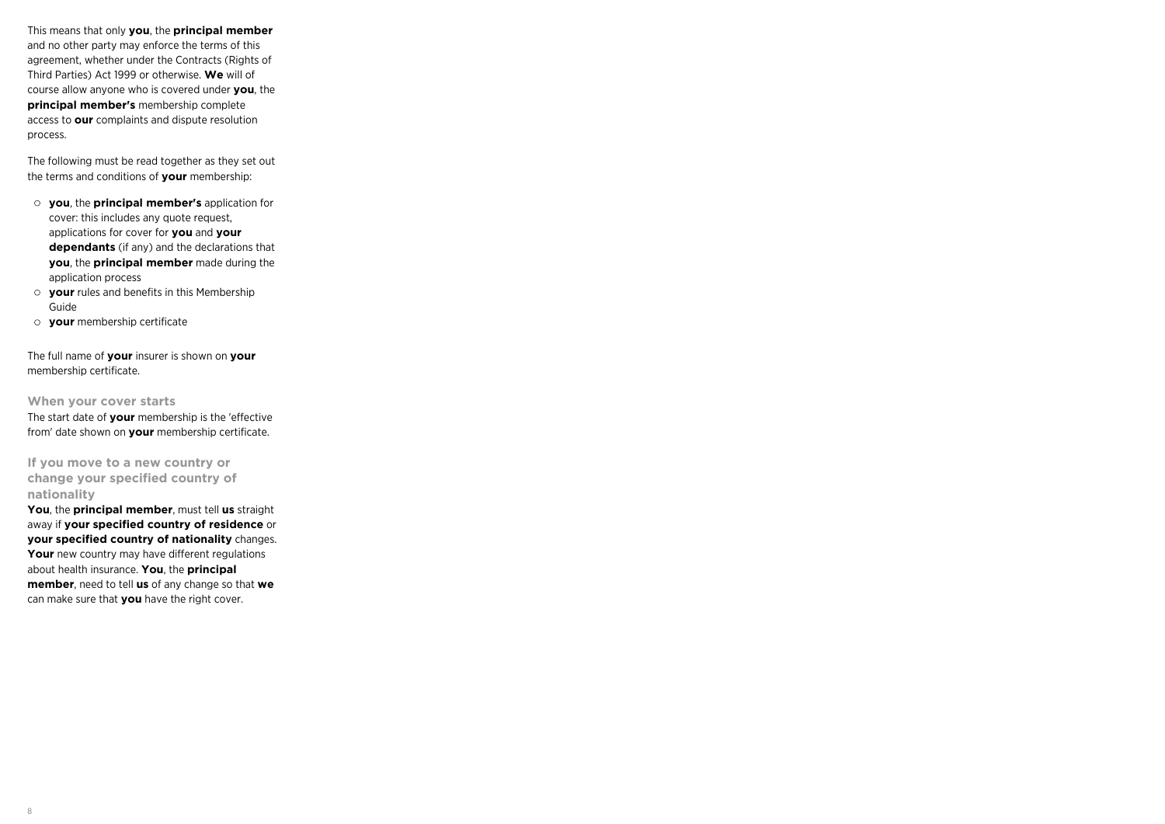This means that only **you**, the **principal member** and no other party may enforce the terms of this agreement, whether under the Contracts (Rights of Third Parties) Act 1999 or otherwise. **We** will of course allow anyone who is covered under **you**, the **principal member's** membership complete access to **our** complaints and dispute resolution process.

The following must be read together as they set out the terms and conditions of **your** membership:

- **you**, the **principal member's** application for cover: this includes any quote request, applications for cover for **you** and **your dependants** (if any) and the declarations that **you**, the **principal member** made during the application process
- **your** rules and benefits in this Membership Guide
- **your** membership certificate

The full name of **your** insurer is shown on **your** membership certificate.

**When your cover starts** The start date of **your** membership is the 'effective from' date shown on **your** membership certificate.

**If you move to a new country or change your specified country of nationality**

**You**, the **principal member**, must tell **us** straight away if **your specified country of residence** or **your specified country of nationality** changes. Your new country may have different regulations about health insurance. **You**, the **principal member**, need to tell **us** of any change so that **we** can make sure that **you** have the right cover.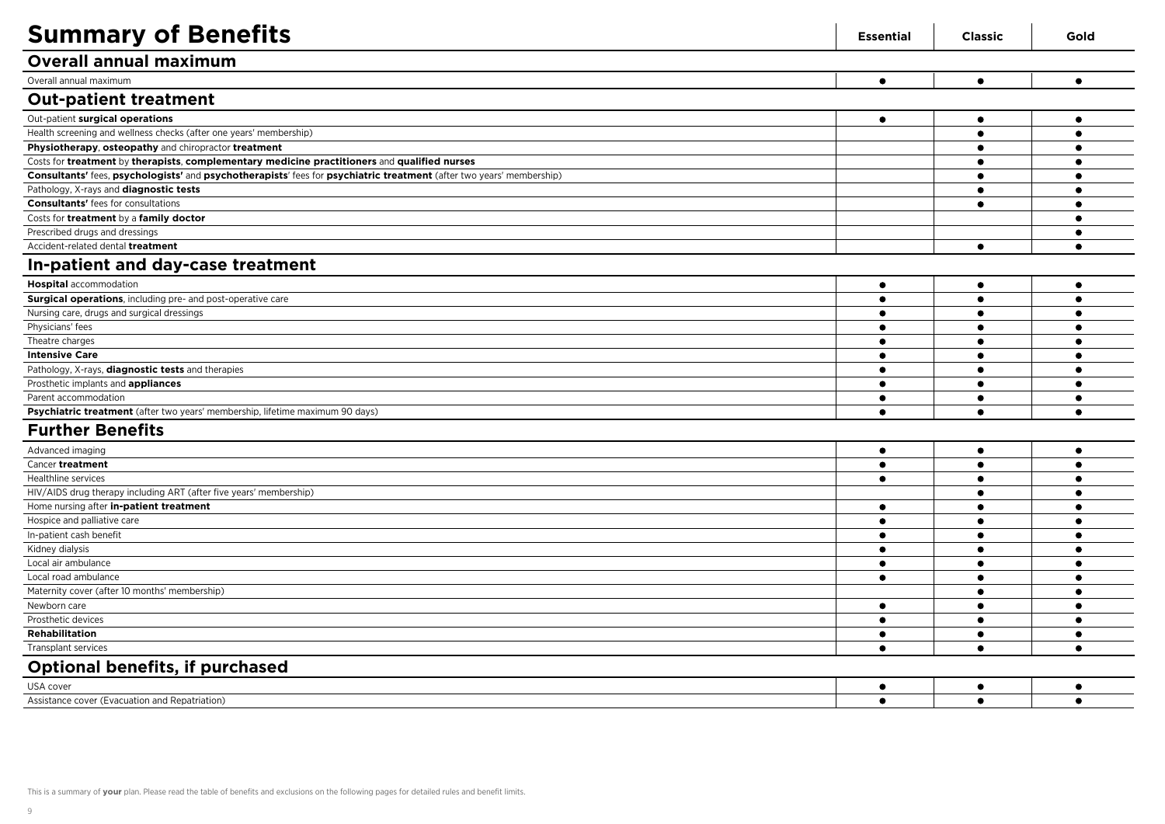| <b>Summary of Benefits</b>                                                                                           | <b>Essential</b> | <b>Classic</b> | Gold      |
|----------------------------------------------------------------------------------------------------------------------|------------------|----------------|-----------|
| <b>Overall annual maximum</b>                                                                                        |                  |                |           |
| Overall annual maximum                                                                                               | $\bullet$        | $\bullet$      | $\bullet$ |
| <b>Out-patient treatment</b>                                                                                         |                  |                |           |
| Out-patient surgical operations                                                                                      | $\bullet$        | $\bullet$      | $\bullet$ |
| Health screening and wellness checks (after one years' membership)                                                   |                  | $\bullet$      | $\bullet$ |
| Physiotherapy, osteopathy and chiropractor treatment                                                                 |                  | $\bullet$      | $\bullet$ |
| Costs for treatment by therapists, complementary medicine practitioners and qualified nurses                         |                  | $\bullet$      |           |
| Consultants' fees, psychologists' and psychotherapists' fees for psychiatric treatment (after two years' membership) |                  | $\bullet$      | ٠         |
| Pathology, X-rays and diagnostic tests                                                                               |                  |                |           |
| <b>Consultants'</b> fees for consultations                                                                           |                  | $\bullet$      | $\bullet$ |
| Costs for treatment by a family doctor                                                                               |                  |                |           |
| Prescribed drugs and dressings                                                                                       |                  |                | $\bullet$ |
| Accident-related dental treatment                                                                                    |                  | $\bullet$      | $\bullet$ |
| In-patient and day-case treatment                                                                                    |                  |                |           |
| <b>Hospital</b> accommodation                                                                                        | $\bullet$        | $\bullet$      | $\bullet$ |
| Surgical operations, including pre- and post-operative care                                                          | $\bullet$        | $\bullet$      | $\bullet$ |
| Nursing care, drugs and surgical dressings                                                                           | $\bullet$        | $\bullet$      |           |
| Physicians' fees                                                                                                     |                  |                |           |
| Theatre charges                                                                                                      | $\bullet$        | $\bullet$      | $\bullet$ |
| <b>Intensive Care</b>                                                                                                | $\bullet$        | $\bullet$      |           |
| Pathology, X-rays, diagnostic tests and therapies                                                                    | $\bullet$        | $\bullet$      | ٠         |
| Prosthetic implants and appliances                                                                                   | $\bullet$        | $\bullet$      | $\bullet$ |
| Parent accommodation                                                                                                 | $\bullet$        | $\bullet$      | $\bullet$ |
| Psychiatric treatment (after two years' membership, lifetime maximum 90 days)                                        | $\bullet$        |                | $\bullet$ |
| <b>Further Benefits</b>                                                                                              |                  |                |           |
| Advanced imaging                                                                                                     | $\bullet$        | $\bullet$      | $\bullet$ |
| Cancer treatment                                                                                                     | $\bullet$        | $\bullet$      | $\bullet$ |
| Healthline services                                                                                                  | $\bullet$        | $\bullet$      | $\bullet$ |
| HIV/AIDS drug therapy including ART (after five years' membership)                                                   |                  | $\bullet$      |           |
| Home nursing after in-patient treatment                                                                              | $\bullet$        | $\bullet$      | $\bullet$ |
| Hospice and palliative care                                                                                          | $\bullet$        | $\bullet$      |           |
| In-patient cash benefit                                                                                              | $\bullet$        | $\bullet$      | $\bullet$ |
| Kidney dialysis                                                                                                      | ٠                |                |           |
| Local air ambulance                                                                                                  | $\bullet$        |                | $\bullet$ |
| Local road ambulance                                                                                                 | $\bullet$        | $\bullet$      | $\bullet$ |
| Maternity cover (after 10 months' membership)                                                                        |                  | $\bullet$      | $\bullet$ |
| Newborn care                                                                                                         | $\bullet$        | $\bullet$      | $\bullet$ |
| Prosthetic devices                                                                                                   | $\bullet$        | $\bullet$      | $\bullet$ |
| Rehabilitation                                                                                                       | $\bullet$        |                | $\bullet$ |
| Transplant services                                                                                                  | $\bullet$        | $\bullet$      | $\bullet$ |
| Optional benefits, if purchased                                                                                      |                  |                |           |
| USA cover                                                                                                            | $\bullet$        | $\bullet$      | $\bullet$ |
| Assistance cover (Evacuation and Repatriation)                                                                       | $\bullet$        | $\bullet$      | $\bullet$ |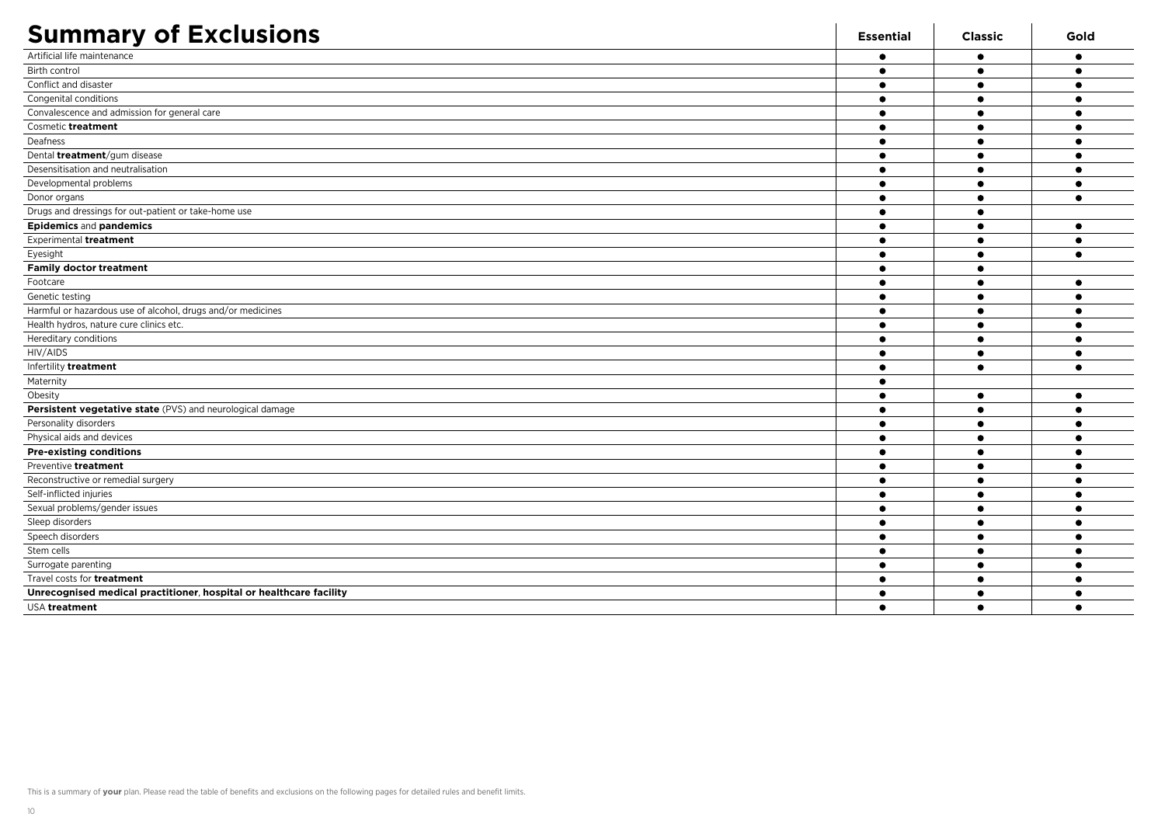| <b>Summary of Exclusions</b>                                       | <b>Essential</b> | <b>Classic</b> | Gold      |
|--------------------------------------------------------------------|------------------|----------------|-----------|
| Artificial life maintenance                                        | ٠                |                | $\bullet$ |
| Birth control                                                      | 0                |                | $\bullet$ |
| Conflict and disaster                                              |                  |                | ٠         |
| Congenital conditions                                              |                  |                |           |
| Convalescence and admission for general care                       |                  | $\bullet$      | $\bullet$ |
| Cosmetic treatment                                                 | 0                |                | $\bullet$ |
| Deafness                                                           |                  |                | $\bullet$ |
| Dental <i>treatment/gum</i> disease                                |                  |                |           |
| Desensitisation and neutralisation                                 |                  |                |           |
| Developmental problems                                             |                  |                | $\bullet$ |
| Donor organs                                                       |                  |                | $\bullet$ |
| Drugs and dressings for out-patient or take-home use               |                  | - 0            |           |
| <b>Epidemics and pandemics</b>                                     |                  |                | $\bullet$ |
| Experimental treatment                                             | ٠                |                | $\bullet$ |
| Eyesight                                                           | 0                |                | $\bullet$ |
| <b>Family doctor treatment</b>                                     | $\bullet$        |                |           |
| Footcare                                                           |                  |                | $\bullet$ |
| Genetic testing                                                    | $\bullet$        |                | $\bullet$ |
| Harmful or hazardous use of alcohol, drugs and/or medicines        | $\bullet$        |                | $\bullet$ |
| Health hydros, nature cure clinics etc.                            |                  | $\bullet$      | $\bullet$ |
| Hereditary conditions                                              |                  |                |           |
| HIV/AIDS                                                           |                  | $\bullet$      | $\bullet$ |
| Infertility treatment                                              |                  | $\bullet$      | $\bullet$ |
| Maternity                                                          |                  |                |           |
| Obesity                                                            |                  | $\bullet$      | $\bullet$ |
| Persistent vegetative state (PVS) and neurological damage          |                  |                | $\bullet$ |
| Personality disorders                                              | ٠                |                | $\bullet$ |
| Physical aids and devices                                          |                  |                | $\bullet$ |
| <b>Pre-existing conditions</b>                                     |                  |                | $\bullet$ |
| Preventive treatment                                               |                  |                |           |
| Reconstructive or remedial surgery                                 | ٠                |                | $\bullet$ |
| Self-inflicted injuries                                            | c                |                |           |
| Sexual problems/gender issues                                      |                  |                | $\bullet$ |
| Sleep disorders                                                    |                  |                |           |
| Speech disorders                                                   |                  |                | $\bullet$ |
| Stem cells                                                         |                  |                | $\bullet$ |
| Surrogate parenting                                                |                  | $\bullet$      | $\bullet$ |
| Travel costs for <b>treatment</b>                                  |                  |                |           |
| Unrecognised medical practitioner, hospital or healthcare facility |                  |                |           |
| USA treatment                                                      | ٠                |                | $\bullet$ |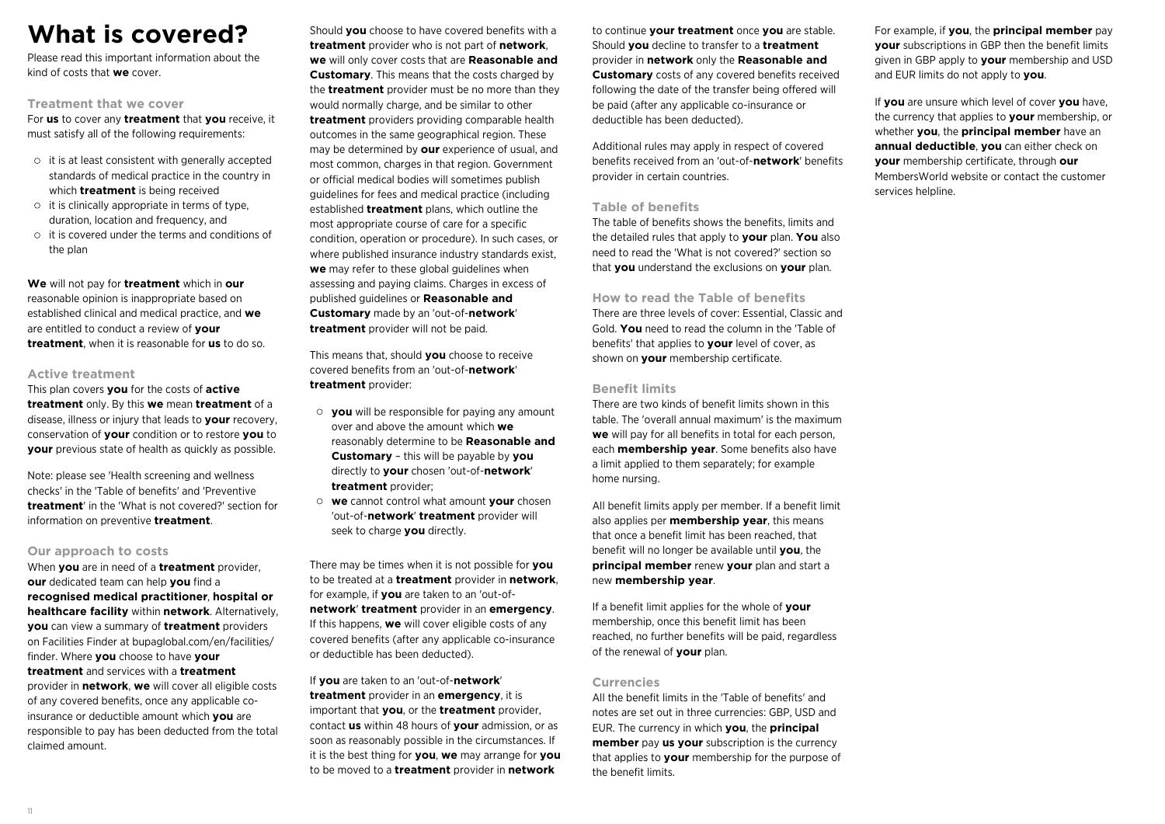## **What is covered?**

Please read this important information about the kind of costs that **we** cover.

### **Treatment that we cover**

For **us** to cover any **treatment** that **you** receive, it must satisfy all of the following requirements:

- $\circ$  it is at least consistent with generally accepted standards of medical practice in the country in which **treatment** is being received
- $\circ$  it is clinically appropriate in terms of type, duration, location and frequency, and
- $\circ$  it is covered under the terms and conditions of the plan

**We** will not pay for **treatment** which in **our** reasonable opinion is inappropriate based on established clinical and medical practice, and **we** are entitled to conduct a review of **your treatment**, when it is reasonable for **us** to do so.

#### **Active treatment**

This plan covers **you** for the costs of **active treatment** only. By this **we** mean **treatment** of a disease, illness or injury that leads to **your** recovery, conservation of **your** condition or to restore **you** to **your** previous state of health as quickly as possible.

Note: please see 'Health screening and wellness checks' in the 'Table of benefits' and 'Preventive **treatment**' in the 'What is not covered?' section for information on preventive **treatment**.

#### **Our approach to costs**

When **you** are in need of a **treatment** provider, **our** dedicated team can help **you** find a **recognised medical practitioner**, **hospital or healthcare facility** within **network**. Alternatively, **you** can view a summary of **treatment** providers on Facilities Finder at bupaglobal.com/en/facilities/ finder. Where **you** choose to have **your treatment** and services with a **treatment** provider in **network**, **we** will cover all eligible costs of any covered benefits, once any applicable coinsurance or deductible amount which **you** are responsible to pay has been deducted from the total claimed amount.

Should **you** choose to have covered benefits with a **treatment** provider who is not part of **network**, **we** will only cover costs that are **Reasonable and Customary**. This means that the costs charged by the **treatment** provider must be no more than they would normally charge, and be similar to other **treatment** providers providing comparable health outcomes in the same geographical region. These may be determined by **our** experience of usual, and most common, charges in that region. Government or official medical bodies will sometimes publish guidelines for fees and medical practice (including established **treatment** plans, which outline the most appropriate course of care for a specific condition, operation or procedure). In such cases, or where published insurance industry standards exist, **we** may refer to these global guidelines when assessing and paying claims. Charges in excess of published guidelines or **Reasonable and Customary** made by an 'out-of-**network**' **treatment** provider will not be paid.

This means that, should **you** choose to receive covered benefits from an 'out-of-**network**' **treatment** provider:

- **you** will be responsible for paying any amount over and above the amount which **we** reasonably determine to be **Reasonable and Customary** – this will be payable by **you** directly to **your** chosen 'out-of-**network**' **treatment** provider;
- **we** cannot control what amount **your** chosen 'out-of-**network**' **treatment** provider will seek to charge **you** directly.

There may be times when it is not possible for **you** to be treated at a **treatment** provider in **network**, for example, if **you** are taken to an 'out-of**network**' **treatment** provider in an **emergency**. If this happens, **we** will cover eligible costs of any covered benefits (after any applicable co-insurance or deductible has been deducted).

If **you** are taken to an 'out-of-**network**' **treatment** provider in an **emergency**, it is important that **you**, or the **treatment** provider, contact **us** within 48 hours of **your** admission, or as soon as reasonably possible in the circumstances. If it is the best thing for **you**, **we** may arrange for **you** to be moved to a **treatment** provider in **network**

to continue **your treatment** once **you** are stable. Should **you** decline to transfer to a **treatment** provider in **network** only the **Reasonable and Customary** costs of any covered benefits received following the date of the transfer being offered will be paid (after any applicable co-insurance or deductible has been deducted).

Additional rules may apply in respect of covered benefits received from an 'out-of-**network**' benefits provider in certain countries.

### **Table of benefits**

The table of benefits shows the benefits, limits and the detailed rules that apply to **your** plan. **You** also need to read the 'What is not covered?' section so that **you** understand the exclusions on **your** plan.

#### **How to read the Table of benefits**

There are three levels of cover: Essential, Classic and Gold. **You** need to read the column in the 'Table of benefits' that applies to **your** level of cover, as shown on **your** membership certificate.

#### **Benefit limits**

There are two kinds of benefit limits shown in this table. The 'overall annual maximum' is the maximum **we** will pay for all benefits in total for each person, each **membership year**. Some benefits also have a limit applied to them separately; for example home nursing.

All benefit limits apply per member. If a benefit limit also applies per **membership year**, this means that once a benefit limit has been reached, that benefit will no longer be available until **you**, the **principal member** renew **your** plan and start a new **membership year**.

If a benefit limit applies for the whole of **your** membership, once this benefit limit has been reached, no further benefits will be paid, regardless of the renewal of **your** plan.

### **Currencies**

All the benefit limits in the 'Table of benefits' and notes are set out in three currencies: GBP, USD and EUR. The currency in which **you**, the **principal member** pay **us your** subscription is the currency that applies to **your** membership for the purpose of the benefit limits.

For example, if **you**, the **principal member** pay **your** subscriptions in GBP then the benefit limits given in GBP apply to **your** membership and USD and EUR limits do not apply to **you**.

If **you** are unsure which level of cover **you** have, the currency that applies to **your** membership, or whether **you**, the **principal member** have an **annual deductible**, **you** can either check on **your** membership certificate, through **our** MembersWorld website or contact the customer services helpline.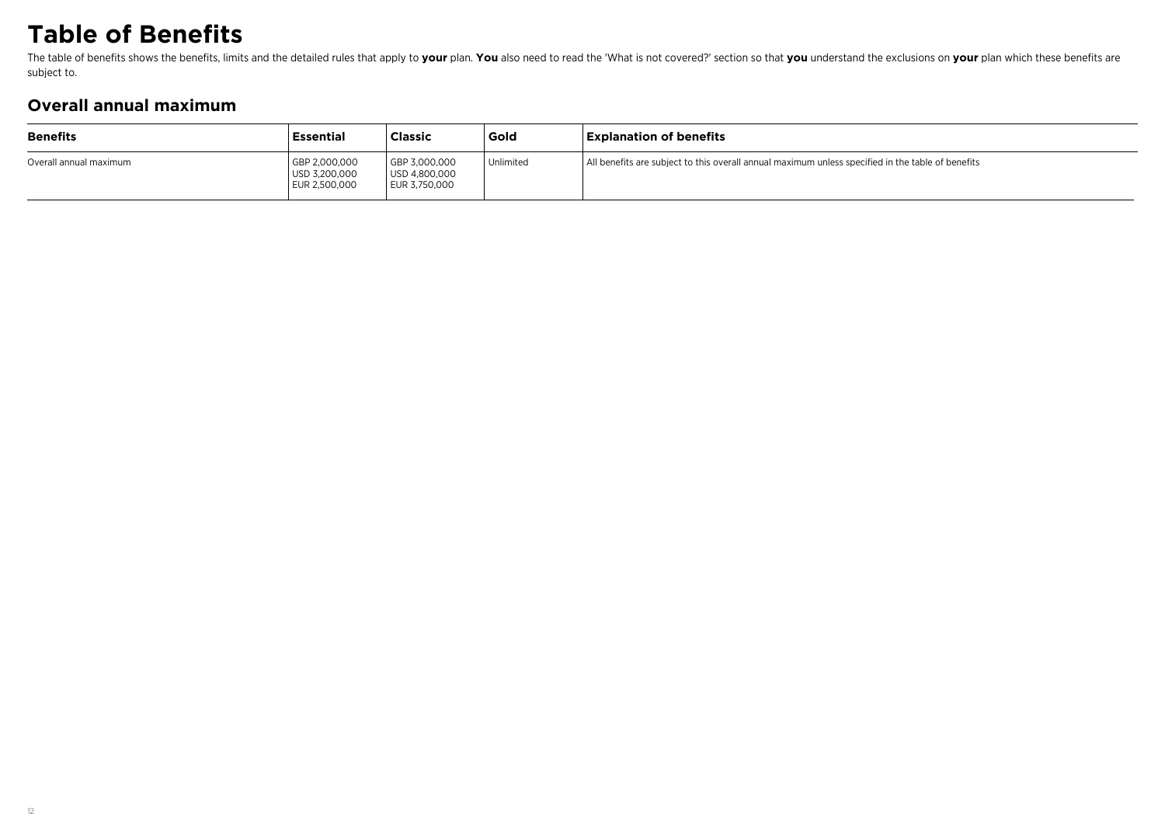## **Table of Benefits**

The table of benefits shows the benefits, limits and the detailed rules that apply to your plan. You also need to read the 'What is not covered?' section so that you understand the exclusions on your plan which these benef subject to.

## **Overall annual maximum**

| <b>Benefits</b>        | <b>Essential</b>                                | <b>Classic</b>                                  | Gold      | <b>Explanation of benefits</b>                                                                    |
|------------------------|-------------------------------------------------|-------------------------------------------------|-----------|---------------------------------------------------------------------------------------------------|
| Overall annual maximum | GBP 2,000,000<br>USD 3,200,000<br>EUR 2,500,000 | GBP 3,000,000<br>USD 4,800,000<br>EUR 3,750,000 | Unlimited | All benefits are subject to this overall annual maximum unless specified in the table of benefits |
|                        |                                                 |                                                 |           |                                                                                                   |
|                        |                                                 |                                                 |           |                                                                                                   |
|                        |                                                 |                                                 |           |                                                                                                   |
|                        |                                                 |                                                 |           |                                                                                                   |
|                        |                                                 |                                                 |           |                                                                                                   |
|                        |                                                 |                                                 |           |                                                                                                   |
|                        |                                                 |                                                 |           |                                                                                                   |
|                        |                                                 |                                                 |           |                                                                                                   |
|                        |                                                 |                                                 |           |                                                                                                   |
|                        |                                                 |                                                 |           |                                                                                                   |
|                        |                                                 |                                                 |           |                                                                                                   |
|                        |                                                 |                                                 |           |                                                                                                   |
|                        |                                                 |                                                 |           |                                                                                                   |
|                        |                                                 |                                                 |           |                                                                                                   |
|                        |                                                 |                                                 |           |                                                                                                   |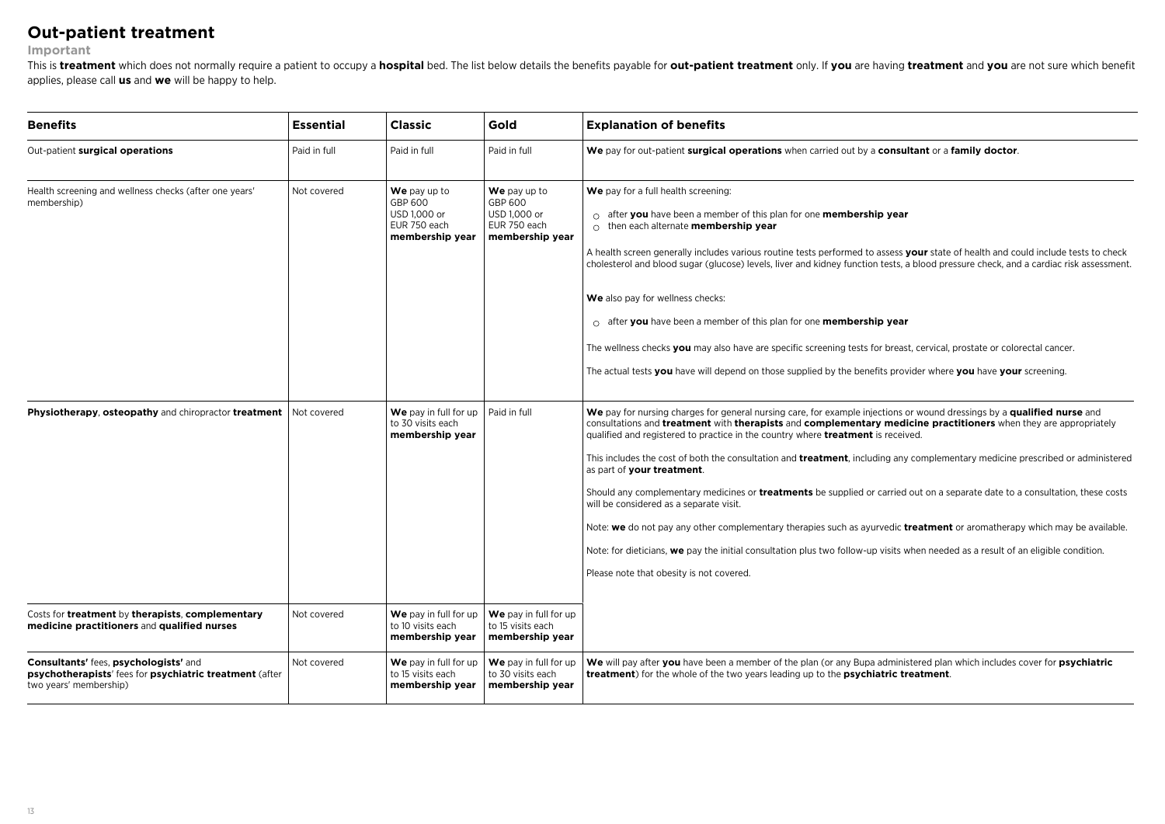### **Out-patient treatment**

#### **Important**

This is treatment which does not normally require a patient to occupy a hospital bed. The list below details the benefits payable for out-patient treatment only. If you are having treatment and you are not sure which benef applies, please call **us** and **we** will be happy to help.

| Paid in full<br>We pay up to<br>GBP 600<br>USD 1,000 or<br>EUR 750 each<br>membership year | Paid in full<br>We pay up to<br>GBP 600<br>USD 1,000 or<br>EUR 750 each<br>membership year | We pay for out-patient surgical operations when carried out by a consultant or a family doctor.<br>We pay for a full health screening:<br>$\circ$ after you have been a member of this plan for one membership year<br>$\circ$ then each alternate membership year<br>A health screen generally includes various routine tests performed to assess your state of health and could include tests to check<br>cholesterol and blood sugar (glucose) levels, liver and kidney function tests, a blood pressure check, and a cardiac risk assessment.<br>We also pay for wellness checks:<br>$\circ$ after you have been a member of this plan for one membership year                                                                                                                                                                                                                                                                                                                                              |
|--------------------------------------------------------------------------------------------|--------------------------------------------------------------------------------------------|-----------------------------------------------------------------------------------------------------------------------------------------------------------------------------------------------------------------------------------------------------------------------------------------------------------------------------------------------------------------------------------------------------------------------------------------------------------------------------------------------------------------------------------------------------------------------------------------------------------------------------------------------------------------------------------------------------------------------------------------------------------------------------------------------------------------------------------------------------------------------------------------------------------------------------------------------------------------------------------------------------------------|
|                                                                                            |                                                                                            |                                                                                                                                                                                                                                                                                                                                                                                                                                                                                                                                                                                                                                                                                                                                                                                                                                                                                                                                                                                                                 |
|                                                                                            |                                                                                            | The wellness checks you may also have are specific screening tests for breast, cervical, prostate or colorectal cancer.<br>The actual tests you have will depend on those supplied by the benefits provider where you have your screening.                                                                                                                                                                                                                                                                                                                                                                                                                                                                                                                                                                                                                                                                                                                                                                      |
| to 30 visits each<br>membership year                                                       |                                                                                            | We pay for nursing charges for general nursing care, for example injections or wound dressings by a qualified nurse and<br>consultations and treatment with therapists and complementary medicine practitioners when they are appropriately<br>qualified and registered to practice in the country where <b>treatment</b> is received.<br>This includes the cost of both the consultation and <b>treatment</b> , including any complementary medicine prescribed or administered<br>as part of your treatment.<br>Should any complementary medicines or <b>treatments</b> be supplied or carried out on a separate date to a consultation, these costs<br>will be considered as a separate visit.<br>Note: we do not pay any other complementary therapies such as ayurvedic treatment or aromatherapy which may be available.<br>Note: for dieticians, we pay the initial consultation plus two follow-up visits when needed as a result of an eligible condition.<br>Please note that obesity is not covered. |
| We pay in full for up<br>to 10 visits each<br>membership year                              | We pay in full for up<br>to 15 visits each<br>membership year                              |                                                                                                                                                                                                                                                                                                                                                                                                                                                                                                                                                                                                                                                                                                                                                                                                                                                                                                                                                                                                                 |
| We pay in full for up<br>to 15 visits each<br>membership year                              | We pay in full for up<br>to 30 visits each<br>membership year                              | We will pay after you have been a member of the plan (or any Bupa administered plan which includes cover for psychiatric<br>treatment) for the whole of the two years leading up to the psychiatric treatment.                                                                                                                                                                                                                                                                                                                                                                                                                                                                                                                                                                                                                                                                                                                                                                                                  |
|                                                                                            |                                                                                            | We pay in full for up $\vert$ Paid in full                                                                                                                                                                                                                                                                                                                                                                                                                                                                                                                                                                                                                                                                                                                                                                                                                                                                                                                                                                      |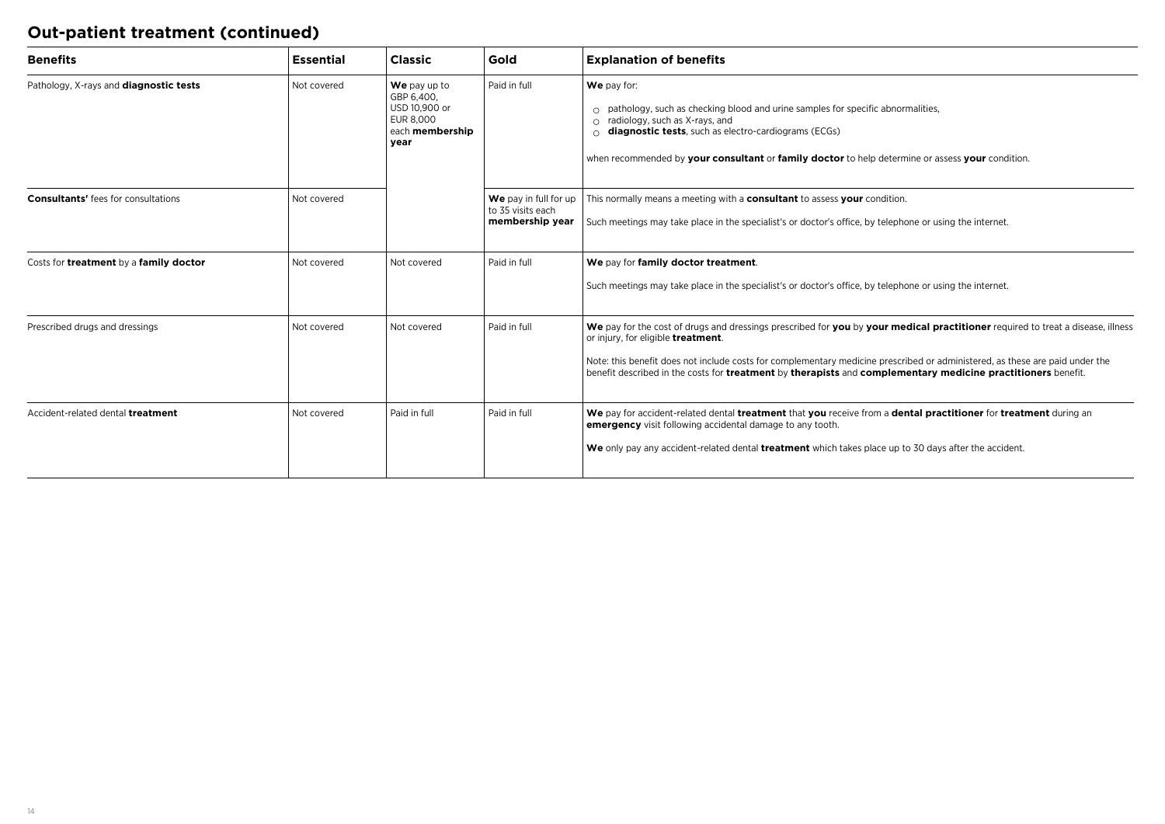## **Out-patient treatment (continued)**

| <b>Benefits</b>                            | <b>Essential</b> | <b>Classic</b>                                                                      | Gold                                                          | <b>Explanation of benefits</b>                                                                                                                                                                                                                                                                                                                                                                                        |
|--------------------------------------------|------------------|-------------------------------------------------------------------------------------|---------------------------------------------------------------|-----------------------------------------------------------------------------------------------------------------------------------------------------------------------------------------------------------------------------------------------------------------------------------------------------------------------------------------------------------------------------------------------------------------------|
| Pathology, X-rays and diagnostic tests     | Not covered      | We pay up to<br>GBP 6,400,<br>USD 10.900 or<br>EUR 8.000<br>each membership<br>year | Paid in full                                                  | We pay for:<br>pathology, such as checking blood and urine samples for specific abnormalities,<br>radiology, such as X-rays, and<br>diagnostic tests, such as electro-cardiograms (ECGs)<br>when recommended by your consultant or family doctor to help determine or assess your condition.                                                                                                                          |
| <b>Consultants'</b> fees for consultations | Not covered      |                                                                                     | We pay in full for up<br>to 35 visits each<br>membership year | This normally means a meeting with a consultant to assess your condition.<br>Such meetings may take place in the specialist's or doctor's office, by telephone or using the internet.                                                                                                                                                                                                                                 |
| Costs for treatment by a family doctor     | Not covered      | Not covered                                                                         | Paid in full                                                  | We pay for family doctor treatment.<br>Such meetings may take place in the specialist's or doctor's office, by telephone or using the internet.                                                                                                                                                                                                                                                                       |
| Prescribed drugs and dressings             | Not covered      | Not covered                                                                         | Paid in full                                                  | We pay for the cost of drugs and dressings prescribed for you by your medical practitioner required to treat a disease, illness<br>or injury, for eligible treatment.<br>Note: this benefit does not include costs for complementary medicine prescribed or administered, as these are paid under the<br>benefit described in the costs for treatment by therapists and complementary medicine practitioners benefit. |
| Accident-related dental treatment          | Not covered      | Paid in full                                                                        | Paid in full                                                  | We pay for accident-related dental treatment that you receive from a dental practitioner for treatment during an<br>emergency visit following accidental damage to any tooth.<br>We only pay any accident-related dental treatment which takes place up to 30 days after the accident.                                                                                                                                |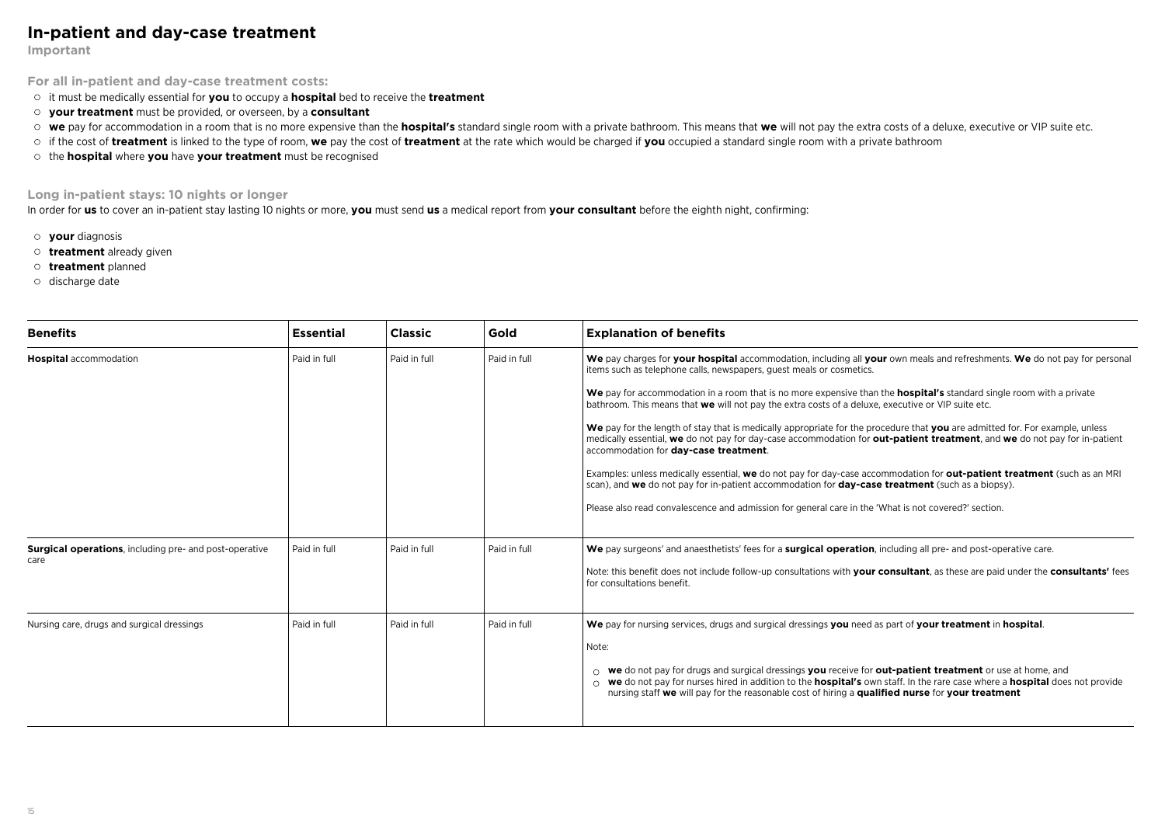### **In-patient and day-case treatment**

**Important**

**For all in-patient and day-case treatment costs:**

it must be medically essential for **you** to occupy a **hospital** bed to receive the **treatment**

- **your treatment** must be provided, or overseen, by a **consultant**
- we pay for accommodation in a room that is no more expensive than the hospital's standard single room with a private bathroom. This means that we will not pay the extra costs of a deluxe, executive or VIP suite etc.
- if the cost of **treatment** is linked to the type of room, **we** pay the cost of **treatment** at the rate which would be charged if **you** occupied a standard single room with a private bathroom
- the **hospital** where **you** have **your treatment** must be recognised

### **Long in-patient stays: 10 nights or longer**

In order for **us** to cover an in-patient stay lasting 10 nights or more, **you** must send **us** a medical report from **your consultant** before the eighth night, confirming:

- **your** diagnosis
- **treatment** already given
- **treatment** planned
- o discharge date

| <b>Benefits</b>                                               | <b>Essential</b> | <b>Classic</b> | Gold         | <b>Explanation of benefits</b>                                                                                                                                                                                                                                                                                                                                           |
|---------------------------------------------------------------|------------------|----------------|--------------|--------------------------------------------------------------------------------------------------------------------------------------------------------------------------------------------------------------------------------------------------------------------------------------------------------------------------------------------------------------------------|
| <b>Hospital</b> accommodation                                 | Paid in full     | Paid in full   | Paid in full | We pay charges for your hospital accommodation, including all your own meals and refreshments. We do not pay for personal<br>items such as telephone calls, newspapers, quest meals or cosmetics.                                                                                                                                                                        |
|                                                               |                  |                |              | We pay for accommodation in a room that is no more expensive than the <b>hospital's</b> standard single room with a private<br>bathroom. This means that we will not pay the extra costs of a deluxe, executive or VIP suite etc.                                                                                                                                        |
|                                                               |                  |                |              | We pay for the length of stay that is medically appropriate for the procedure that you are admitted for. For example, unless<br>medically essential, we do not pay for day-case accommodation for out-patient treatment, and we do not pay for in-patient<br>accommodation for day-case treatment.                                                                       |
|                                                               |                  |                |              | Examples: unless medically essential, we do not pay for day-case accommodation for out-patient treatment (such as an MRI<br>scan), and we do not pay for in-patient accommodation for <b>day-case treatment</b> (such as a biopsy).                                                                                                                                      |
|                                                               |                  |                |              | Please also read convalescence and admission for general care in the 'What is not covered?' section.                                                                                                                                                                                                                                                                     |
| <b>Surgical operations, including pre- and post-operative</b> | Paid in full     | Paid in full   | Paid in full | We pay surgeons' and anaesthetists' fees for a surgical operation, including all pre- and post-operative care.                                                                                                                                                                                                                                                           |
| care                                                          |                  |                |              | Note: this benefit does not include follow-up consultations with your consultant, as these are paid under the consultants' fees<br>for consultations benefit.                                                                                                                                                                                                            |
| Nursing care, drugs and surgical dressings                    | Paid in full     | Paid in full   | Paid in full | We pay for nursing services, drugs and surgical dressings you need as part of your treatment in hospital.                                                                                                                                                                                                                                                                |
|                                                               |                  |                |              | Note:                                                                                                                                                                                                                                                                                                                                                                    |
|                                                               |                  |                |              | $\circ$ we do not pay for drugs and surgical dressings you receive for out-patient treatment or use at home, and<br>$\circ$ we do not pay for nurses hired in addition to the <b>hospital's</b> own staff. In the rare case where a <b>hospital</b> does not provide<br>nursing staff we will pay for the reasonable cost of hiring a qualified nurse for your treatment |
|                                                               |                  |                |              |                                                                                                                                                                                                                                                                                                                                                                          |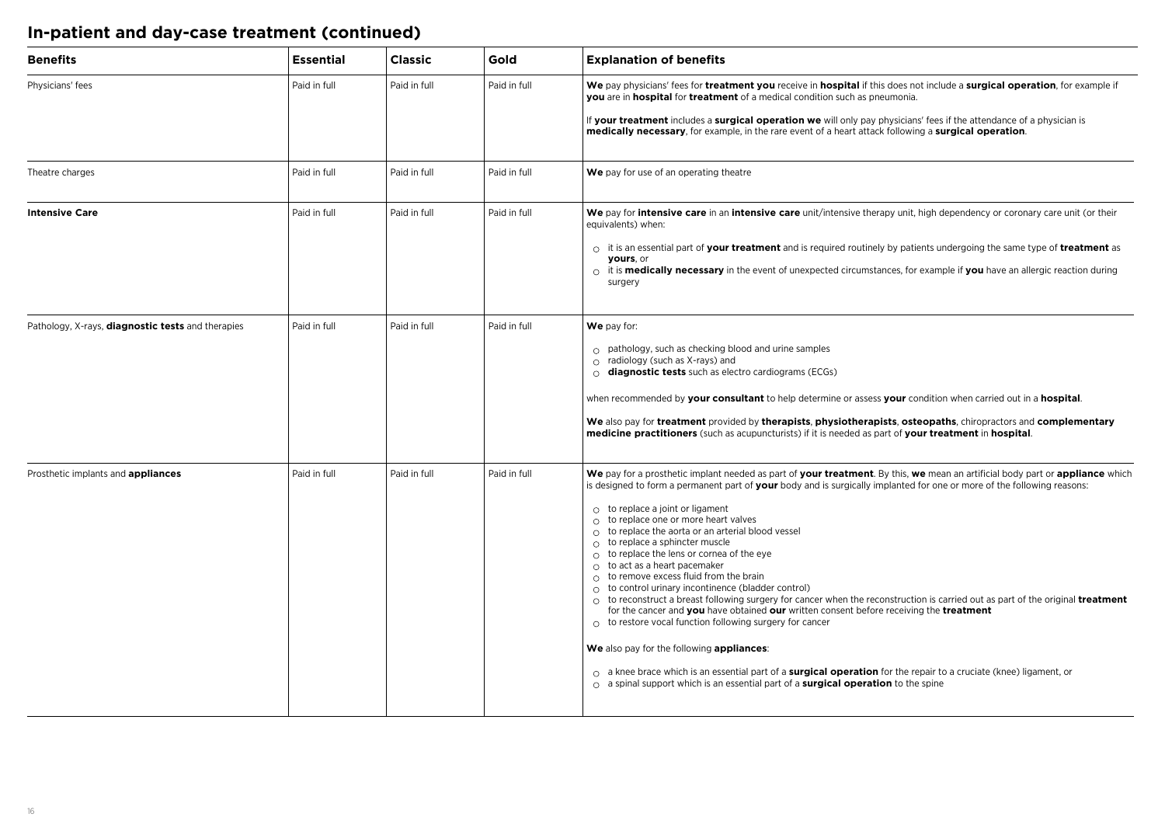## **In-patient and day-case treatment (continued)**

| <b>Benefits</b>                                          | <b>Essential</b> | <b>Classic</b> | Gold         | <b>Explanation of benefits</b>                                                                                                                                                                                                                                                                                                                                                                                                                                                                                                                                                                                                                                                                                                                                                                                                                                                                                                                                                                                                                                                                                                                                                                                                                     |
|----------------------------------------------------------|------------------|----------------|--------------|----------------------------------------------------------------------------------------------------------------------------------------------------------------------------------------------------------------------------------------------------------------------------------------------------------------------------------------------------------------------------------------------------------------------------------------------------------------------------------------------------------------------------------------------------------------------------------------------------------------------------------------------------------------------------------------------------------------------------------------------------------------------------------------------------------------------------------------------------------------------------------------------------------------------------------------------------------------------------------------------------------------------------------------------------------------------------------------------------------------------------------------------------------------------------------------------------------------------------------------------------|
| Physicians' fees                                         | Paid in full     | Paid in full   | Paid in full | We pay physicians' fees for treatment you receive in hospital if this does not include a surgical operation, for example if<br>you are in hospital for treatment of a medical condition such as pneumonia.<br>If your treatment includes a surgical operation we will only pay physicians' fees if the attendance of a physician is<br>medically necessary, for example, in the rare event of a heart attack following a surgical operation.                                                                                                                                                                                                                                                                                                                                                                                                                                                                                                                                                                                                                                                                                                                                                                                                       |
| Theatre charges                                          | Paid in full     | Paid in full   | Paid in full | We pay for use of an operating theatre                                                                                                                                                                                                                                                                                                                                                                                                                                                                                                                                                                                                                                                                                                                                                                                                                                                                                                                                                                                                                                                                                                                                                                                                             |
| <b>Intensive Care</b>                                    | Paid in full     | Paid in full   | Paid in full | We pay for intensive care in an intensive care unit/intensive therapy unit, high dependency or coronary care unit (or their<br>equivalents) when:<br>$\circ$ it is an essential part of your treatment and is required routinely by patients undergoing the same type of treatment as<br>yours, or<br>$\circ$ it is <b>medically necessary</b> in the event of unexpected circumstances, for example if you have an allergic reaction during<br>surgery                                                                                                                                                                                                                                                                                                                                                                                                                                                                                                                                                                                                                                                                                                                                                                                            |
| Pathology, X-rays, <b>diagnostic tests</b> and therapies | Paid in full     | Paid in full   | Paid in full | We pay for:<br>$\circ$ pathology, such as checking blood and urine samples<br>$\circ$ radiology (such as X-rays) and<br>$\circ$ diagnostic tests such as electro cardiograms (ECGs)<br>when recommended by your consultant to help determine or assess your condition when carried out in a hospital.<br>We also pay for treatment provided by therapists, physiotherapists, osteopaths, chiropractors and complementary<br>medicine practitioners (such as acupuncturists) if it is needed as part of your treatment in hospital.                                                                                                                                                                                                                                                                                                                                                                                                                                                                                                                                                                                                                                                                                                                 |
| Prosthetic implants and appliances                       | Paid in full     | Paid in full   | Paid in full | We pay for a prosthetic implant needed as part of your treatment. By this, we mean an artificial body part or appliance which<br>is designed to form a permanent part of your body and is surgically implanted for one or more of the following reasons:<br>$\circ$ to replace a joint or ligament<br>$\circ$ to replace one or more heart valves<br>$\circ$ to replace the aorta or an arterial blood vessel<br>$\circ$ to replace a sphincter muscle<br>$\circ$ to replace the lens or cornea of the eye<br>$\circ$ to act as a heart pacemaker<br>$\circ$ to remove excess fluid from the brain<br>$\circ$ to control urinary incontinence (bladder control)<br>$\circ$ to reconstruct a breast following surgery for cancer when the reconstruction is carried out as part of the original <b>treatment</b><br>for the cancer and you have obtained our written consent before receiving the treatment<br>$\circ$ to restore vocal function following surgery for cancer<br>We also pay for the following appliances:<br>o a knee brace which is an essential part of a surgical operation for the repair to a cruciate (knee) ligament, or<br>$\circ$ a spinal support which is an essential part of a <b>surgical operation</b> to the spine |
|                                                          |                  |                |              |                                                                                                                                                                                                                                                                                                                                                                                                                                                                                                                                                                                                                                                                                                                                                                                                                                                                                                                                                                                                                                                                                                                                                                                                                                                    |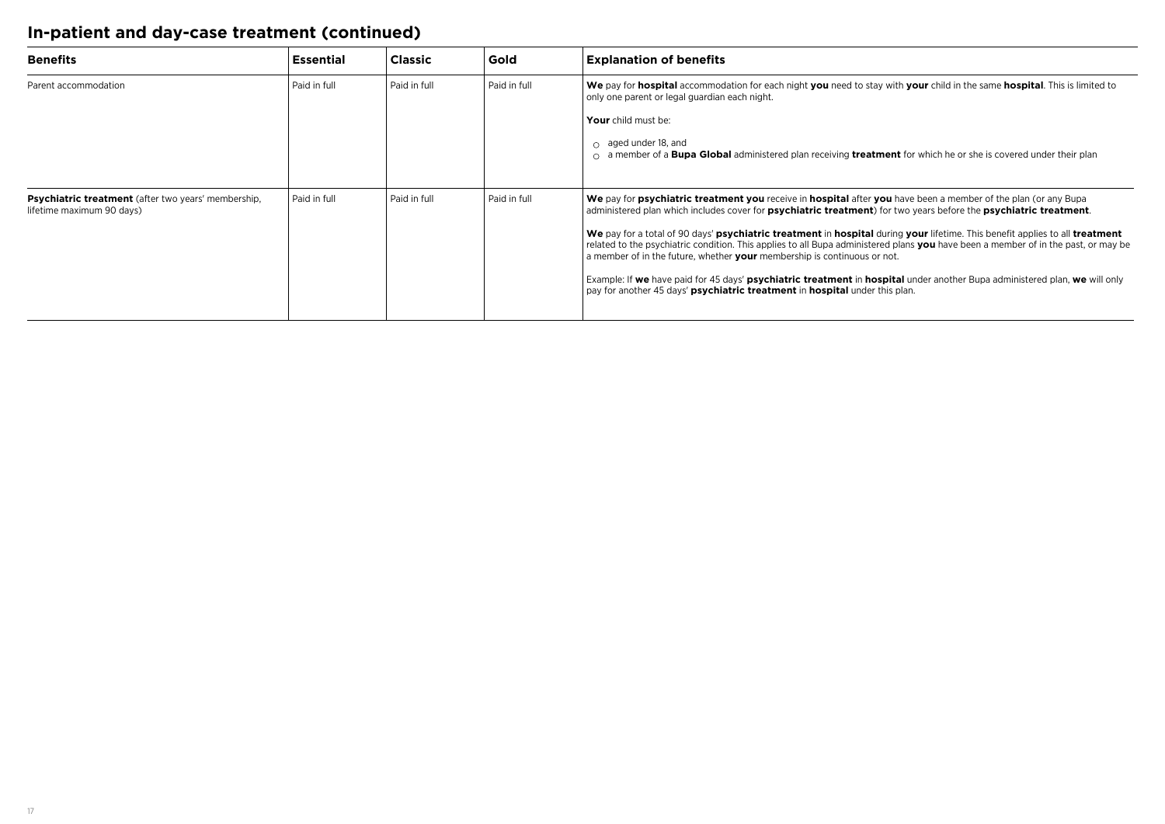## **In-patient and day-case treatment (continued)**

| <b>Benefits</b>                                                                         | <b>Essential</b> | <b>Classic</b> | Gold           | <b>Explanation of benefits</b>                                                                                                                                                                                                                                                                                                                 |
|-----------------------------------------------------------------------------------------|------------------|----------------|----------------|------------------------------------------------------------------------------------------------------------------------------------------------------------------------------------------------------------------------------------------------------------------------------------------------------------------------------------------------|
| Parent accommodation                                                                    | Paid in full     | Paid in full   | Paid in full   | We pay for hospital accommodation for each night you need to stay with your child in the same hospital. This is limited to<br>only one parent or legal guardian each night.                                                                                                                                                                    |
|                                                                                         |                  |                |                | Your child must be:                                                                                                                                                                                                                                                                                                                            |
|                                                                                         |                  |                |                | $\circ$ aged under 18, and<br>a member of a <b>Bupa Global</b> administered plan receiving <b>treatment</b> for which he or she is covered under their plan                                                                                                                                                                                    |
| <b>Psychiatric treatment</b> (after two years' membership,<br>lifetime maximum 90 days) | Paid in full     | Paid in full   | l Paid in full | We pay for psychiatric treatment you receive in hospital after you have been a member of the plan (or any Bupa<br>administered plan which includes cover for <b>psychiatric treatment</b> ) for two years before the <b>psychiatric treatment</b> .                                                                                            |
|                                                                                         |                  |                |                | We pay for a total of 90 days' psychiatric treatment in hospital during your lifetime. This benefit applies to all treatment<br>related to the psychiatric condition. This applies to all Bupa administered plans you have been a member of in the past, or may be<br>a member of in the future, whether your membership is continuous or not. |
|                                                                                         |                  |                |                | Example: If we have paid for 45 days' psychiatric treatment in hospital under another Bupa administered plan, we will only<br>pay for another 45 days' <b>psychiatric treatment</b> in <b>hospital</b> under this plan.                                                                                                                        |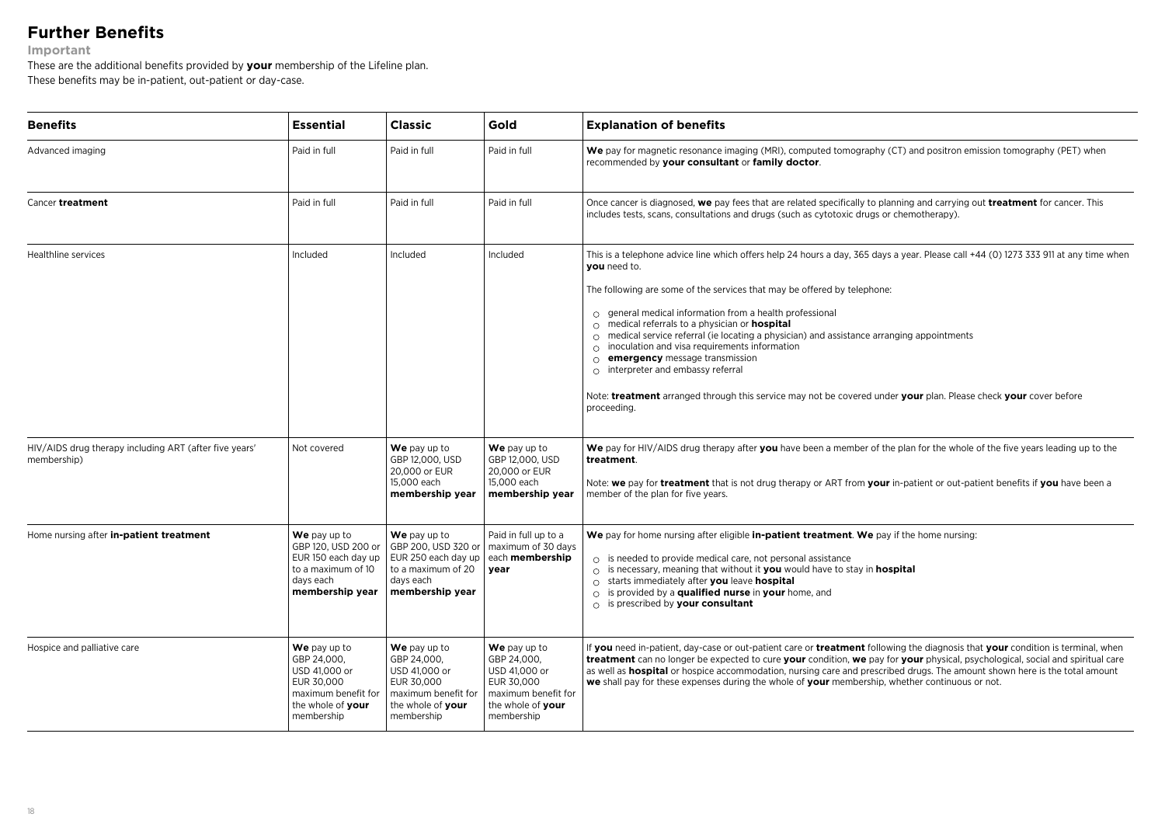## **Further Benefits**

**Important**

These are the additional benefits provided by **your** membership of the Lifeline plan. These benefits may be in-patient, out-patient or day-case.

| <b>Essential</b>                                                                                                     | <b>Classic</b>                                                                                                       | Gold                                                                                                                 | <b>Explanation of benefits</b>                                                                                                                                                                                                                                                                                                                                                                                                                                                                                                                                                                                                                                                                                                                                |
|----------------------------------------------------------------------------------------------------------------------|----------------------------------------------------------------------------------------------------------------------|----------------------------------------------------------------------------------------------------------------------|---------------------------------------------------------------------------------------------------------------------------------------------------------------------------------------------------------------------------------------------------------------------------------------------------------------------------------------------------------------------------------------------------------------------------------------------------------------------------------------------------------------------------------------------------------------------------------------------------------------------------------------------------------------------------------------------------------------------------------------------------------------|
| Paid in full                                                                                                         | Paid in full                                                                                                         | Paid in full                                                                                                         | We pay for magnetic resonance imaging (MRI), computed tomography (CT) and positron emission tomography (PET) when<br>recommended by your consultant or family doctor.                                                                                                                                                                                                                                                                                                                                                                                                                                                                                                                                                                                         |
| Paid in full                                                                                                         | Paid in full                                                                                                         | Paid in full                                                                                                         | Once cancer is diagnosed, we pay fees that are related specifically to planning and carrying out treatment for cancer. This<br>includes tests, scans, consultations and drugs (such as cytotoxic drugs or chemotherapy).                                                                                                                                                                                                                                                                                                                                                                                                                                                                                                                                      |
| Included                                                                                                             | Included                                                                                                             | Included                                                                                                             | This is a telephone advice line which offers help 24 hours a day, 365 days a year. Please call +44 (0) 1273 333 911 at any time when<br>vou need to.<br>The following are some of the services that may be offered by telephone:<br>$\circ$ general medical information from a health professional<br>$\circ$ medical referrals to a physician or <b>hospital</b><br>$\circ$ medical service referral (ie locating a physician) and assistance arranging appointments<br>inoculation and visa requirements information<br>$\circ$<br>emergency message transmission<br>$\circ$<br>$\circ$ interpreter and embassy referral<br>Note: treatment arranged through this service may not be covered under your plan. Please check your cover before<br>proceeding. |
| Not covered                                                                                                          | We pay up to<br>GBP 12.000, USD<br>20,000 or EUR<br>15,000 each<br>membership year                                   | We pay up to<br>GBP 12.000, USD<br>20,000 or EUR<br>15,000 each<br>membership year                                   | We pay for HIV/AIDS drug therapy after you have been a member of the plan for the whole of the five years leading up to the<br>treatment.<br>Note: we pay for treatment that is not drug therapy or ART from your in-patient or out-patient benefits if you have been a<br>member of the plan for five years.                                                                                                                                                                                                                                                                                                                                                                                                                                                 |
| We pay up to<br>GBP 120, USD 200 or<br>EUR 150 each day up<br>to a maximum of 10<br>days each<br>membership year     | We pay up to<br>to a maximum of 20<br>days each<br>membership year                                                   | Paid in full up to a<br>maximum of 30 days<br>each membership<br>year                                                | We pay for home nursing after eligible in-patient treatment. We pay if the home nursing:<br>$\circ$ is needed to provide medical care, not personal assistance<br>$\circ$ is necessary, meaning that without it you would have to stay in hospital<br>$\circ$ starts immediately after you leave hospital<br>$\circ$ is provided by a qualified nurse in your home, and<br>$\circ$ is prescribed by your consultant                                                                                                                                                                                                                                                                                                                                           |
| We pay up to<br>GBP 24,000,<br>USD 41,000 or<br>EUR 30.000<br>maximum benefit for<br>the whole of your<br>membership | We pay up to<br>GBP 24,000,<br>USD 41,000 or<br>EUR 30.000<br>maximum benefit for<br>the whole of your<br>membership | We pay up to<br>GBP 24,000,<br>USD 41,000 or<br>EUR 30,000<br>maximum benefit for<br>the whole of your<br>membership | If <b>you</b> need in-patient, day-case or out-patient care or <b>treatment</b> following the diagnosis that your condition is terminal, when<br>treatment can no longer be expected to cure your condition, we pay for your physical, psychological, social and spiritual care<br>as well as <b>hospital</b> or hospice accommodation, nursing care and prescribed drugs. The amount shown here is the total amount<br>we shall pay for these expenses during the whole of your membership, whether continuous or not.                                                                                                                                                                                                                                       |
|                                                                                                                      |                                                                                                                      |                                                                                                                      | GBP 200, USD 320 or<br>EUR 250 each day up                                                                                                                                                                                                                                                                                                                                                                                                                                                                                                                                                                                                                                                                                                                    |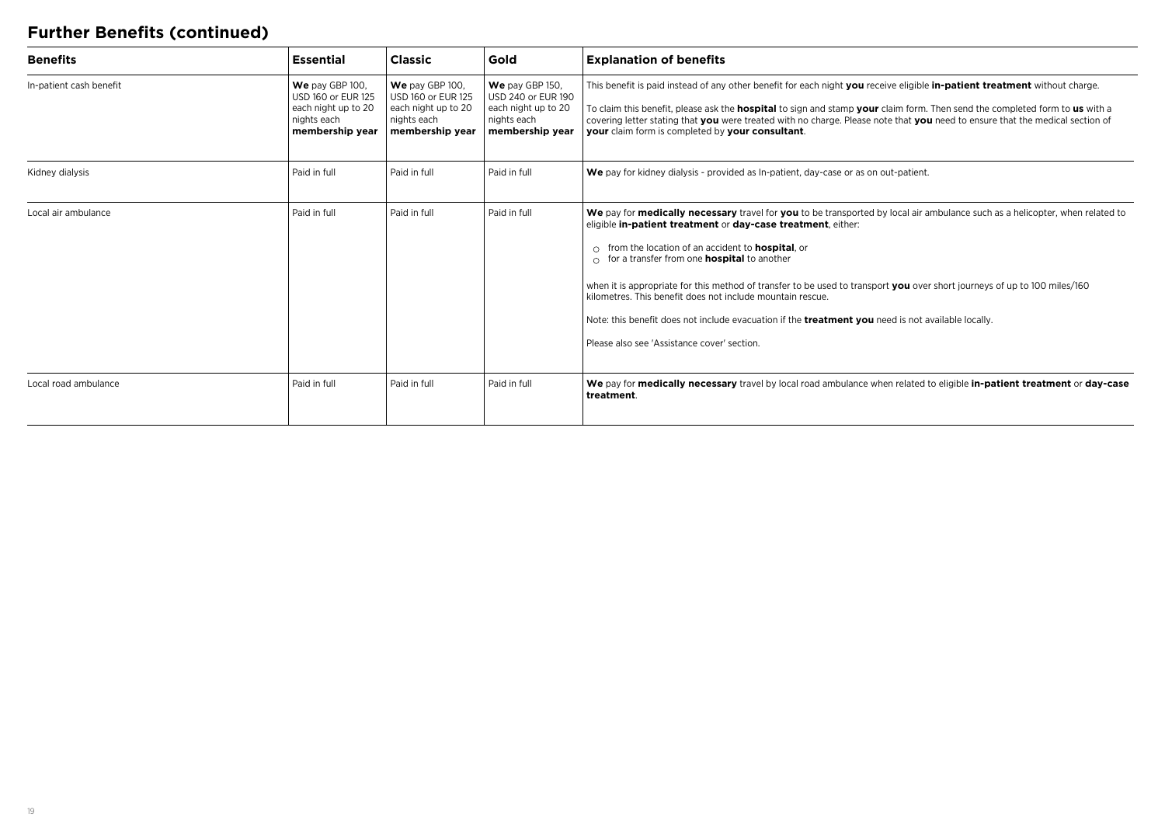## **Further Benefits (continued)**

| <b>Benefits</b>         | <b>Essential</b>                                                                               | <b>Classic</b>                                                                                 | Gold                                                                                           | <b>Explanation of benefits</b>                                                                                                                                                                                                                                                                                                                                                                                                                                                                                                                                                                                                                                        |
|-------------------------|------------------------------------------------------------------------------------------------|------------------------------------------------------------------------------------------------|------------------------------------------------------------------------------------------------|-----------------------------------------------------------------------------------------------------------------------------------------------------------------------------------------------------------------------------------------------------------------------------------------------------------------------------------------------------------------------------------------------------------------------------------------------------------------------------------------------------------------------------------------------------------------------------------------------------------------------------------------------------------------------|
| In-patient cash benefit | We pay GBP 100,<br>USD 160 or EUR 125<br>each night up to 20<br>nights each<br>membership year | We pay GBP 100,<br>USD 160 or EUR 125<br>each night up to 20<br>nights each<br>membership year | We pay GBP 150,<br>USD 240 or EUR 190<br>each night up to 20<br>nights each<br>membership year | This benefit is paid instead of any other benefit for each night you receive eligible in-patient treatment without charge.<br>To claim this benefit, please ask the <b>hospital</b> to sign and stamp your claim form. Then send the completed form to us with a<br>covering letter stating that you were treated with no charge. Please note that you need to ensure that the medical section of<br>your claim form is completed by your consultant.                                                                                                                                                                                                                 |
| Kidney dialysis         | Paid in full                                                                                   | Paid in full                                                                                   | Paid in full                                                                                   | We pay for kidney dialysis - provided as In-patient, day-case or as on out-patient.                                                                                                                                                                                                                                                                                                                                                                                                                                                                                                                                                                                   |
| Local air ambulance     | Paid in full                                                                                   | Paid in full                                                                                   | Paid in full                                                                                   | We pay for medically necessary travel for you to be transported by local air ambulance such as a helicopter, when related to<br>eligible in-patient treatment or day-case treatment, either:<br>from the location of an accident to <b>hospital</b> , or<br>for a transfer from one <b>hospital</b> to another<br>when it is appropriate for this method of transfer to be used to transport you over short journeys of up to 100 miles/160<br>kilometres. This benefit does not include mountain rescue.<br>Note: this benefit does not include evacuation if the <b>treatment you</b> need is not available locally.<br>Please also see 'Assistance cover' section. |
| Local road ambulance    | Paid in full                                                                                   | Paid in full                                                                                   | Paid in full                                                                                   | We pay for medically necessary travel by local road ambulance when related to eligible in-patient treatment or day-case<br>treatment.                                                                                                                                                                                                                                                                                                                                                                                                                                                                                                                                 |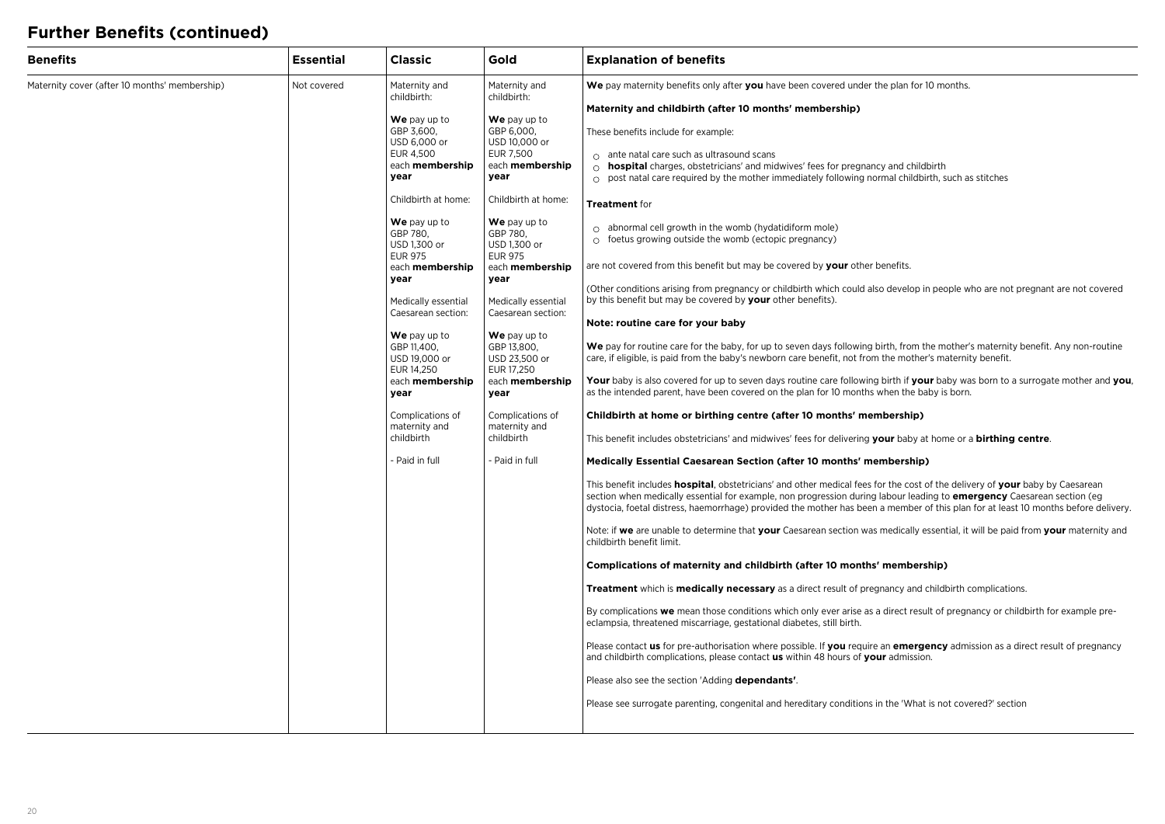## **Further Benefits (continued)**

| <b>Benefits</b>                                              | <b>Essential</b> | <b>Classic</b>                                                                                                                                                                                                                                                                                        | Gold                                                                                                                                                                                                                                                                                                                  | <b>Explanation of benefits</b>                                                                                                                                                                                                                                                                                                                                                                                                                                                                                                                                                                                                                                                                                                                                                                                                                                                                                                                                                                                                                                                                                                                                                                                                                                                                                                                                                                                                                                                                                                                                                                                                                                                                                                                                                                                                                                                                                                                                                                                                                                                                                                                                                                                                                                                                                                                                                                                                                                                    |  |
|--------------------------------------------------------------|------------------|-------------------------------------------------------------------------------------------------------------------------------------------------------------------------------------------------------------------------------------------------------------------------------------------------------|-----------------------------------------------------------------------------------------------------------------------------------------------------------------------------------------------------------------------------------------------------------------------------------------------------------------------|-----------------------------------------------------------------------------------------------------------------------------------------------------------------------------------------------------------------------------------------------------------------------------------------------------------------------------------------------------------------------------------------------------------------------------------------------------------------------------------------------------------------------------------------------------------------------------------------------------------------------------------------------------------------------------------------------------------------------------------------------------------------------------------------------------------------------------------------------------------------------------------------------------------------------------------------------------------------------------------------------------------------------------------------------------------------------------------------------------------------------------------------------------------------------------------------------------------------------------------------------------------------------------------------------------------------------------------------------------------------------------------------------------------------------------------------------------------------------------------------------------------------------------------------------------------------------------------------------------------------------------------------------------------------------------------------------------------------------------------------------------------------------------------------------------------------------------------------------------------------------------------------------------------------------------------------------------------------------------------------------------------------------------------------------------------------------------------------------------------------------------------------------------------------------------------------------------------------------------------------------------------------------------------------------------------------------------------------------------------------------------------------------------------------------------------------------------------------------------------|--|
| Maternity cover (after 10 months' membership)<br>Not covered |                  |                                                                                                                                                                                                                                                                                                       | Maternity and<br>childbirth:<br><b>We</b> pay up to<br>GBP 3,600,<br>USD 6,000 or<br>EUR 4,500<br>each membership<br>year                                                                                                                                                                                             | Maternity and<br>We pay maternity benefits only after you have been covered under the plan for 10 months.<br>childbirth:<br>Maternity and childbirth (after 10 months' membership)<br><b>We</b> pay up to<br>GBP 6,000,<br>These benefits include for example:<br>USD 10,000 or<br>EUR 7,500<br>$\circ$ ante natal care such as ultrasound scans<br>each membership<br>$\circ$ <b>hospital</b> charges, obstetricians' and midwives' fees for pregnancy and childbirth<br>year<br>$\circ$ post natal care required by the mother immediately following normal childbirth, such as stitches<br>Childbirth at home:<br>Treatment for                                                                                                                                                                                                                                                                                                                                                                                                                                                                                                                                                                                                                                                                                                                                                                                                                                                                                                                                                                                                                                                                                                                                                                                                                                                                                                                                                                                                                                                                                                                                                                                                                                                                                                                                                                                                                                                |  |
|                                                              |                  | Childbirth at home:                                                                                                                                                                                                                                                                                   |                                                                                                                                                                                                                                                                                                                       |                                                                                                                                                                                                                                                                                                                                                                                                                                                                                                                                                                                                                                                                                                                                                                                                                                                                                                                                                                                                                                                                                                                                                                                                                                                                                                                                                                                                                                                                                                                                                                                                                                                                                                                                                                                                                                                                                                                                                                                                                                                                                                                                                                                                                                                                                                                                                                                                                                                                                   |  |
|                                                              |                  | We pay up to<br>GBP 780,<br>USD 1,300 or<br><b>EUR 975</b><br>each membership<br>year<br>Medically essential<br>Caesarean section:<br><b>We</b> pay up to<br>GBP 11,400,<br>USD 19,000 or<br>EUR 14,250<br>each membership<br>year<br>Complications of<br>maternity and<br>childbirth<br>Paid in full | <b>We</b> pay up to<br>GBP 780,<br>USD 1,300 or<br><b>EUR 975</b><br>each membership<br>year<br>Medically essential<br>Caesarean section:<br><b>We</b> pay up to<br>GBP 13,800,<br>USD 23,500 or<br>EUR 17,250<br>each <b>membership</b><br>year<br>Complications of<br>maternity and<br>childbirth<br>- Paid in full | $\circ$ abnormal cell growth in the womb (hydatidiform mole)<br>$\circ$ foetus growing outside the womb (ectopic pregnancy)<br>are not covered from this benefit but may be covered by your other benefits.<br>(Other conditions arising from pregnancy or childbirth which could also develop in people who are not pregnant are not covered<br>by this benefit but may be covered by your other benefits).<br>Note: routine care for your baby<br>We pay for routine care for the baby, for up to seven days following birth, from the mother's maternity benefit. Any non-routine<br>care, if eligible, is paid from the baby's newborn care benefit, not from the mother's maternity benefit.<br>Your baby is also covered for up to seven days routine care following birth if your baby was born to a surrogate mother and you,<br>as the intended parent, have been covered on the plan for 10 months when the baby is born.<br>Childbirth at home or birthing centre (after 10 months' membership)<br>This benefit includes obstetricians' and midwives' fees for delivering your baby at home or a birthing centre.<br>Medically Essential Caesarean Section (after 10 months' membership)<br>This benefit includes <b>hospital</b> , obstetricians' and other medical fees for the cost of the delivery of your baby by Caesarean<br>section when medically essential for example, non progression during labour leading to <b>emergency</b> Caesarean section (eg<br>dystocia, foetal distress, haemorrhage) provided the mother has been a member of this plan for at least 10 months before delivery.<br>Note: if we are unable to determine that your Caesarean section was medically essential, it will be paid from your maternity and<br>childbirth benefit limit.<br>Complications of maternity and childbirth (after 10 months' membership)<br><b>Treatment</b> which is <b>medically necessary</b> as a direct result of pregnancy and childbirth complications.<br>By complications we mean those conditions which only ever arise as a direct result of pregnancy or childbirth for example pre-<br>eclampsia, threatened miscarriage, gestational diabetes, still birth.<br>Please contact us for pre-authorisation where possible. If you require an emergency admission as a direct result of pregnancy<br>and childbirth complications, please contact <b>us</b> within 48 hours of your admission.<br>Please also see the section 'Adding dependants'. |  |
|                                                              |                  |                                                                                                                                                                                                                                                                                                       |                                                                                                                                                                                                                                                                                                                       | Please see surrogate parenting, congenital and hereditary conditions in the 'What is not covered?' section                                                                                                                                                                                                                                                                                                                                                                                                                                                                                                                                                                                                                                                                                                                                                                                                                                                                                                                                                                                                                                                                                                                                                                                                                                                                                                                                                                                                                                                                                                                                                                                                                                                                                                                                                                                                                                                                                                                                                                                                                                                                                                                                                                                                                                                                                                                                                                        |  |
|                                                              |                  |                                                                                                                                                                                                                                                                                                       |                                                                                                                                                                                                                                                                                                                       |                                                                                                                                                                                                                                                                                                                                                                                                                                                                                                                                                                                                                                                                                                                                                                                                                                                                                                                                                                                                                                                                                                                                                                                                                                                                                                                                                                                                                                                                                                                                                                                                                                                                                                                                                                                                                                                                                                                                                                                                                                                                                                                                                                                                                                                                                                                                                                                                                                                                                   |  |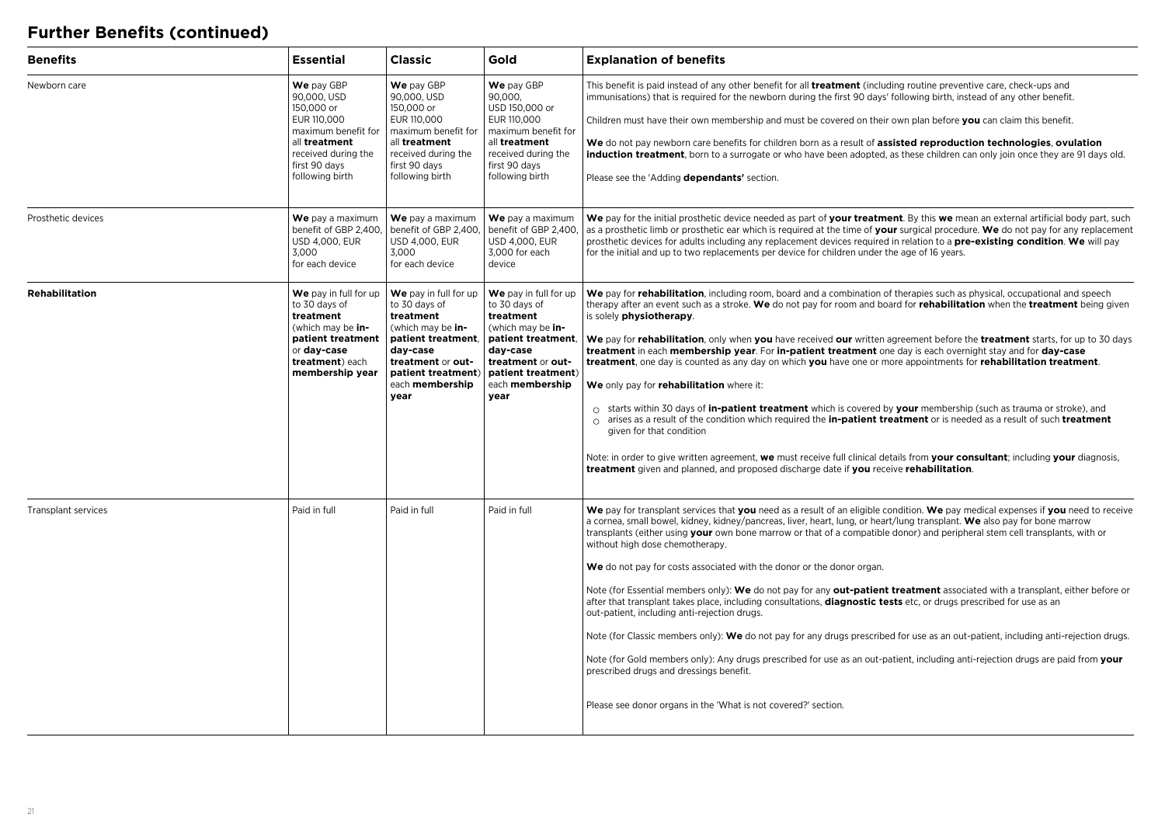## **Further Benefits (continued)**

| <b>Benefits</b>     | <b>Essential</b>                                                                                                                                          | <b>Classic</b>                                                                                                                                                                   | Gold                                                                                                                                                                             | <b>Explanation of benefits</b>                                                                                                                                                                                                                                                                                                                                                                                                                                                                                                                                                                                                                                                                                                                                                                                                                                                                                                                                                                                                                                                                                                                                                                                                                                  |
|---------------------|-----------------------------------------------------------------------------------------------------------------------------------------------------------|----------------------------------------------------------------------------------------------------------------------------------------------------------------------------------|----------------------------------------------------------------------------------------------------------------------------------------------------------------------------------|-----------------------------------------------------------------------------------------------------------------------------------------------------------------------------------------------------------------------------------------------------------------------------------------------------------------------------------------------------------------------------------------------------------------------------------------------------------------------------------------------------------------------------------------------------------------------------------------------------------------------------------------------------------------------------------------------------------------------------------------------------------------------------------------------------------------------------------------------------------------------------------------------------------------------------------------------------------------------------------------------------------------------------------------------------------------------------------------------------------------------------------------------------------------------------------------------------------------------------------------------------------------|
| Newborn care        | We pay GBP<br>90,000, USD<br>150,000 or<br>EUR 110,000<br>maximum benefit for<br>all treatment<br>received during the<br>first 90 days<br>following birth | We pay GBP<br>90,000, USD<br>150,000 or<br>EUR 110,000<br>maximum benefit for<br>all treatment<br>received during the<br>first 90 days<br>following birth                        | We pay GBP<br>90,000,<br>USD 150,000 or<br>EUR 110,000<br>maximum benefit for<br>all treatment<br>received during the<br>first 90 days<br>following birth                        | This benefit is paid instead of any other benefit for all <b>treatment</b> (including routine preventive care, check-ups and<br>immunisations) that is required for the newborn during the first 90 days' following birth, instead of any other benefit.<br>Children must have their own membership and must be covered on their own plan before you can claim this benefit.<br>We do not pay newborn care benefits for children born as a result of assisted reproduction technologies, ovulation<br>induction treatment, born to a surrogate or who have been adopted, as these children can only join once they are 91 days old.<br>Please see the 'Adding dependants' section.                                                                                                                                                                                                                                                                                                                                                                                                                                                                                                                                                                              |
| Prosthetic devices  | We pay a maximum<br>benefit of GBP 2,400,<br><b>USD 4,000, EUR</b><br>3,000<br>for each device                                                            | We pay a maximum<br>benefit of GBP 2,400,<br><b>USD 4,000, EUR</b><br>3,000<br>for each device                                                                                   | We pay a maximum<br>benefit of GBP 2,400.<br><b>USD 4,000, EUR</b><br>3,000 for each<br>device                                                                                   | We pay for the initial prosthetic device needed as part of your treatment. By this we mean an external artificial body part, such<br>as a prosthetic limb or prosthetic ear which is required at the time of your surgical procedure. We do not pay for any replacement<br>prosthetic devices for adults including any replacement devices required in relation to a <b>pre-existing condition. We</b> will pay<br>for the initial and up to two replacements per device for children under the age of 16 years.                                                                                                                                                                                                                                                                                                                                                                                                                                                                                                                                                                                                                                                                                                                                                |
| Rehabilitation      | We pay in full for up<br>to 30 days of<br>treatment<br>(which may be in-<br>patient treatment<br>or day-case<br>treatment) each<br>membership year        | We pay in full for up<br>to 30 days of<br>treatment<br>(which may be in-<br>patient treatment,<br>day-case<br>treatment or out-<br>patient treatment)<br>each membership<br>year | We pay in full for up<br>to 30 days of<br>treatment<br>(which may be in-<br>patient treatment.<br>day-case<br>treatment or out-<br>patient treatment)<br>each membership<br>year | We pay for rehabilitation, including room, board and a combination of therapies such as physical, occupational and speech<br>therapy after an event such as a stroke. We do not pay for room and board for <b>rehabilitation</b> when the treatment being given<br>is solely physiotherapy.<br>We pay for rehabilitation, only when you have received our written agreement before the treatment starts, for up to 30 days<br>treatment in each membership year. For in-patient treatment one day is each overnight stay and for day-case<br>treatment, one day is counted as any day on which you have one or more appointments for rehabilitation treatment.<br>We only pay for rehabilitation where it:<br>$\circ$ starts within 30 days of <b>in-patient treatment</b> which is covered by <b>your</b> membership (such as trauma or stroke), and<br>$\circ$ arises as a result of the condition which required the <b>in-patient treatment</b> or is needed as a result of such <b>treatment</b><br>given for that condition<br>Note: in order to give written agreement, we must receive full clinical details from your consultant; including your diagnosis,<br>treatment given and planned, and proposed discharge date if you receive rehabilitation. |
| Transplant services | Paid in full                                                                                                                                              | Paid in full                                                                                                                                                                     | Paid in full                                                                                                                                                                     | We pay for transplant services that you need as a result of an eligible condition. We pay medical expenses if you need to receive<br>a cornea, small bowel, kidney, kidney/pancreas, liver, heart, lung, or heart/lung transplant. We also pay for bone marrow<br>transplants (either using your own bone marrow or that of a compatible donor) and peripheral stem cell transplants, with or<br>without high dose chemotherapy.<br>We do not pay for costs associated with the donor or the donor organ.<br>Note (for Essential members only): We do not pay for any out-patient treatment associated with a transplant, either before or<br>after that transplant takes place, including consultations, <b>diagnostic tests</b> etc, or drugs prescribed for use as an<br>out-patient, including anti-rejection drugs.<br>Note (for Classic members only): We do not pay for any drugs prescribed for use as an out-patient, including anti-rejection drugs.<br>Note (for Gold members only): Any drugs prescribed for use as an out-patient, including anti-rejection drugs are paid from your<br>prescribed drugs and dressings benefit.<br>Please see donor organs in the 'What is not covered?' section.                                                  |
|                     |                                                                                                                                                           |                                                                                                                                                                                  |                                                                                                                                                                                  |                                                                                                                                                                                                                                                                                                                                                                                                                                                                                                                                                                                                                                                                                                                                                                                                                                                                                                                                                                                                                                                                                                                                                                                                                                                                 |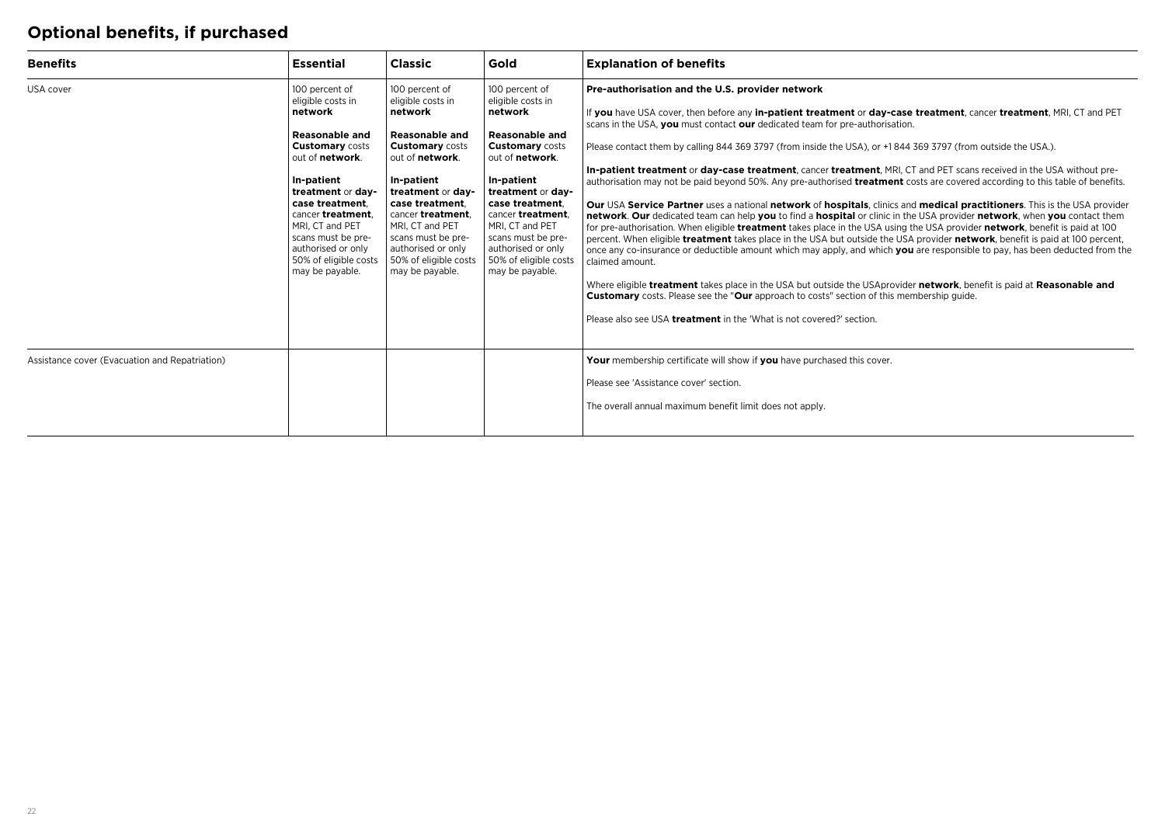## **Optional benefits, if purchased**

| <b>Benefits</b>                                | <b>Essential</b>                                                                                                                                                                                                                                                                                           | <b>Classic</b>                                                                                                                                                                                                                                                                                              | Gold                                                                                                                                                                                                                                                                                                       | <b>Explanation of benefits</b>                                                                                                                                                                                                                                                                                                                                                                                                                                                                                                                                                                                                                                                                                                                                                                                                                                                                                                                                                                                                                                                                                                                                                                                                                                                                                                                                                                                                                                                                                                                                                                                        |
|------------------------------------------------|------------------------------------------------------------------------------------------------------------------------------------------------------------------------------------------------------------------------------------------------------------------------------------------------------------|-------------------------------------------------------------------------------------------------------------------------------------------------------------------------------------------------------------------------------------------------------------------------------------------------------------|------------------------------------------------------------------------------------------------------------------------------------------------------------------------------------------------------------------------------------------------------------------------------------------------------------|-----------------------------------------------------------------------------------------------------------------------------------------------------------------------------------------------------------------------------------------------------------------------------------------------------------------------------------------------------------------------------------------------------------------------------------------------------------------------------------------------------------------------------------------------------------------------------------------------------------------------------------------------------------------------------------------------------------------------------------------------------------------------------------------------------------------------------------------------------------------------------------------------------------------------------------------------------------------------------------------------------------------------------------------------------------------------------------------------------------------------------------------------------------------------------------------------------------------------------------------------------------------------------------------------------------------------------------------------------------------------------------------------------------------------------------------------------------------------------------------------------------------------------------------------------------------------------------------------------------------------|
| USA cover                                      | 100 percent of<br>eligible costs in<br>network<br><b>Reasonable and</b><br><b>Customary costs</b><br>out of network.<br>In-patient<br>treatment or day-<br>case treatment.<br>cancer treatment.<br>MRI. CT and PET<br>scans must be pre-<br>authorised or only<br>50% of eligible costs<br>may be payable. | 100 percent of<br>eligible costs in<br>network<br>Reasonable and<br><b>Customary</b> costs<br>out of <b>network</b> .<br>In-patient<br>treatment or day-<br>case treatment.<br>cancer treatment.<br>MRI. CT and PET<br>scans must be pre-<br>authorised or only<br>50% of eligible costs<br>may be payable. | 100 percent of<br>eligible costs in<br>network<br><b>Reasonable and</b><br><b>Customary</b> costs<br>out of network.<br>In-patient<br>treatment or dav-<br>case treatment.<br>cancer treatment.<br>MRI. CT and PET<br>scans must be pre-<br>authorised or only<br>50% of eligible costs<br>may be payable. | Pre-authorisation and the U.S. provider network<br>If you have USA cover, then before any in-patient treatment or day-case treatment, cancer treatment, MRI, CT and PET<br>scans in the USA, you must contact our dedicated team for pre-authorisation.<br>Please contact them by calling 844 369 3797 (from inside the USA), or +1 844 369 3797 (from outside the USA.).<br>In-patient treatment or day-case treatment, cancer treatment, MRI, CT and PET scans received in the USA without pre-<br>authorisation may not be paid beyond 50%. Any pre-authorised treatment costs are covered according to this table of benefits.<br>Our USA Service Partner uses a national network of hospitals, clinics and medical practitioners. This is the USA provider<br>network. Our dedicated team can help you to find a hospital or clinic in the USA provider network, when you contact them<br>for pre-authorisation. When eligible treatment takes place in the USA using the USA provider network, benefit is paid at 100<br>percent. When eligible treatment takes place in the USA but outside the USA provider network, benefit is paid at 100 percent,<br>once any co-insurance or deductible amount which may apply, and which you are responsible to pay, has been deducted from the<br>claimed amount.<br>Where eligible treatment takes place in the USA but outside the USAprovider network, benefit is paid at Reasonable and<br><b>Customary</b> costs. Please see the "Our approach to costs" section of this membership quide.<br>Please also see USA treatment in the 'What is not covered?' section. |
| Assistance cover (Evacuation and Repatriation) |                                                                                                                                                                                                                                                                                                            |                                                                                                                                                                                                                                                                                                             |                                                                                                                                                                                                                                                                                                            | Your membership certificate will show if you have purchased this cover.<br>Please see 'Assistance cover' section.<br>The overall annual maximum benefit limit does not apply.                                                                                                                                                                                                                                                                                                                                                                                                                                                                                                                                                                                                                                                                                                                                                                                                                                                                                                                                                                                                                                                                                                                                                                                                                                                                                                                                                                                                                                         |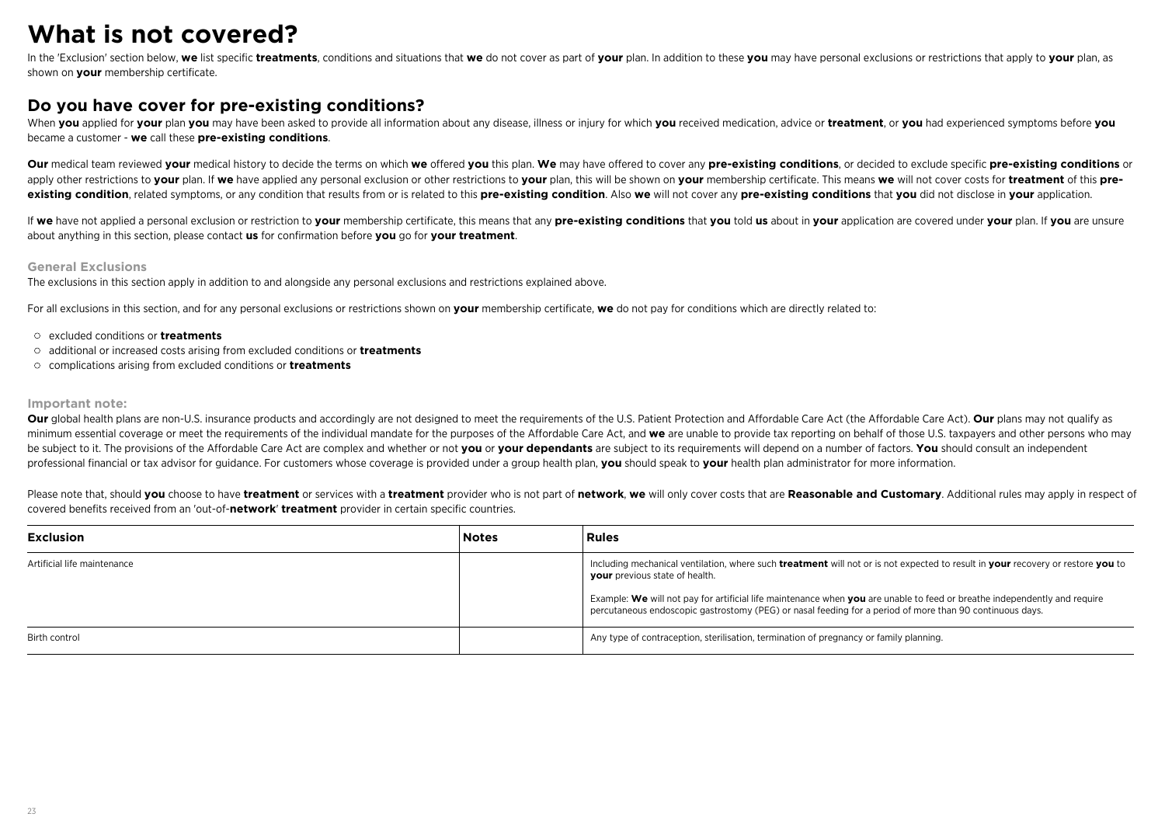## **What is not covered?**

In the 'Exclusion' section below. we list specific treatments, conditions and situations that we do not cover as part of your plan. In addition to these you may have personal exclusions or restrictions that apply to your p shown on **your** membership certificate.

### **Do you have cover for pre-existing conditions?**

When you applied for your plan you may have been asked to provide all information about any disease. illness or injury for which you received medication, advice or treatment, or you had experienced symptoms before you became a customer - **we** call these **pre-existing conditions**.

Our medical team reviewed vour medical history to decide the terms on which we offered vou this plan. We may have offered to cover any pre-existing conditions, or decided to exclude specific pre-existing conditions or apply other restrictions to your plan. If we have applied any personal exclusion or other restrictions to your plan, this will be shown on your membership certificate. This means we will not cover costs for treatment of th existing condition, related symptoms, or any condition that results from or is related to this pre-existing condition. Also we will not cover any pre-existing conditions that you did not disclose in your application.

If we have not applied a personal exclusion or restriction to your membership certificate, this means that any pre-existing conditions that you told us about in your application are covered under your plan. If you are unsu about anything in this section, please contact **us** for confirmation before **you** go for **your treatment**.

### **General Exclusions**

The exclusions in this section apply in addition to and alongside any personal exclusions and restrictions explained above.

For all exclusions in this section, and for any personal exclusions or restrictions shown on **your** membership certificate, **we** do not pay for conditions which are directly related to:

- excluded conditions or **treatments**
- additional or increased costs arising from excluded conditions or **treatments**
- complications arising from excluded conditions or **treatments**

#### **Important note:**

Our global health plans are non-U.S. insurance products and accordingly are not designed to meet the requirements of the U.S. Patient Protection and Affordable Care Act (the Affordable Care Act). Our plans may not qualify minimum essential coverage or meet the requirements of the individual mandate for the purposes of the Affordable Care Act, and we are unable to provide tax reporting on behalf of those U.S. taxpayers and other persons who be subject to it. The provisions of the Affordable Care Act are complex and whether or not you or your dependants are subject to its requirements will depend on a number of factors. You should consult an independent professional financial or tax advisor for guidance. For customers whose coverage is provided under a group health plan, **you** should speak to **your** health plan administrator for more information.

Please note that, should you choose to have treatment or services with a treatment provider who is not part of network, we will only cover costs that are Reasonable and Customary. Additional rules may apply in respect of covered benefits received from an 'out-of-**network**' **treatment** provider in certain specific countries.

| <b>Exclusion</b>            | <b>Notes</b> | Rules                                                                                                                                                                                                                                 |
|-----------------------------|--------------|---------------------------------------------------------------------------------------------------------------------------------------------------------------------------------------------------------------------------------------|
| Artificial life maintenance |              | Including mechanical ventilation, where such treatment will not or is not expected to result in your recovery or restore you to<br>your previous state of health.                                                                     |
|                             |              | Example: We will not pay for artificial life maintenance when you are unable to feed or breathe independently and require<br>percutaneous endoscopic gastrostomy (PEG) or nasal feeding for a period of more than 90 continuous days. |
| Birth control               |              | Any type of contraception, sterilisation, termination of pregnancy or family planning.                                                                                                                                                |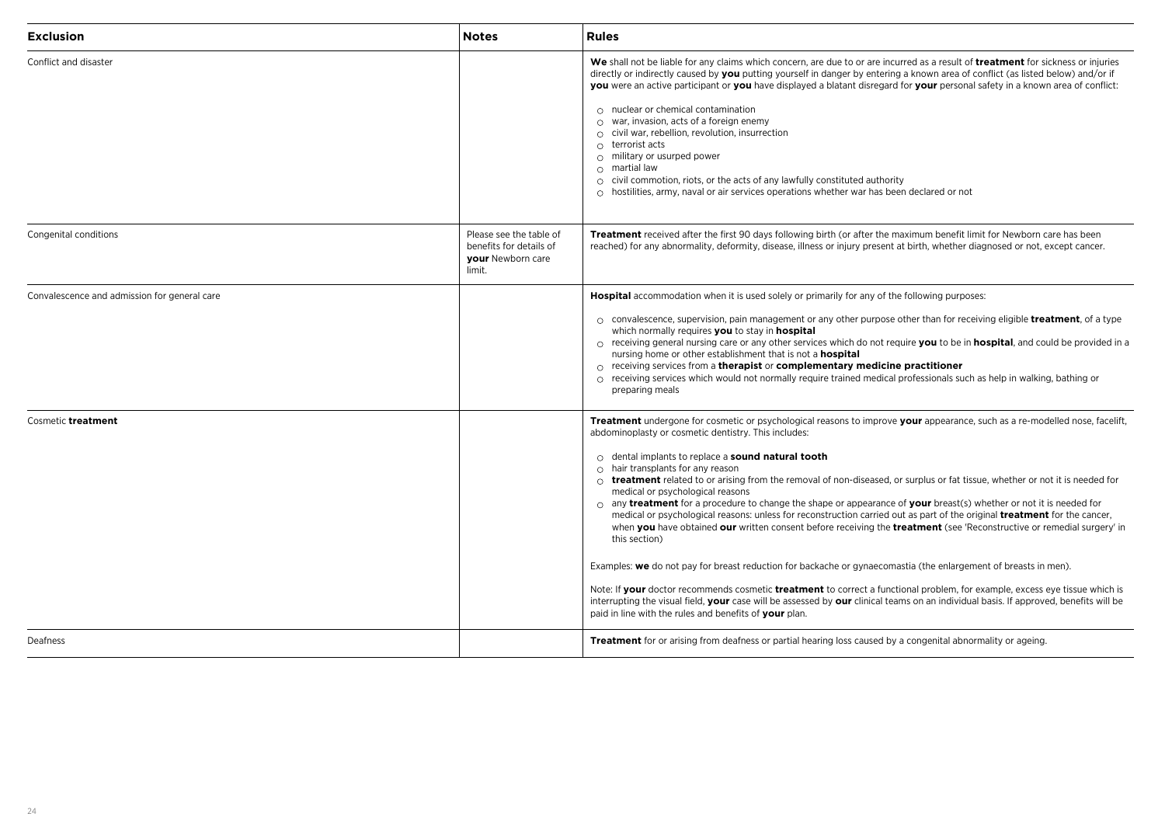| <b>Exclusion</b>                             | <b>Notes</b>                                                                      | <b>Rules</b>                                                                                                                                                                                                                                                                                                                                                                                                                                                                                                                                                                                                                                                                                                                                                                                                                                                                                                                                                                                                                                                                                                                                                                                                                                                                                                                                                |
|----------------------------------------------|-----------------------------------------------------------------------------------|-------------------------------------------------------------------------------------------------------------------------------------------------------------------------------------------------------------------------------------------------------------------------------------------------------------------------------------------------------------------------------------------------------------------------------------------------------------------------------------------------------------------------------------------------------------------------------------------------------------------------------------------------------------------------------------------------------------------------------------------------------------------------------------------------------------------------------------------------------------------------------------------------------------------------------------------------------------------------------------------------------------------------------------------------------------------------------------------------------------------------------------------------------------------------------------------------------------------------------------------------------------------------------------------------------------------------------------------------------------|
| Conflict and disaster                        |                                                                                   | We shall not be liable for any claims which concern, are due to or are incurred as a result of treatment for sickness or injuries<br>directly or indirectly caused by you putting yourself in danger by entering a known area of conflict (as listed below) and/or if<br>you were an active participant or you have displayed a blatant disregard for your personal safety in a known area of conflict:<br>$\circ$ nuclear or chemical contamination<br>$\circ$ war, invasion, acts of a foreign enemy<br>$\circ$ civil war, rebellion, revolution, insurrection<br>$\circ$ terrorist acts<br>$\circ$ military or usurped power<br>$\circ$ martial law<br>$\circ$ civil commotion, riots, or the acts of any lawfully constituted authority<br>$\circ$ hostilities, army, naval or air services operations whether war has been declared or not                                                                                                                                                                                                                                                                                                                                                                                                                                                                                                             |
| Congenital conditions                        | Please see the table of<br>benefits for details of<br>your Newborn care<br>limit. | Treatment received after the first 90 days following birth (or after the maximum benefit limit for Newborn care has been<br>reached) for any abnormality, deformity, disease, illness or injury present at birth, whether diagnosed or not, except cancer.                                                                                                                                                                                                                                                                                                                                                                                                                                                                                                                                                                                                                                                                                                                                                                                                                                                                                                                                                                                                                                                                                                  |
| Convalescence and admission for general care |                                                                                   | <b>Hospital</b> accommodation when it is used solely or primarily for any of the following purposes:<br>$\circ$ convalescence, supervision, pain management or any other purpose other than for receiving eligible <b>treatment</b> , of a type<br>which normally requires you to stay in hospital<br>$\circ$ receiving general nursing care or any other services which do not require you to be in hospital, and could be provided in a<br>nursing home or other establishment that is not a <b>hospital</b><br>$\circ$ receiving services from a therapist or complementary medicine practitioner<br>$\circ$ receiving services which would not normally require trained medical professionals such as help in walking, bathing or<br>preparing meals                                                                                                                                                                                                                                                                                                                                                                                                                                                                                                                                                                                                    |
| Cosmetic treatment                           |                                                                                   | <b>Treatment</b> undergone for cosmetic or psychological reasons to improve your appearance, such as a re-modelled nose, facelift,<br>abdominoplasty or cosmetic dentistry. This includes:<br>$\circ$ dental implants to replace a <b>sound natural tooth</b><br>$\circ$ hair transplants for any reason<br>$\circ$ treatment related to or arising from the removal of non-diseased, or surplus or fat tissue, whether or not it is needed for<br>medical or psychological reasons<br>$\circ$ any <b>treatment</b> for a procedure to change the shape or appearance of your breast(s) whether or not it is needed for<br>medical or psychological reasons: unless for reconstruction carried out as part of the original <b>treatment</b> for the cancer,<br>when you have obtained our written consent before receiving the treatment (see 'Reconstructive or remedial surgery' in<br>this section)<br>Examples: we do not pay for breast reduction for backache or gynaecomastia (the enlargement of breasts in men).<br>Note: If your doctor recommends cosmetic treatment to correct a functional problem, for example, excess eye tissue which is<br>interrupting the visual field, your case will be assessed by our clinical teams on an individual basis. If approved, benefits will be<br>paid in line with the rules and benefits of your plan. |
| Deafness                                     |                                                                                   | <b>Treatment</b> for or arising from deafness or partial hearing loss caused by a congenital abnormality or ageing.                                                                                                                                                                                                                                                                                                                                                                                                                                                                                                                                                                                                                                                                                                                                                                                                                                                                                                                                                                                                                                                                                                                                                                                                                                         |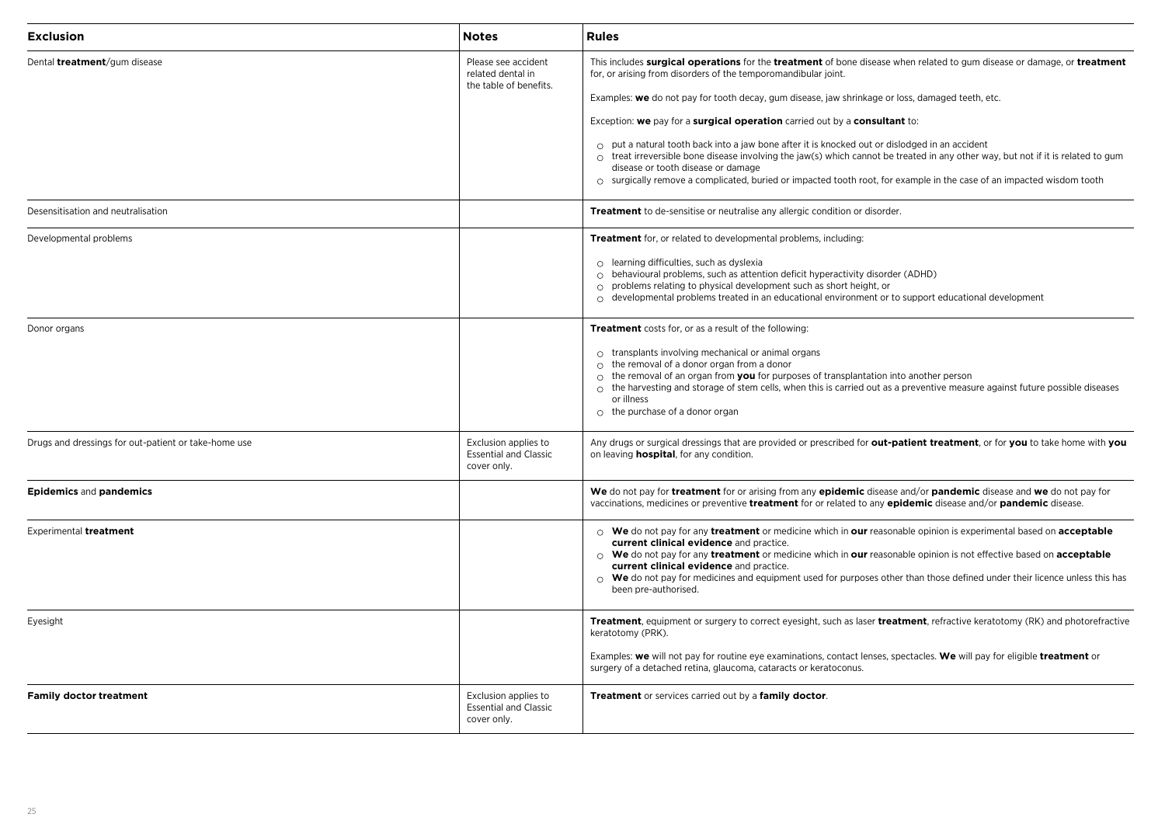| <b>Exclusion</b>                                     | <b>Notes</b>                                                        | <b>Rules</b>                                                                                                                                                                                                                                                                                                                                                                                                                                                                                                                                                                                                                                                                                                                                                                                       |
|------------------------------------------------------|---------------------------------------------------------------------|----------------------------------------------------------------------------------------------------------------------------------------------------------------------------------------------------------------------------------------------------------------------------------------------------------------------------------------------------------------------------------------------------------------------------------------------------------------------------------------------------------------------------------------------------------------------------------------------------------------------------------------------------------------------------------------------------------------------------------------------------------------------------------------------------|
| Dental <i>treatment</i> /gum disease                 | Please see accident<br>related dental in<br>the table of benefits.  | This includes surgical operations for the treatment of bone disease when related to gum disease or damage, or treatment<br>for, or arising from disorders of the temporomandibular joint.<br>Examples: we do not pay for tooth decay, gum disease, jaw shrinkage or loss, damaged teeth, etc.<br>Exception: we pay for a surgical operation carried out by a consultant to:<br>$\circ$ put a natural tooth back into a jaw bone after it is knocked out or dislodged in an accident<br>$\circ$ treat irreversible bone disease involving the jaw(s) which cannot be treated in any other way, but not if it is related to gum<br>disease or tooth disease or damage<br>$\circ$ surgically remove a complicated, buried or impacted tooth root, for example in the case of an impacted wisdom tooth |
| Desensitisation and neutralisation                   |                                                                     | Treatment to de-sensitise or neutralise any allergic condition or disorder.                                                                                                                                                                                                                                                                                                                                                                                                                                                                                                                                                                                                                                                                                                                        |
| Developmental problems                               |                                                                     | Treatment for, or related to developmental problems, including:<br>$\circ$ learning difficulties, such as dyslexia<br>$\circ$ behavioural problems, such as attention deficit hyperactivity disorder (ADHD)<br>$\circ$ problems relating to physical development such as short height, or<br>developmental problems treated in an educational environment or to support educational development<br>$\circ$                                                                                                                                                                                                                                                                                                                                                                                         |
| Donor organs                                         |                                                                     | Treatment costs for, or as a result of the following:<br>$\circ$ transplants involving mechanical or animal organs<br>$\circ$ the removal of a donor organ from a donor<br>$\circ$ the removal of an organ from you for purposes of transplantation into another person<br>$\circ$ the harvesting and storage of stem cells, when this is carried out as a preventive measure against future possible diseases<br>or illness<br>$\circ$ the purchase of a donor organ                                                                                                                                                                                                                                                                                                                              |
| Drugs and dressings for out-patient or take-home use | Exclusion applies to<br><b>Essential and Classic</b><br>cover only. | Any drugs or surgical dressings that are provided or prescribed for out-patient treatment, or for you to take home with you<br>on leaving <b>hospital</b> , for any condition.                                                                                                                                                                                                                                                                                                                                                                                                                                                                                                                                                                                                                     |
| <b>Epidemics and pandemics</b>                       |                                                                     | We do not pay for treatment for or arising from any epidemic disease and/or pandemic disease and we do not pay for<br>vaccinations, medicines or preventive treatment for or related to any epidemic disease and/or pandemic disease.                                                                                                                                                                                                                                                                                                                                                                                                                                                                                                                                                              |
| Experimental treatment                               |                                                                     | $\circ$ We do not pay for any treatment or medicine which in our reasonable opinion is experimental based on acceptable<br>current clinical evidence and practice.<br>○ We do not pay for any treatment or medicine which in our reasonable opinion is not effective based on acceptable<br>current clinical evidence and practice.<br>$\circ$ We do not pay for medicines and equipment used for purposes other than those defined under their licence unless this has<br>been pre-authorised.                                                                                                                                                                                                                                                                                                    |
| Eyesight                                             |                                                                     | <b>Treatment</b> , equipment or surgery to correct eyesight, such as laser <b>treatment</b> , refractive keratotomy (RK) and photorefractive<br>keratotomy (PRK).<br>Examples: we will not pay for routine eye examinations, contact lenses, spectacles. We will pay for eligible treatment or<br>surgery of a detached retina, glaucoma, cataracts or keratoconus.                                                                                                                                                                                                                                                                                                                                                                                                                                |
| <b>Family doctor treatment</b>                       | Exclusion applies to<br><b>Essential and Classic</b><br>cover only. | Treatment or services carried out by a family doctor.                                                                                                                                                                                                                                                                                                                                                                                                                                                                                                                                                                                                                                                                                                                                              |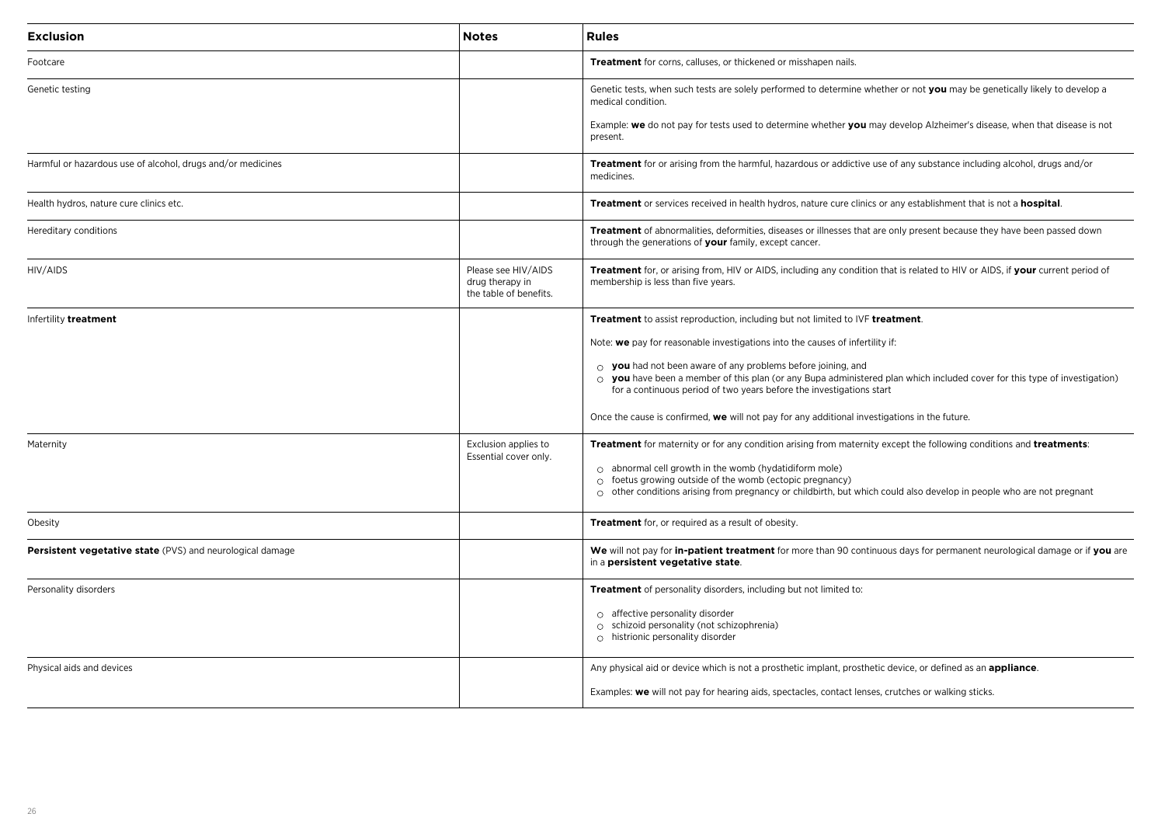| Exclusion                                                   | <b>Notes</b>                                                     | <b>Rules</b>                                                                                                                                                                                                                                                                  |
|-------------------------------------------------------------|------------------------------------------------------------------|-------------------------------------------------------------------------------------------------------------------------------------------------------------------------------------------------------------------------------------------------------------------------------|
| Footcare                                                    |                                                                  | Treatment for corns, calluses, or thickened or misshapen nails.                                                                                                                                                                                                               |
| Genetic testing                                             |                                                                  | Genetic tests, when such tests are solely performed to determine whether or not you may be genetically likely to develop a<br>medical condition.                                                                                                                              |
|                                                             |                                                                  | Example: we do not pay for tests used to determine whether you may develop Alzheimer's disease, when that disease is not<br>present.                                                                                                                                          |
| Harmful or hazardous use of alcohol, drugs and/or medicines |                                                                  | Treatment for or arising from the harmful, hazardous or addictive use of any substance including alcohol, drugs and/or<br>medicines.                                                                                                                                          |
| Health hydros, nature cure clinics etc.                     |                                                                  | Treatment or services received in health hydros, nature cure clinics or any establishment that is not a hospital.                                                                                                                                                             |
| Hereditary conditions                                       |                                                                  | Treatment of abnormalities, deformities, diseases or illnesses that are only present because they have been passed down<br>through the generations of your family, except cancer.                                                                                             |
| HIV/AIDS                                                    | Please see HIV/AIDS<br>drug therapy in<br>the table of benefits. | Treatment for, or arising from, HIV or AIDS, including any condition that is related to HIV or AIDS, if your current period of<br>membership is less than five years.                                                                                                         |
| Infertility treatment                                       |                                                                  | Treatment to assist reproduction, including but not limited to IVF treatment.                                                                                                                                                                                                 |
|                                                             |                                                                  | Note: we pay for reasonable investigations into the causes of infertility if:                                                                                                                                                                                                 |
|                                                             |                                                                  | $\circ$ you had not been aware of any problems before joining, and<br>$\circ$ you have been a member of this plan (or any Bupa administered plan which included cover for this type of investigation)<br>for a continuous period of two years before the investigations start |
|                                                             |                                                                  | Once the cause is confirmed, we will not pay for any additional investigations in the future.                                                                                                                                                                                 |
| Maternity                                                   | Exclusion applies to<br>Essential cover only.                    | Treatment for maternity or for any condition arising from maternity except the following conditions and treatments:                                                                                                                                                           |
|                                                             |                                                                  | $\circ$ abnormal cell growth in the womb (hydatidiform mole)<br>$\circ$ foetus growing outside of the womb (ectopic pregnancy)                                                                                                                                                |
|                                                             |                                                                  | $\circ$ other conditions arising from pregnancy or childbirth, but which could also develop in people who are not pregnant                                                                                                                                                    |
| Obesity                                                     |                                                                  | Treatment for, or required as a result of obesity.                                                                                                                                                                                                                            |
| Persistent vegetative state (PVS) and neurological damage   |                                                                  | We will not pay for in-patient treatment for more than 90 continuous days for permanent neurological damage or if you are<br>in a persistent vegetative state.                                                                                                                |
| Personality disorders                                       |                                                                  | Treatment of personality disorders, including but not limited to:                                                                                                                                                                                                             |
|                                                             |                                                                  | $\circ$ affective personality disorder<br>o schizoid personality (not schizophrenia)<br>$\circ$ histrionic personality disorder                                                                                                                                               |
| Physical aids and devices                                   |                                                                  | Any physical aid or device which is not a prosthetic implant, prosthetic device, or defined as an <b>appliance</b> .                                                                                                                                                          |
|                                                             |                                                                  | Examples: we will not pay for hearing aids, spectacles, contact lenses, crutches or walking sticks.                                                                                                                                                                           |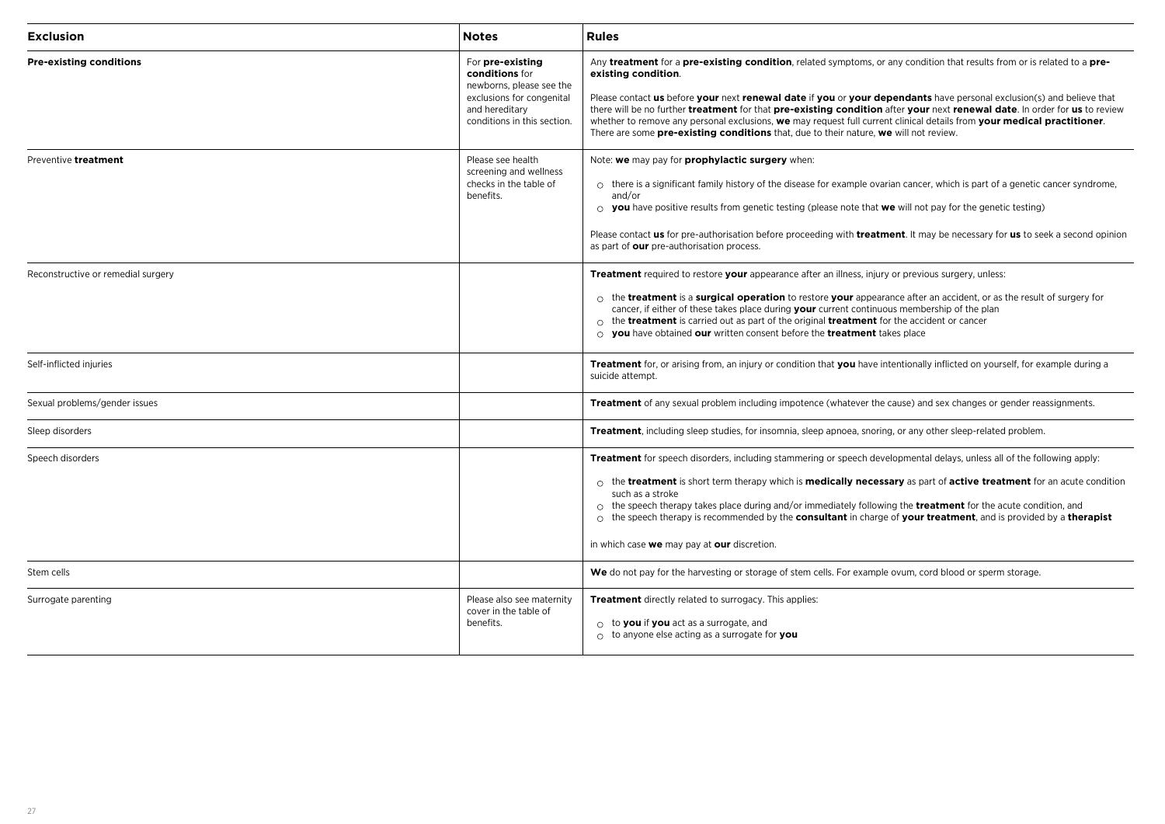| <b>Exclusion</b>                   | <b>Notes</b>                                                                                                                                 | <b>Rules</b>                                                                                                                                                                                                                                                                                                                                                                                                                                                                                                                                                                                                               |
|------------------------------------|----------------------------------------------------------------------------------------------------------------------------------------------|----------------------------------------------------------------------------------------------------------------------------------------------------------------------------------------------------------------------------------------------------------------------------------------------------------------------------------------------------------------------------------------------------------------------------------------------------------------------------------------------------------------------------------------------------------------------------------------------------------------------------|
| <b>Pre-existing conditions</b>     | For pre-existing<br>conditions for<br>newborns, please see the<br>exclusions for congenital<br>and hereditary<br>conditions in this section. | Any treatment for a pre-existing condition, related symptoms, or any condition that results from or is related to a pre-<br>existing condition.<br>Please contact us before your next renewal date if you or your dependants have personal exclusion(s) and believe that<br>there will be no further treatment for that pre-existing condition after your next renewal date. In order for us to review<br>whether to remove any personal exclusions, we may request full current clinical details from your medical practitioner.<br>There are some pre-existing conditions that, due to their nature, we will not review. |
| Preventive treatment               | Please see health<br>screening and wellness<br>checks in the table of<br>benefits.                                                           | Note: we may pay for prophylactic surgery when:<br>$\circ$ there is a significant family history of the disease for example ovarian cancer, which is part of a genetic cancer syndrome,<br>and/or<br>$\circ$ you have positive results from genetic testing (please note that we will not pay for the genetic testing)<br>Please contact us for pre-authorisation before proceeding with treatment. It may be necessary for us to seek a second opinion<br>as part of our pre-authorisation process.                                                                                                                       |
| Reconstructive or remedial surgery |                                                                                                                                              | <b>Treatment</b> required to restore your appearance after an illness, injury or previous surgery, unless:<br>$\circ$ the <b>treatment</b> is a <b>surgical operation</b> to restore <b>your</b> appearance after an accident, or as the result of surgery for<br>cancer, if either of these takes place during your current continuous membership of the plan<br>$\circ$ the <b>treatment</b> is carried out as part of the original <b>treatment</b> for the accident or cancer<br>$\circ$ you have obtained our written consent before the treatment takes place                                                        |
| Self-inflicted injuries            |                                                                                                                                              | <b>Treatment</b> for, or arising from, an injury or condition that you have intentionally inflicted on yourself, for example during a<br>suicide attempt.                                                                                                                                                                                                                                                                                                                                                                                                                                                                  |
| Sexual problems/gender issues      |                                                                                                                                              | <b>Treatment</b> of any sexual problem including impotence (whatever the cause) and sex changes or gender reassignments.                                                                                                                                                                                                                                                                                                                                                                                                                                                                                                   |
| Sleep disorders                    |                                                                                                                                              | Treatment, including sleep studies, for insomnia, sleep apnoea, snoring, or any other sleep-related problem.                                                                                                                                                                                                                                                                                                                                                                                                                                                                                                               |
| Speech disorders                   |                                                                                                                                              | Treatment for speech disorders, including stammering or speech developmental delays, unless all of the following apply:<br>$\circ$ the treatment is short term therapy which is medically necessary as part of active treatment for an acute condition<br>such as a stroke<br>$\circ$ the speech therapy takes place during and/or immediately following the <b>treatment</b> for the acute condition, and<br>$\circ$ the speech therapy is recommended by the <b>consultant</b> in charge of <b>your treatment</b> , and is provided by a <b>therapist</b><br>in which case we may pay at our discretion.                 |
| Stem cells                         |                                                                                                                                              | We do not pay for the harvesting or storage of stem cells. For example ovum, cord blood or sperm storage.                                                                                                                                                                                                                                                                                                                                                                                                                                                                                                                  |
| Surrogate parenting                | Please also see maternity<br>cover in the table of<br>benefits.                                                                              | <b>Treatment</b> directly related to surrogacy. This applies:<br>$\circ$ to you if you act as a surrogate, and<br>$\circ$ to anyone else acting as a surrogate for you                                                                                                                                                                                                                                                                                                                                                                                                                                                     |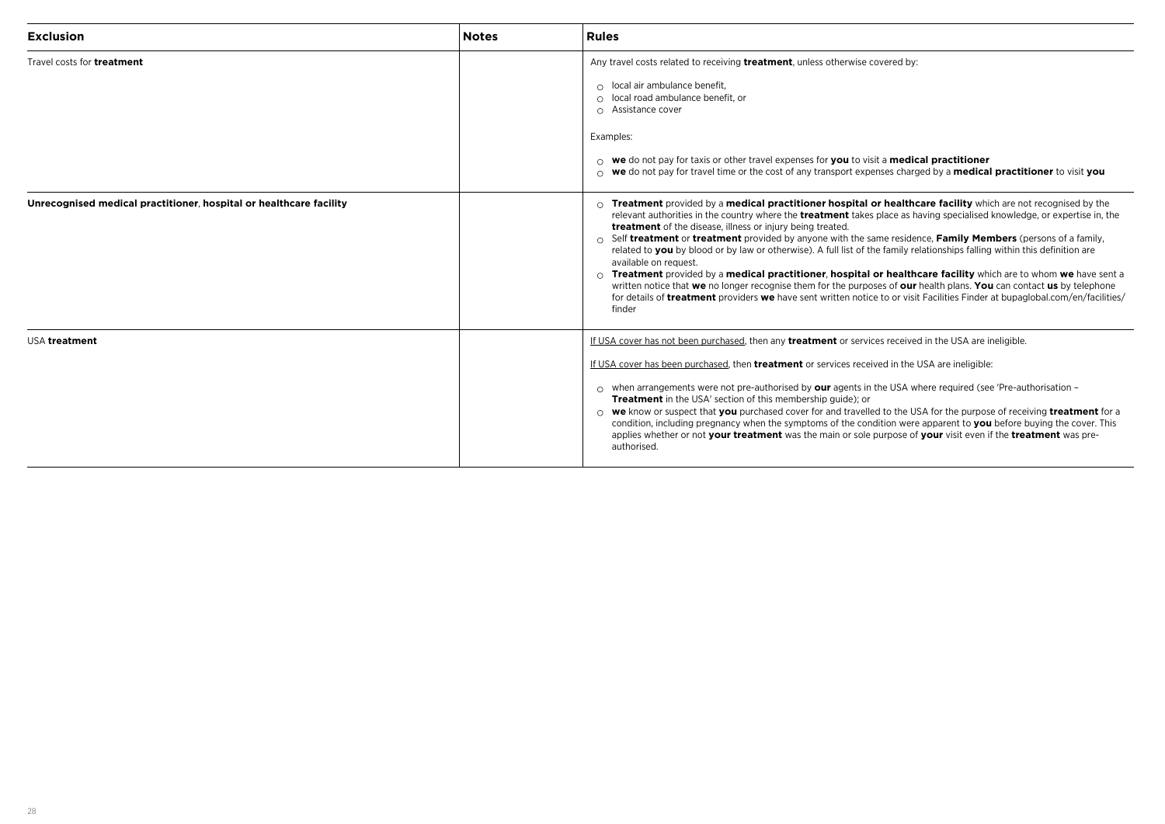| <b>Exclusion</b>                                                   | <b>Notes</b> | <b>Rules</b>                                                                                                                                                                                                                                                                                                                                                                                                                                                                                                                                                                                                                                                                                                                                                                                                                                                                                                                                                                                                |
|--------------------------------------------------------------------|--------------|-------------------------------------------------------------------------------------------------------------------------------------------------------------------------------------------------------------------------------------------------------------------------------------------------------------------------------------------------------------------------------------------------------------------------------------------------------------------------------------------------------------------------------------------------------------------------------------------------------------------------------------------------------------------------------------------------------------------------------------------------------------------------------------------------------------------------------------------------------------------------------------------------------------------------------------------------------------------------------------------------------------|
| Travel costs for <b>treatment</b>                                  |              | Any travel costs related to receiving <b>treatment</b> , unless otherwise covered by:<br>$\circ$ local air ambulance benefit,<br>$\circ$ local road ambulance benefit, or<br>○ Assistance cover<br>Examples:<br>$\circ$ we do not pay for taxis or other travel expenses for you to visit a medical practitioner<br>$\circ$ we do not pay for travel time or the cost of any transport expenses charged by a medical practitioner to visit you                                                                                                                                                                                                                                                                                                                                                                                                                                                                                                                                                              |
| Unrecognised medical practitioner, hospital or healthcare facility |              | $\circ$ Treatment provided by a medical practitioner hospital or healthcare facility which are not recognised by the<br>relevant authorities in the country where the <b>treatment</b> takes place as having specialised knowledge, or expertise in, the<br>treatment of the disease, illness or injury being treated.<br>$\circ$ Self treatment or treatment provided by anyone with the same residence, Family Members (persons of a family,<br>related to you by blood or by law or otherwise). A full list of the family relationships falling within this definition are<br>available on request.<br>$\circ$ Treatment provided by a medical practitioner, hospital or healthcare facility which are to whom we have sent a<br>written notice that we no longer recognise them for the purposes of our health plans. You can contact us by telephone<br>for details of <b>treatment</b> providers we have sent written notice to or visit Facilities Finder at bupaglobal.com/en/facilities/<br>finder |
| USA treatment                                                      |              | If USA cover has not been purchased, then any treatment or services received in the USA are ineligible.<br>If USA cover has been purchased, then <b>treatment</b> or services received in the USA are ineligible:<br>$\circ$ when arrangements were not pre-authorised by our agents in the USA where required (see 'Pre-authorisation –<br><b>Treatment</b> in the USA' section of this membership quide); or<br>○ we know or suspect that you purchased cover for and travelled to the USA for the purpose of receiving treatment for a<br>condition, including pregnancy when the symptoms of the condition were apparent to you before buying the cover. This<br>applies whether or not your treatment was the main or sole purpose of your visit even if the treatment was pre-<br>authorised.                                                                                                                                                                                                         |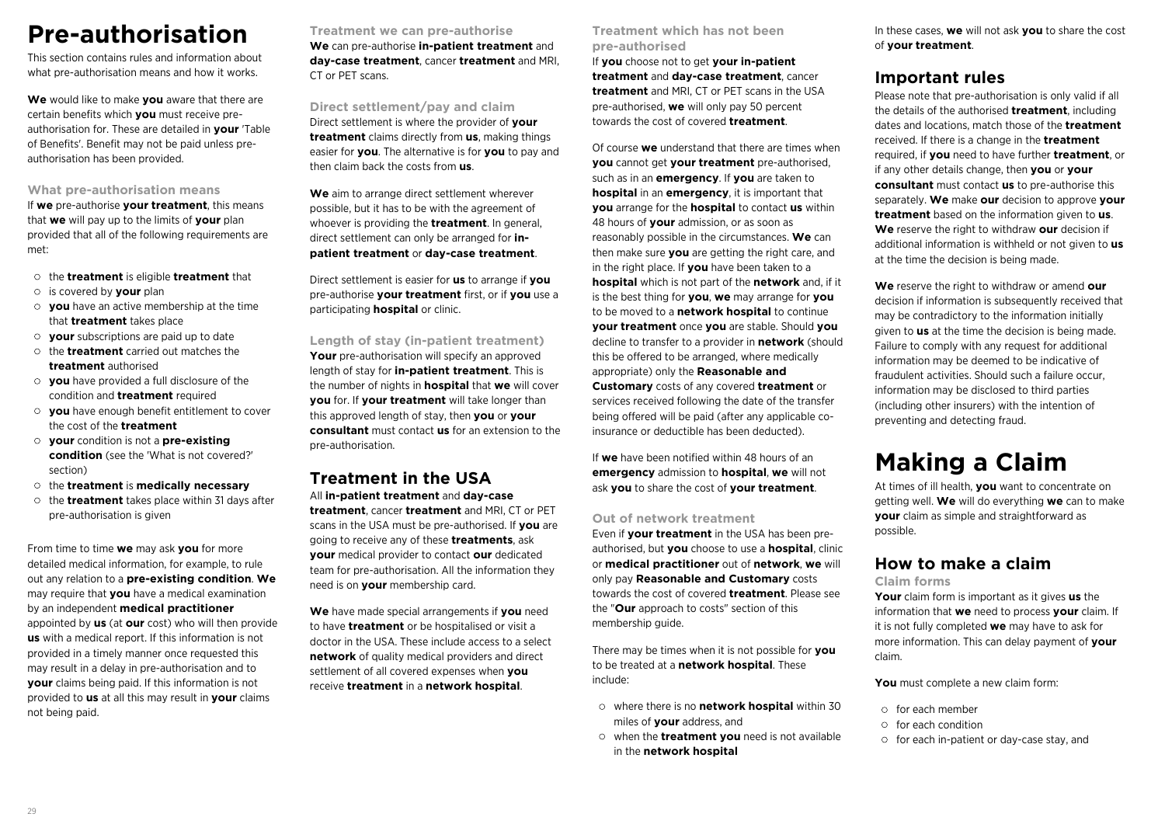## **Pre-authorisation**

This section contains rules and information about what pre-authorisation means and how it works.

**We** would like to make **you** aware that there are certain benefits which **you** must receive preauthorisation for. These are detailed in **your** 'Table of Benefits'. Benefit may not be paid unless preauthorisation has been provided.

### **What pre-authorisation means**

If **we** pre-authorise **your treatment**, this means that **we** will pay up to the limits of **your** plan provided that all of the following requirements are met:

- the **treatment** is eligible **treatment** that
- is covered by **your** plan
- **you** have an active membership at the time that **treatment** takes place
- **your** subscriptions are paid up to date
- the **treatment** carried out matches the **treatment** authorised
- **you** have provided a full disclosure of the condition and **treatment** required
- **you** have enough benefit entitlement to cover the cost of the **treatment**
- **your** condition is not a **pre-existing condition** (see the 'What is not covered?' section)
- the **treatment** is **medically necessary**
- the **treatment** takes place within 31 days after pre-authorisation is given

From time to time **we** may ask **you** for more detailed medical information, for example, to rule out any relation to a **pre-existing condition**. **We** may require that **you** have a medical examination by an independent **medical practitioner** appointed by **us** (at **our** cost) who will then provide **us** with a medical report. If this information is not provided in a timely manner once requested this may result in a delay in pre-authorisation and to **your** claims being paid. If this information is not provided to **us** at all this may result in **your** claims not being paid.

**Treatment we can pre-authorise We** can pre-authorise **in-patient treatment** and **day-case treatment**, cancer **treatment** and MRI, CT or PET scans.

**Direct settlement/pay and claim** Direct settlement is where the provider of **your treatment** claims directly from **us**, making things easier for **you**. The alternative is for **you** to pay and then claim back the costs from **us**.

**We** aim to arrange direct settlement wherever possible, but it has to be with the agreement of whoever is providing the **treatment**. In general, direct settlement can only be arranged for **inpatient treatment** or **day-case treatment**.

Direct settlement is easier for **us** to arrange if **you** pre-authorise **your treatment** first, or if **you** use a participating **hospital** or clinic.

**Length of stay (in-patient treatment)** Your pre-authorisation will specify an approved length of stay for **in-patient treatment**. This is the number of nights in **hospital** that **we** will cover **you** for. If **your treatment** will take longer than this approved length of stay, then **you** or **your consultant** must contact **us** for an extension to the pre-authorisation.

### **Treatment in the USA** All **in-patient treatment** and **day-case**

**treatment**, cancer **treatment** and MRI, CT or PET scans in the USA must be pre-authorised. If **you** are going to receive any of these **treatments**, ask **your** medical provider to contact **our** dedicated team for pre-authorisation. All the information they need is on **your** membership card.

**We** have made special arrangements if **you** need to have **treatment** or be hospitalised or visit a doctor in the USA. These include access to a select **network** of quality medical providers and direct settlement of all covered expenses when **you** receive **treatment** in a **network hospital**.

**Treatment which has not been pre-authorised**

If **you** choose not to get **your in-patient treatment** and **day-case treatment**, cancer **treatment** and MRI, CT or PET scans in the USA pre-authorised, **we** will only pay 50 percent towards the cost of covered **treatment**.

Of course **we** understand that there are times when **you** cannot get **your treatment** pre-authorised, such as in an **emergency**. If **you** are taken to **hospital** in an **emergency**, it is important that **you** arrange for the **hospital** to contact **us** within 48 hours of **your** admission, or as soon as reasonably possible in the circumstances. **We** can then make sure **you** are getting the right care, and in the right place. If **you** have been taken to a **hospital** which is not part of the **network** and, if it is the best thing for **you**, **we** may arrange for **you** to be moved to a **network hospital** to continue **your treatment** once **you** are stable. Should **you** decline to transfer to a provider in **network** (should this be offered to be arranged, where medically appropriate) only the **Reasonable and Customary** costs of any covered **treatment** or services received following the date of the transfer being offered will be paid (after any applicable coinsurance or deductible has been deducted).

If **we** have been notified within 48 hours of an **emergency** admission to **hospital**, **we** will not ask **you** to share the cost of **your treatment**.

### **Out of network treatment**

Even if **your treatment** in the USA has been preauthorised, but **you** choose to use a **hospital**, clinic or **medical practitioner** out of **network**, **we** will only pay **Reasonable and Customary** costs towards the cost of covered **treatment**. Please see the "**Our** approach to costs" section of this membership guide.

There may be times when it is not possible for **you** to be treated at a **network hospital**. These include:

- where there is no **network hospital** within 30 miles of **your** address, and
- when the **treatment you** need is not available in the **network hospital**

In these cases, **we** will not ask **you** to share the cost of **your treatment**.

### **Important rules**

Please note that pre-authorisation is only valid if all the details of the authorised **treatment**, including dates and locations, match those of the **treatment** received. If there is a change in the **treatment** required, if **you** need to have further **treatment**, or if any other details change, then **you** or **your consultant** must contact **us** to pre-authorise this separately. **We** make **our** decision to approve **your treatment** based on the information given to **us**. **We** reserve the right to withdraw **our** decision if additional information is withheld or not given to **us** at the time the decision is being made.

**We** reserve the right to withdraw or amend **our** decision if information is subsequently received that may be contradictory to the information initially given to **us** at the time the decision is being made. Failure to comply with any request for additional information may be deemed to be indicative of fraudulent activities. Should such a failure occur, information may be disclosed to third parties (including other insurers) with the intention of preventing and detecting fraud.

## **Making a Claim**

At times of ill health, **you** want to concentrate on getting well. **We** will do everything **we** can to make **your** claim as simple and straightforward as possible.

## **How to make a claim**

### **Claim forms**

**Your** claim form is important as it gives **us** the information that **we** need to process **your** claim. If it is not fully completed **we** may have to ask for more information. This can delay payment of **your** claim.

**You** must complete a new claim form:

- $\circ$  for each member
- for each condition
- o for each in-patient or day-case stay, and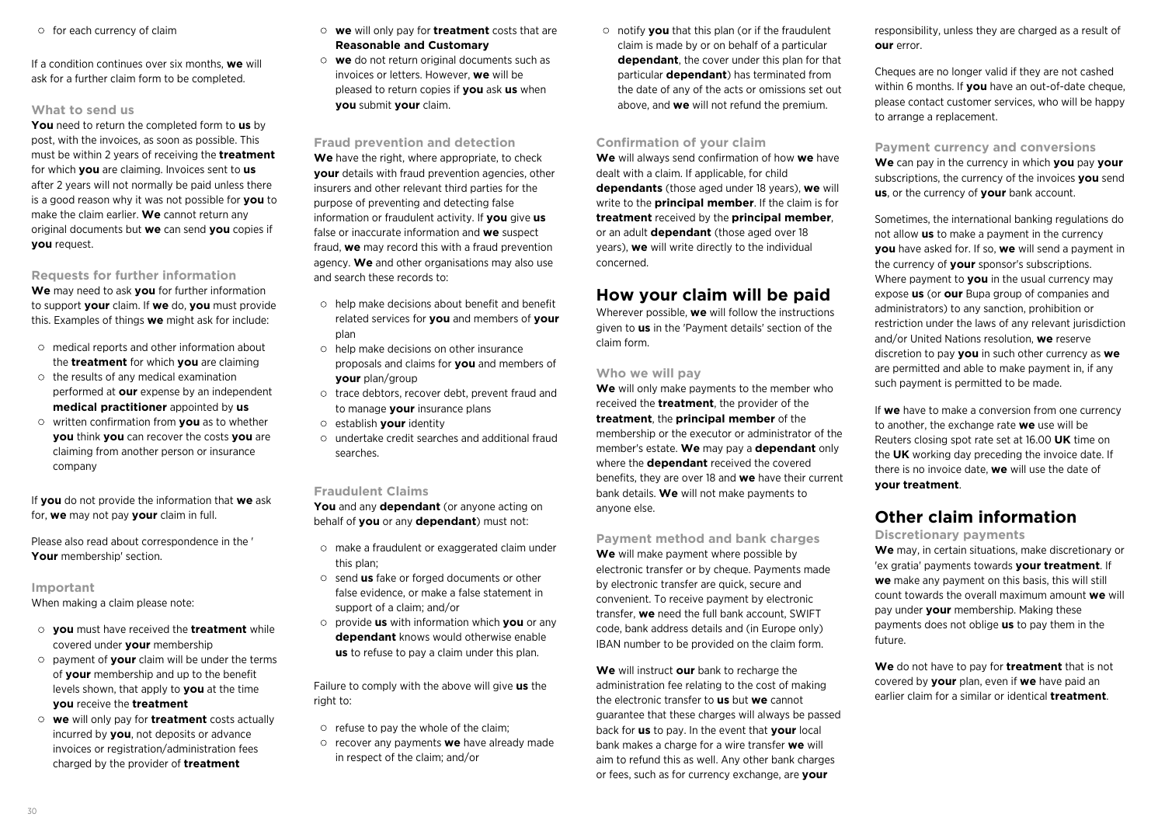$\circ$  for each currency of claim

If a condition continues over six months, **we** will ask for a further claim form to be completed.

#### **What to send us**

**You** need to return the completed form to **us** by post, with the invoices, as soon as possible. This must be within 2 years of receiving the **treatment** for which **you** are claiming. Invoices sent to **us** after 2 years will not normally be paid unless there is a good reason why it was not possible for **you** to make the claim earlier. **We** cannot return any original documents but **we** can send **you** copies if **you** request.

**Requests for further information We** may need to ask **you** for further information to support **your** claim. If **we** do, **you** must provide this. Examples of things **we** might ask for include:

- $\circ$  medical reports and other information about the **treatment** for which **you** are claiming
- $\circ$  the results of any medical examination performed at **our** expense by an independent **medical practitioner** appointed by **us**
- written confirmation from **you** as to whether **you** think **you** can recover the costs **you** are claiming from another person or insurance company

If **you** do not provide the information that **we** ask for, **we** may not pay **your** claim in full.

Please also read about correspondence in the ' **Your** membership' section.

**Important**

When making a claim please note:

- **you** must have received the **treatment** while covered under **your** membership
- payment of **your** claim will be under the terms of **your** membership and up to the benefit levels shown, that apply to **you** at the time **you** receive the **treatment**
- **we** will only pay for **treatment** costs actually incurred by **you**, not deposits or advance invoices or registration/administration fees charged by the provider of **treatment**
- **we** will only pay for **treatment** costs that are **Reasonable and Customary**
- **we** do not return original documents such as invoices or letters. However, **we** will be pleased to return copies if **you** ask **us** when **you** submit **your** claim.

**Fraud prevention and detection** We have the right, where appropriate, to check **your** details with fraud prevention agencies, other insurers and other relevant third parties for the purpose of preventing and detecting false information or fraudulent activity. If **you** give **us** false or inaccurate information and **we** suspect fraud, **we** may record this with a fraud prevention agency. **We** and other organisations may also use and search these records to:

- $\circ$  help make decisions about benefit and benefit related services for **you** and members of **your** plan
- $\circ$  help make decisions on other insurance proposals and claims for **you** and members of **your** plan/group
- trace debtors, recover debt, prevent fraud and to manage **your** insurance plans
- establish **your** identity
- undertake credit searches and additional fraud searches.

#### **Fraudulent Claims**

**You** and any **dependant** (or anyone acting on behalf of **you** or any **dependant**) must not:

- make a fraudulent or exaggerated claim under this plan;
- send **us** fake or forged documents or other false evidence, or make a false statement in support of a claim; and/or
- provide **us** with information which **you** or any **dependant** knows would otherwise enable **us** to refuse to pay a claim under this plan.

Failure to comply with the above will give **us** the right to:

- $\circ$  refuse to pay the whole of the claim:
- recover any payments **we** have already made in respect of the claim; and/or

notify **you** that this plan (or if the fraudulent claim is made by or on behalf of a particular **dependant**, the cover under this plan for that particular **dependant**) has terminated from the date of any of the acts or omissions set out above, and **we** will not refund the premium.

#### **Confirmation of your claim**

**We** will always send confirmation of how **we** have dealt with a claim. If applicable, for child **dependants** (those aged under 18 years), **we** will write to the **principal member**. If the claim is for **treatment** received by the **principal member**, or an adult **dependant** (those aged over 18 years), **we** will write directly to the individual concerned.

### **How your claim will be paid**

Wherever possible, **we** will follow the instructions given to **us** in the 'Payment details' section of the claim form.

### **Who we will pay**

**We** will only make payments to the member who received the **treatment**, the provider of the **treatment**, the **principal member** of the membership or the executor or administrator of the member's estate. **We** may pay a **dependant** only where the **dependant** received the covered benefits, they are over 18 and **we** have their current bank details. **We** will not make payments to anyone else.

**Payment method and bank charges We** will make payment where possible by electronic transfer or by cheque. Payments made by electronic transfer are quick, secure and convenient. To receive payment by electronic transfer, **we** need the full bank account, SWIFT code, bank address details and (in Europe only) IBAN number to be provided on the claim form.

**We** will instruct **our** bank to recharge the administration fee relating to the cost of making the electronic transfer to **us** but **we** cannot guarantee that these charges will always be passed back for **us** to pay. In the event that **your** local bank makes a charge for a wire transfer **we** will aim to refund this as well. Any other bank charges or fees, such as for currency exchange, are **your**

responsibility, unless they are charged as a result of **our** error.

Cheques are no longer valid if they are not cashed within 6 months. If **you** have an out-of-date cheque, please contact customer services, who will be happy to arrange a replacement.

### **Payment currency and conversions**

**We** can pay in the currency in which **you** pay **your** subscriptions, the currency of the invoices **you** send **us**, or the currency of **your** bank account.

Sometimes, the international banking regulations do not allow **us** to make a payment in the currency **you** have asked for. If so, **we** will send a payment in the currency of **your** sponsor's subscriptions. Where payment to **you** in the usual currency may expose **us** (or **our** Bupa group of companies and administrators) to any sanction, prohibition or restriction under the laws of any relevant jurisdiction and/or United Nations resolution, **we** reserve discretion to pay **you** in such other currency as **we** are permitted and able to make payment in, if any such payment is permitted to be made.

If **we** have to make a conversion from one currency to another, the exchange rate **we** use will be Reuters closing spot rate set at 16.00 **UK** time on the **UK** working day preceding the invoice date. If there is no invoice date, **we** will use the date of **your treatment**.

## **Other claim information**

**Discretionary payments**

**We** may, in certain situations, make discretionary or 'ex gratia' payments towards **your treatment**. If **we** make any payment on this basis, this will still count towards the overall maximum amount **we** will pay under **your** membership. Making these payments does not oblige **us** to pay them in the future.

**We** do not have to pay for **treatment** that is not covered by **your** plan, even if **we** have paid an earlier claim for a similar or identical **treatment**.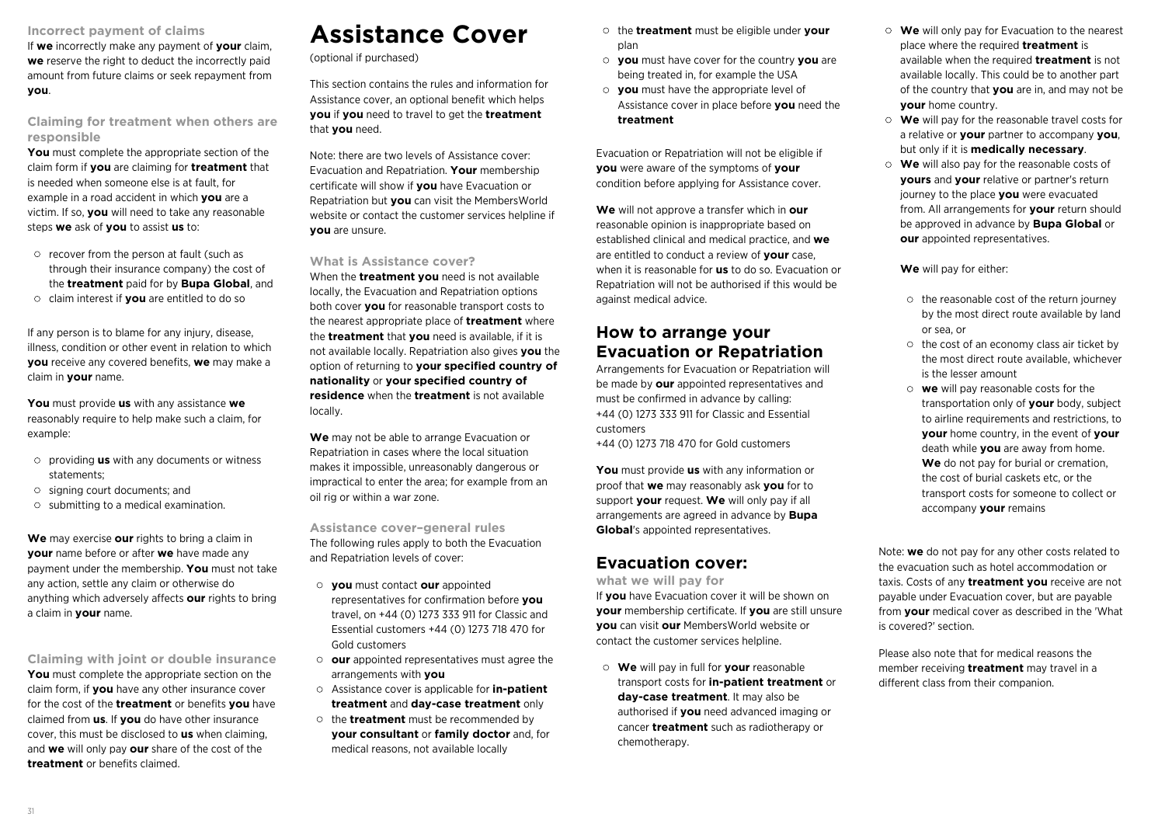#### **Incorrect payment of claims**

If **we** incorrectly make any payment of **your** claim, **we** reserve the right to deduct the incorrectly paid amount from future claims or seek repayment from **you**.

**Claiming for treatment when others are responsible**

**You** must complete the appropriate section of the claim form if **you** are claiming for **treatment** that is needed when someone else is at fault, for example in a road accident in which **you** are a victim. If so, **you** will need to take any reasonable steps **we** ask of **you** to assist **us** to:

- $\circ$  recover from the person at fault (such as through their insurance company) the cost of the **treatment** paid for by **Bupa Global**, and
- claim interest if **you** are entitled to do so

If any person is to blame for any injury, disease, illness, condition or other event in relation to which **you** receive any covered benefits, **we** may make a claim in **your** name.

**You** must provide **us** with any assistance **we** reasonably require to help make such a claim, for example:

- providing **us** with any documents or witness statements;
- $\circ$  signing court documents; and
- $\circ$  submitting to a medical examination.

**We** may exercise **our** rights to bring a claim in **your** name before or after **we** have made any payment under the membership. **You** must not take any action, settle any claim or otherwise do anything which adversely affects **our** rights to bring a claim in **your** name.

**Claiming with joint or double insurance You** must complete the appropriate section on the claim form, if **you** have any other insurance cover for the cost of the **treatment** or benefits **you** have claimed from **us**. If **you** do have other insurance cover, this must be disclosed to **us** when claiming, and **we** will only pay **our** share of the cost of the **treatment** or benefits claimed.

## **Assistance Cover**

(optional if purchased)

This section contains the rules and information for Assistance cover, an optional benefit which helps **you** if **you** need to travel to get the **treatment** that **you** need.

Note: there are two levels of Assistance cover: Evacuation and Repatriation. **Your** membership certificate will show if **you** have Evacuation or Repatriation but **you** can visit the MembersWorld website or contact the customer services helpline if **you** are unsure.

### **What is Assistance cover?**

When the **treatment you** need is not available locally, the Evacuation and Repatriation options both cover **you** for reasonable transport costs to the nearest appropriate place of **treatment** where the **treatment** that **you** need is available, if it is not available locally. Repatriation also gives **you** the option of returning to **your specified country of nationality** or **your specified country of residence** when the **treatment** is not available locally.

**We** may not be able to arrange Evacuation or Repatriation in cases where the local situation makes it impossible, unreasonably dangerous or impractical to enter the area; for example from an oil rig or within a war zone.

**Assistance cover–general rules**

The following rules apply to both the Evacuation and Repatriation levels of cover:

- **you** must contact **our** appointed representatives for confirmation before **you** travel, on +44 (0) 1273 333 911 for Classic and Essential customers +44 (0) 1273 718 470 for Gold customers
- **our** appointed representatives must agree the arrangements with **you**
- Assistance cover is applicable for **in-patient treatment** and **day-case treatment** only
- o the **treatment** must be recommended by **your consultant** or **family doctor** and, for medical reasons, not available locally
- the **treatment** must be eligible under **your** plan
- **you** must have cover for the country **you** are being treated in, for example the USA
- **you** must have the appropriate level of Assistance cover in place before **you** need the **treatment**

Evacuation or Repatriation will not be eligible if **you** were aware of the symptoms of **your** condition before applying for Assistance cover.

**We** will not approve a transfer which in **our** reasonable opinion is inappropriate based on established clinical and medical practice, and **we** are entitled to conduct a review of **your** case, when it is reasonable for **us** to do so. Evacuation or Repatriation will not be authorised if this would be against medical advice.

## **How to arrange your Evacuation or Repatriation**

Arrangements for Evacuation or Repatriation will be made by **our** appointed representatives and must be confirmed in advance by calling: +44 (0) 1273 333 911 for Classic and Essential customers

+44 (0) 1273 718 470 for Gold customers

**You** must provide **us** with any information or proof that **we** may reasonably ask **you** for to support **your** request. **We** will only pay if all arrangements are agreed in advance by **Bupa Global**'s appointed representatives.

### **Evacuation cover:**

**what we will pay for**

If **you** have Evacuation cover it will be shown on **your** membership certificate. If **you** are still unsure **you** can visit **our** MembersWorld website or contact the customer services helpline.

**We** will pay in full for **your** reasonable transport costs for **in-patient treatment** or **day-case treatment**. It may also be authorised if **you** need advanced imaging or cancer **treatment** such as radiotherapy or chemotherapy.

- **We** will only pay for Evacuation to the nearest place where the required **treatment** is available when the required **treatment** is not available locally. This could be to another part of the country that **you** are in, and may not be **your** home country.
- **We** will pay for the reasonable travel costs for a relative or **your** partner to accompany **you**, but only if it is **medically necessary**.
- **We** will also pay for the reasonable costs of **yours** and **your** relative or partner's return journey to the place **you** were evacuated from. All arrangements for **your** return should be approved in advance by **Bupa Global** or **our** appointed representatives.

**We** will pay for either:

- $\circ$  the reasonable cost of the return journey by the most direct route available by land or sea, or
- $\circ$  the cost of an economy class air ticket by the most direct route available, whichever is the lesser amount
- **we** will pay reasonable costs for the transportation only of **your** body, subject to airline requirements and restrictions, to **your** home country, in the event of **your** death while **you** are away from home. **We** do not pay for burial or cremation, the cost of burial caskets etc, or the transport costs for someone to collect or accompany **your** remains

Note: **we** do not pay for any other costs related to the evacuation such as hotel accommodation or taxis. Costs of any **treatment you** receive are not payable under Evacuation cover, but are payable from **your** medical cover as described in the 'What is covered?' section.

Please also note that for medical reasons the member receiving **treatment** may travel in a different class from their companion.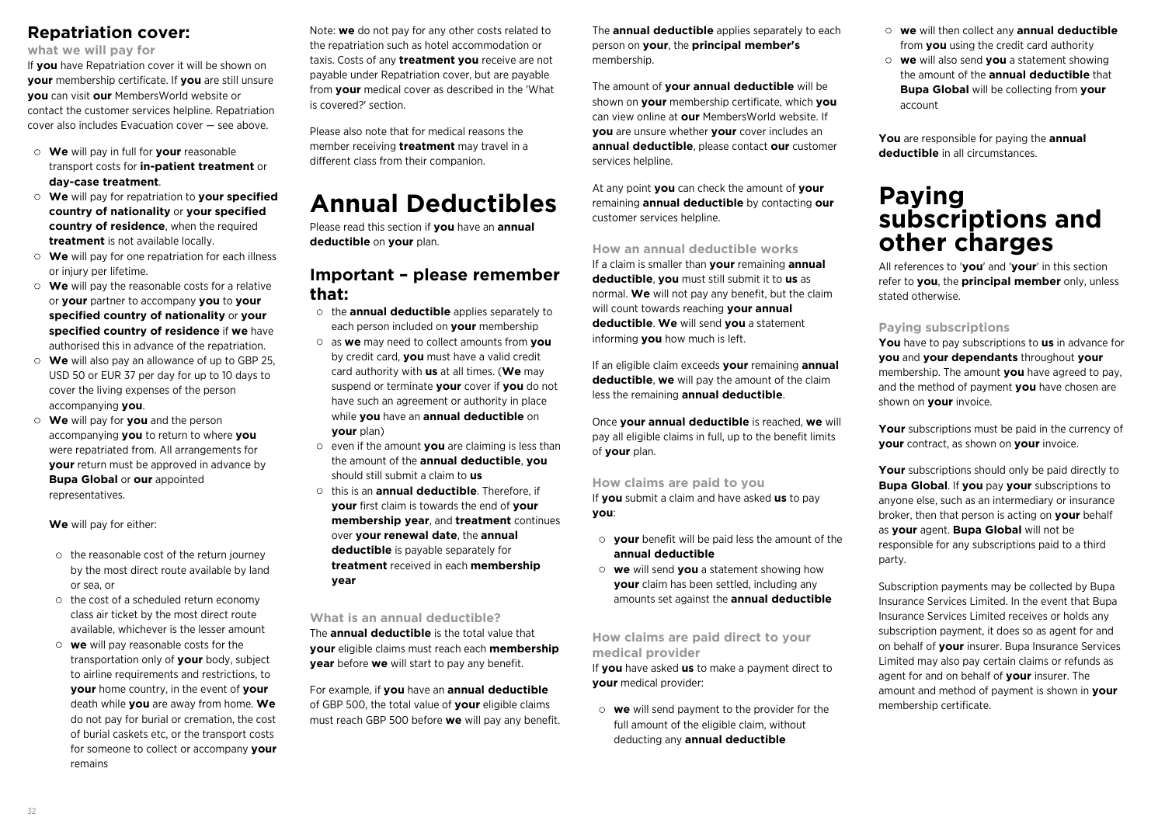### **Repatriation cover:**

**what we will pay for**

If **you** have Repatriation cover it will be shown on **your** membership certificate. If **you** are still unsure **you** can visit **our** MembersWorld website or contact the customer services helpline. Repatriation cover also includes Evacuation cover — see above.

- **We** will pay in full for **your** reasonable transport costs for **in-patient treatment** or **day-case treatment**.
- **We** will pay for repatriation to **your specified country of nationality** or **your specified country of residence**, when the required **treatment** is not available locally.
- **We** will pay for one repatriation for each illness or injury per lifetime.
- **We** will pay the reasonable costs for a relative or **your** partner to accompany **you** to **your specified country of nationality** or **your specified country of residence** if **we** have authorised this in advance of the repatriation.
- **We** will also pay an allowance of up to GBP 25, USD 50 or EUR 37 per day for up to 10 days to cover the living expenses of the person accompanying **you**.
- **We** will pay for **you** and the person accompanying **you** to return to where **you** were repatriated from. All arrangements for **your** return must be approved in advance by **Bupa Global** or **our** appointed representatives.

**We** will pay for either:

- $\circ$  the reasonable cost of the return journey by the most direct route available by land or sea, or
- $\circ$  the cost of a scheduled return economy class air ticket by the most direct route available, whichever is the lesser amount
- **we** will pay reasonable costs for the transportation only of **your** body, subject to airline requirements and restrictions, to **your** home country, in the event of **your** death while **you** are away from home. **We** do not pay for burial or cremation, the cost of burial caskets etc, or the transport costs for someone to collect or accompany **your** remains

Note: **we** do not pay for any other costs related to the repatriation such as hotel accommodation or taxis. Costs of any **treatment you** receive are not payable under Repatriation cover, but are payable from **your** medical cover as described in the 'What is covered?' section.

Please also note that for medical reasons the member receiving **treatment** may travel in a different class from their companion.

## **Annual Deductibles**

Please read this section if **you** have an **annual deductible** on **your** plan.

## **Important – please remember that:**

- the **annual deductible** applies separately to each person included on **your** membership
- as **we** may need to collect amounts from **you** by credit card, **you** must have a valid credit card authority with **us** at all times. (**We** may suspend or terminate **your** cover if **you** do not have such an agreement or authority in place while **you** have an **annual deductible** on **your** plan)
- even if the amount **you** are claiming is less than the amount of the **annual deductible**, **you** should still submit a claim to **us**
- this is an **annual deductible**. Therefore, if **your** first claim is towards the end of **your membership year**, and **treatment** continues over **your renewal date**, the **annual deductible** is payable separately for **treatment** received in each **membership year**

**What is an annual deductible?**

The **annual deductible** is the total value that **your** eligible claims must reach each **membership year** before **we** will start to pay any benefit.

For example, if **you** have an **annual deductible** of GBP 500, the total value of **your** eligible claims must reach GBP 500 before **we** will pay any benefit. The **annual deductible** applies separately to each person on **your**, the **principal member's** membership.

The amount of **your annual deductible** will be shown on **your** membership certificate, which **you** can view online at **our** MembersWorld website. If **you** are unsure whether **your** cover includes an **annual deductible**, please contact **our** customer services helpline.

At any point **you** can check the amount of **your** remaining **annual deductible** by contacting **our** customer services helpline.

### **How an annual deductible works**

If a claim is smaller than **your** remaining **annual deductible**, **you** must still submit it to **us** as normal. **We** will not pay any benefit, but the claim will count towards reaching **your annual deductible**. **We** will send **you** a statement informing **you** how much is left.

If an eligible claim exceeds **your** remaining **annual deductible**, **we** will pay the amount of the claim less the remaining **annual deductible**.

Once **your annual deductible** is reached, **we** will pay all eligible claims in full, up to the benefit limits of **your** plan.

**How claims are paid to you**

If **you** submit a claim and have asked **us** to pay **you**:

- **your** benefit will be paid less the amount of the **annual deductible**
- **we** will send **you** a statement showing how **your** claim has been settled, including any amounts set against the **annual deductible**

**How claims are paid direct to your medical provider**

If **you** have asked **us** to make a payment direct to **your** medical provider:

**we** will send payment to the provider for the full amount of the eligible claim, without deducting any **annual deductible**

- **we** will then collect any **annual deductible** from **you** using the credit card authority
- **we** will also send **you** a statement showing the amount of the **annual deductible** that **Bupa Global** will be collecting from **your** account

**You** are responsible for paying the **annual deductible** in all circumstances.

## **Paying subscriptions and other charges**

All references to '**you**' and '**your**' in this section refer to **you**, the **principal member** only, unless stated otherwise.

### **Paying subscriptions**

**You** have to pay subscriptions to **us** in advance for **you** and **your dependants** throughout **your** membership. The amount **you** have agreed to pay, and the method of payment **you** have chosen are shown on **your** invoice.

**Your** subscriptions must be paid in the currency of **your** contract, as shown on **your** invoice.

Your subscriptions should only be paid directly to **Bupa Global**. If **you** pay **your** subscriptions to anyone else, such as an intermediary or insurance broker, then that person is acting on **your** behalf as **your** agent. **Bupa Global** will not be responsible for any subscriptions paid to a third party.

Subscription payments may be collected by Bupa Insurance Services Limited. In the event that Bupa Insurance Services Limited receives or holds any subscription payment, it does so as agent for and on behalf of **your** insurer. Bupa Insurance Services Limited may also pay certain claims or refunds as agent for and on behalf of **your** insurer. The amount and method of payment is shown in **your** membership certificate.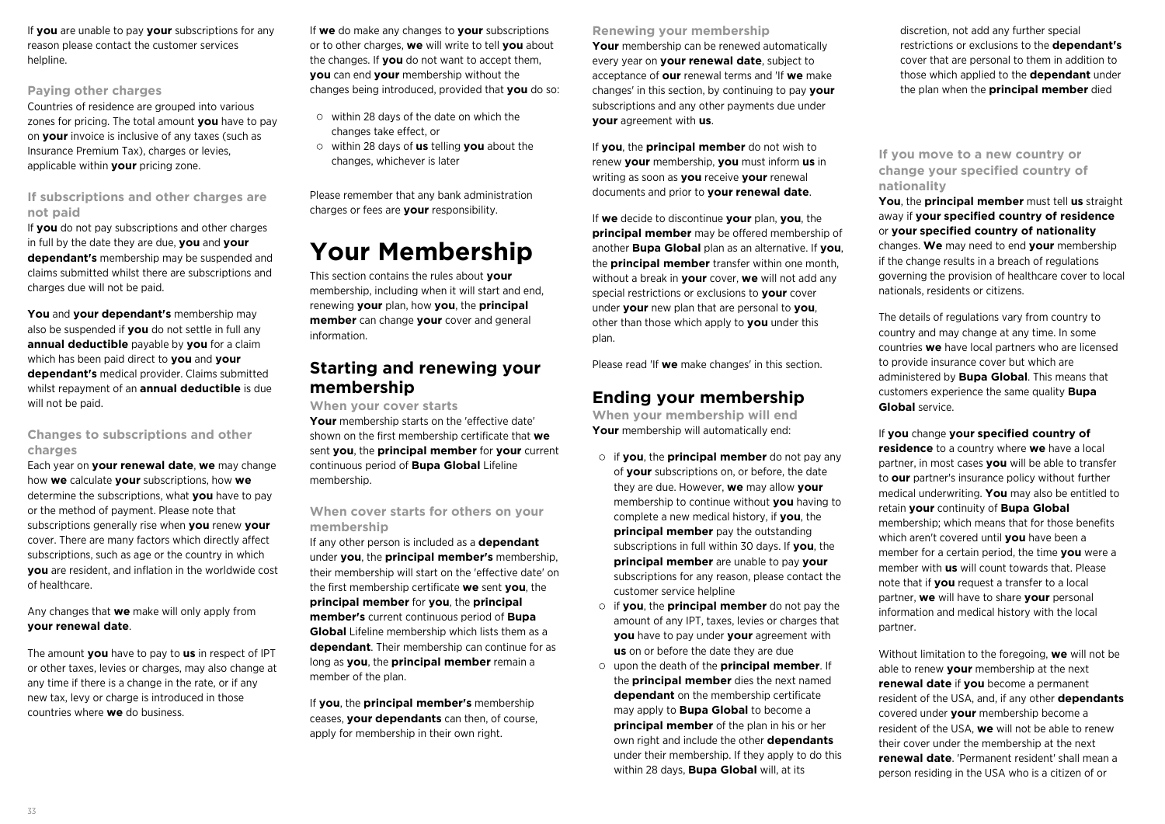If **you** are unable to pay **your** subscriptions for any reason please contact the customer services helpline.

#### **Paying other charges**

Countries of residence are grouped into various zones for pricing. The total amount **you** have to pay on **your** invoice is inclusive of any taxes (such as Insurance Premium Tax), charges or levies, applicable within **your** pricing zone.

### **If subscriptions and other charges are not paid**

If **you** do not pay subscriptions and other charges in full by the date they are due, **you** and **your dependant's** membership may be suspended and claims submitted whilst there are subscriptions and charges due will not be paid.

**You** and **your dependant's** membership may also be suspended if **you** do not settle in full any **annual deductible** payable by **you** for a claim which has been paid direct to **you** and **your dependant's** medical provider. Claims submitted whilst repayment of an **annual deductible** is due will not be paid.

### **Changes to subscriptions and other charges**

Each year on **your renewal date**, **we** may change how **we** calculate **your** subscriptions, how **we** determine the subscriptions, what **you** have to pay or the method of payment. Please note that subscriptions generally rise when **you** renew **your** cover. There are many factors which directly affect subscriptions, such as age or the country in which **you** are resident, and inflation in the worldwide cost of healthcare.

Any changes that **we** make will only apply from **your renewal date**.

The amount **you** have to pay to **us** in respect of IPT or other taxes, levies or charges, may also change at any time if there is a change in the rate, or if any new tax, levy or charge is introduced in those countries where **we** do business.

If **we** do make any changes to **your** subscriptions or to other charges, **we** will write to tell **you** about the changes. If **you** do not want to accept them, **you** can end **your** membership without the changes being introduced, provided that **you** do so:

- $\circ$  within 28 days of the date on which the changes take effect, or
- within 28 days of **us** telling **you** about the changes, whichever is later

Please remember that any bank administration charges or fees are **your** responsibility.

## **Your Membership**

This section contains the rules about **your** membership, including when it will start and end, renewing **your** plan, how **you**, the **principal member** can change **your** cover and general information.

### **Starting and renewing your membership**

**When your cover starts**

**Your** membership starts on the 'effective date' shown on the first membership certificate that **we** sent **you**, the **principal member** for **your** current continuous period of **Bupa Global** Lifeline membership.

### **When cover starts for others on your membership**

If any other person is included as a **dependant** under **you**, the **principal member's** membership, their membership will start on the 'effective date' on the first membership certificate **we** sent **you**, the **principal member** for **you**, the **principal member's** current continuous period of **Bupa Global** Lifeline membership which lists them as a **dependant**. Their membership can continue for as long as **you**, the **principal member** remain a member of the plan.

If **you**, the **principal member's** membership ceases, **your dependants** can then, of course, apply for membership in their own right.

**Renewing your membership**

**Your** membership can be renewed automatically every year on **your renewal date**, subject to acceptance of **our** renewal terms and 'If **we** make changes' in this section, by continuing to pay **your** subscriptions and any other payments due under **your** agreement with **us**.

If **you**, the **principal member** do not wish to renew **your** membership, **you** must inform **us** in writing as soon as **you** receive **your** renewal documents and prior to **your renewal date**.

If **we** decide to discontinue **your** plan, **you**, the **principal member** may be offered membership of another **Bupa Global** plan as an alternative. If **you**, the **principal member** transfer within one month, without a break in **your** cover, **we** will not add any special restrictions or exclusions to **your** cover under **your** new plan that are personal to **you**, other than those which apply to **you** under this plan.

Please read 'If **we** make changes' in this section.

## **Ending your membership**

**When your membership will end** Your membership will automatically end:

- if **you**, the **principal member** do not pay any of **your** subscriptions on, or before, the date they are due. However, **we** may allow **your** membership to continue without **you** having to complete a new medical history, if **you**, the **principal member** pay the outstanding subscriptions in full within 30 days. If **you**, the **principal member** are unable to pay **your** subscriptions for any reason, please contact the customer service helpline
- if **you**, the **principal member** do not pay the amount of any IPT, taxes, levies or charges that **you** have to pay under **your** agreement with **us** on or before the date they are due
- upon the death of the **principal member**. If the **principal member** dies the next named **dependant** on the membership certificate may apply to **Bupa Global** to become a **principal member** of the plan in his or her own right and include the other **dependants** under their membership. If they apply to do this within 28 days, **Bupa Global** will, at its

discretion, not add any further special restrictions or exclusions to the **dependant's** cover that are personal to them in addition to those which applied to the **dependant** under the plan when the **principal member** died

### **If you move to a new country or change your specified country of nationality**

**You**, the **principal member** must tell **us** straight away if **your specified country of residence** or **your specified country of nationality** changes. **We** may need to end **your** membership if the change results in a breach of regulations governing the provision of healthcare cover to local nationals, residents or citizens.

The details of regulations vary from country to country and may change at any time. In some countries **we** have local partners who are licensed to provide insurance cover but which are administered by **Bupa Global**. This means that customers experience the same quality **Bupa Global** service.

If **you** change **your specified country of residence** to a country where **we** have a local partner, in most cases **you** will be able to transfer to **our** partner's insurance policy without further medical underwriting. **You** may also be entitled to retain **your** continuity of **Bupa Global** membership; which means that for those benefits which aren't covered until **you** have been a member for a certain period, the time **you** were a member with **us** will count towards that. Please note that if **you** request a transfer to a local partner, **we** will have to share **your** personal information and medical history with the local partner.

Without limitation to the foregoing, **we** will not be able to renew **your** membership at the next **renewal date** if **you** become a permanent resident of the USA, and, if any other **dependants** covered under **your** membership become a resident of the USA, **we** will not be able to renew their cover under the membership at the next **renewal date**. 'Permanent resident' shall mean a person residing in the USA who is a citizen of or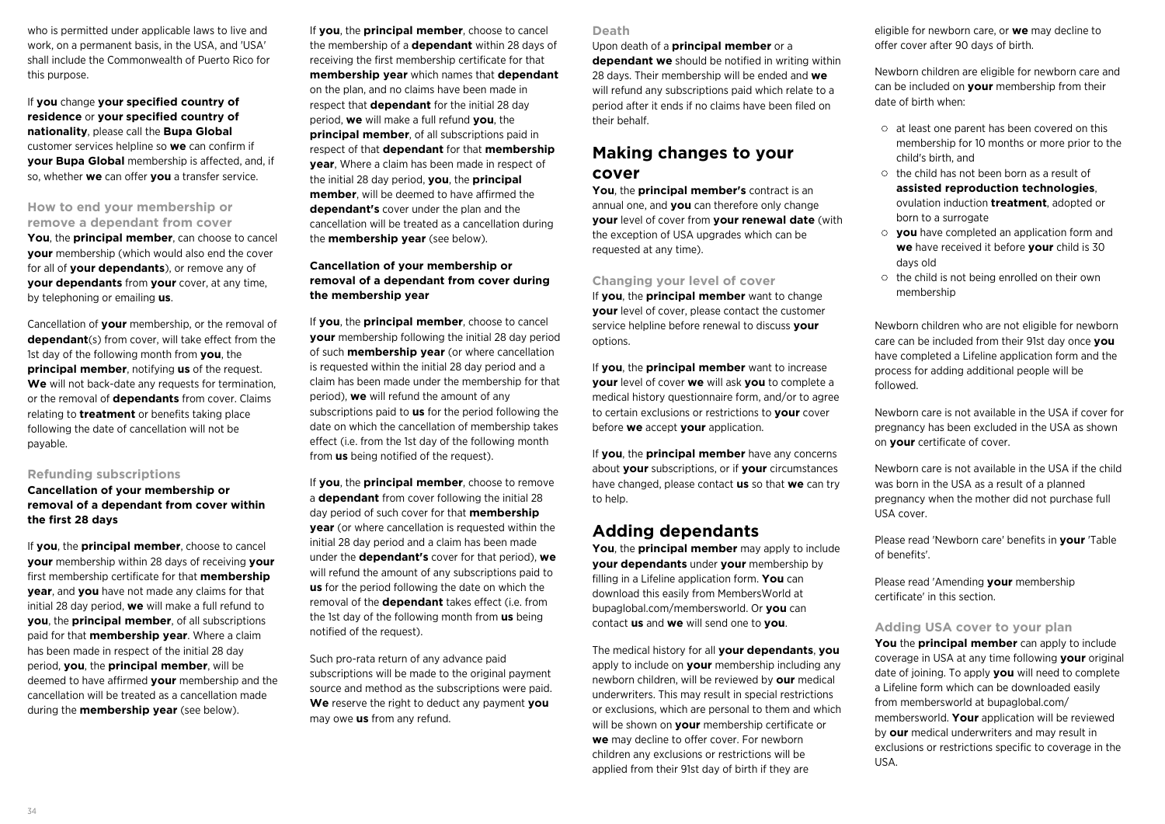who is permitted under applicable laws to live and work, on a permanent basis, in the USA, and 'USA' shall include the Commonwealth of Puerto Rico for this purpose.

If **you** change **your specified country of residence** or **your specified country of nationality**, please call the **Bupa Global** customer services helpline so **we** can confirm if **your Bupa Global** membership is affected, and, if so, whether **we** can offer **you** a transfer service.

### **How to end your membership or remove a dependant from cover**

**You**, the **principal member**, can choose to cancel **your** membership (which would also end the cover for all of **your dependants**), or remove any of **your dependants** from **your** cover, at any time, by telephoning or emailing **us**.

Cancellation of **your** membership, or the removal of **dependant**(s) from cover, will take effect from the 1st day of the following month from **you**, the **principal member**, notifying **us** of the request. **We** will not back-date any requests for termination, or the removal of **dependants** from cover. Claims relating to **treatment** or benefits taking place following the date of cancellation will not be payable.

### **Refunding subscriptions**

### **Cancellation of your membership or removal of a dependant from cover within the first 28 days**

If **you**, the **principal member**, choose to cancel **your** membership within 28 days of receiving **your** first membership certificate for that **membership year**, and **you** have not made any claims for that initial 28 day period, **we** will make a full refund to **you**, the **principal member**, of all subscriptions paid for that **membership year**. Where a claim has been made in respect of the initial 28 day period, **you**, the **principal member**, will be deemed to have affirmed **your** membership and the cancellation will be treated as a cancellation made during the **membership year** (see below).

If **you**, the **principal member**, choose to cancel the membership of a **dependant** within 28 days of receiving the first membership certificate for that **membership year** which names that **dependant** on the plan, and no claims have been made in respect that **dependant** for the initial 28 day period, **we** will make a full refund **you**, the **principal member**, of all subscriptions paid in respect of that **dependant** for that **membership year**, Where a claim has been made in respect of the initial 28 day period, **you**, the **principal member**, will be deemed to have affirmed the **dependant's** cover under the plan and the cancellation will be treated as a cancellation during the **membership year** (see below).

### **Cancellation of your membership or removal of a dependant from cover during the membership year**

If **you**, the **principal member**, choose to cancel **your** membership following the initial 28 day period of such **membership year** (or where cancellation is requested within the initial 28 day period and a claim has been made under the membership for that period), **we** will refund the amount of any subscriptions paid to **us** for the period following the date on which the cancellation of membership takes effect (i.e. from the 1st day of the following month from **us** being notified of the request).

If **you**, the **principal member**, choose to remove a **dependant** from cover following the initial 28 day period of such cover for that **membership year** (or where cancellation is requested within the initial 28 day period and a claim has been made under the **dependant's** cover for that period), **we** will refund the amount of any subscriptions paid to **us** for the period following the date on which the removal of the **dependant** takes effect (i.e. from the 1st day of the following month from **us** being notified of the request).

Such pro-rata return of any advance paid subscriptions will be made to the original payment source and method as the subscriptions were paid. **We** reserve the right to deduct any payment **you** may owe **us** from any refund.

#### **Death**

Upon death of a **principal member** or a

**dependant we** should be notified in writing within 28 days. Their membership will be ended and **we** will refund any subscriptions paid which relate to a period after it ends if no claims have been filed on their behalf.

### **Making changes to your cover**

**You**, the **principal member's** contract is an annual one, and **you** can therefore only change **your** level of cover from **your renewal date** (with the exception of USA upgrades which can be requested at any time).

### **Changing your level of cover**

If **you**, the **principal member** want to change **your** level of cover, please contact the customer service helpline before renewal to discuss **your** options.

If **you**, the **principal member** want to increase **your** level of cover **we** will ask **you** to complete a medical history questionnaire form, and/or to agree to certain exclusions or restrictions to **your** cover before **we** accept **your** application.

If **you**, the **principal member** have any concerns about **your** subscriptions, or if **your** circumstances have changed, please contact **us** so that **we** can try to help.

### **Adding dependants**

**You**, the **principal member** may apply to include **your dependants** under **your** membership by filling in a Lifeline application form. **You** can download this easily from MembersWorld at bupaglobal.com/membersworld. Or **you** can contact **us** and **we** will send one to **you**.

The medical history for all **your dependants**, **you** apply to include on **your** membership including any newborn children, will be reviewed by **our** medical underwriters. This may result in special restrictions or exclusions, which are personal to them and which will be shown on **your** membership certificate or **we** may decline to offer cover. For newborn children any exclusions or restrictions will be applied from their 91st day of birth if they are

eligible for newborn care, or **we** may decline to offer cover after 90 days of birth.

Newborn children are eligible for newborn care and can be included on **your** membership from their date of birth when:

- $\circ$  at least one parent has been covered on this membership for 10 months or more prior to the child's birth, and
- $\circ$  the child has not been born as a result of **assisted reproduction technologies**, ovulation induction **treatment**, adopted or born to a surrogate
- **you** have completed an application form and **we** have received it before **your** child is 30 days old
- the child is not being enrolled on their own membership

Newborn children who are not eligible for newborn care can be included from their 91st day once **you** have completed a Lifeline application form and the process for adding additional people will be followed.

Newborn care is not available in the USA if cover for pregnancy has been excluded in the USA as shown on **your** certificate of cover.

Newborn care is not available in the USA if the child was born in the USA as a result of a planned pregnancy when the mother did not purchase full USA cover.

Please read 'Newborn care' benefits in **your** 'Table of benefits'.

Please read 'Amending **your** membership certificate' in this section.

#### **Adding USA cover to your plan**

**You** the **principal member** can apply to include coverage in USA at any time following **your** original date of joining. To apply **you** will need to complete a Lifeline form which can be downloaded easily from membersworld at bupaglobal.com/ membersworld. **Your** application will be reviewed by **our** medical underwriters and may result in exclusions or restrictions specific to coverage in the USA.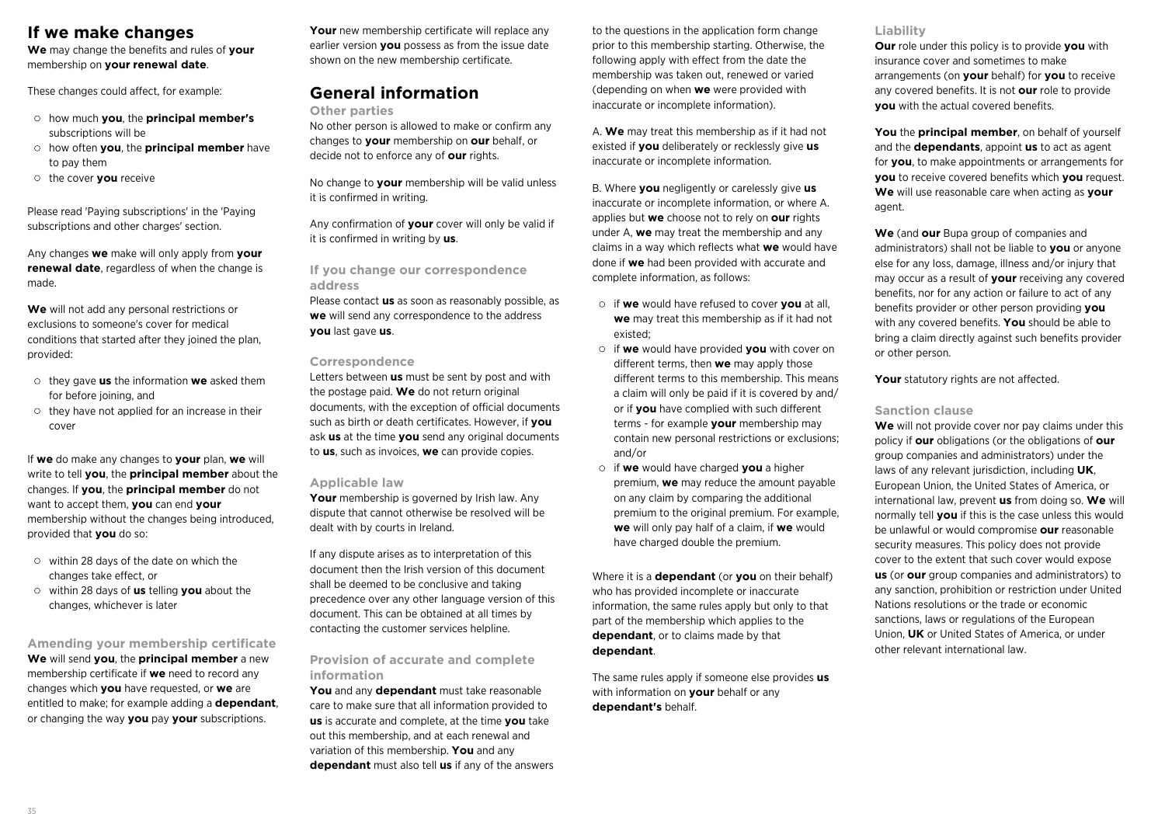### **If we make changes**

**We** may change the benefits and rules of **your** membership on **your renewal date**.

These changes could affect, for example:

- how much **you**, the **principal member's** subscriptions will be
- how often **you**, the **principal member** have to pay them
- the cover **you** receive

Please read 'Paying subscriptions' in the 'Paying subscriptions and other charges' section.

Any changes **we** make will only apply from **your renewal date**, regardless of when the change is made.

**We** will not add any personal restrictions or exclusions to someone's cover for medical conditions that started after they joined the plan, provided:

- they gave **us** the information **we** asked them for before joining, and
- $\circ$  they have not applied for an increase in their cover

If **we** do make any changes to **your** plan, **we** will write to tell **you**, the **principal member** about the changes. If **you**, the **principal member** do not want to accept them, **you** can end **your** membership without the changes being introduced, provided that **you** do so:

- $\circ$  within 28 days of the date on which the changes take effect, or
- within 28 days of **us** telling **you** about the changes, whichever is later

**Amending your membership certificate We** will send **you**, the **principal member** a new membership certificate if **we** need to record any changes which **you** have requested, or **we** are entitled to make; for example adding a **dependant**,

or changing the way **you** pay **your** subscriptions.

**Your** new membership certificate will replace any earlier version **you** possess as from the issue date shown on the new membership certificate.

### **General information**

#### **Other parties**

No other person is allowed to make or confirm any changes to **your** membership on **our** behalf, or decide not to enforce any of **our** rights.

No change to **your** membership will be valid unless it is confirmed in writing.

Any confirmation of **your** cover will only be valid if it is confirmed in writing by **us**.

### **If you change our correspondence address**

Please contact **us** as soon as reasonably possible, as **we** will send any correspondence to the address **you** last gave **us**.

#### **Correspondence**

Letters between **us** must be sent by post and with the postage paid. **We** do not return original documents, with the exception of official documents such as birth or death certificates. However, if **you** ask **us** at the time **you** send any original documents to **us**, such as invoices, **we** can provide copies.

#### **Applicable law**

Your membership is governed by Irish law. Any dispute that cannot otherwise be resolved will be dealt with by courts in Ireland.

If any dispute arises as to interpretation of this document then the Irish version of this document shall be deemed to be conclusive and taking precedence over any other language version of this document. This can be obtained at all times by contacting the customer services helpline.

### **Provision of accurate and complete information**

**You** and any **dependant** must take reasonable care to make sure that all information provided to **us** is accurate and complete, at the time **you** take out this membership, and at each renewal and variation of this membership. **You** and any **dependant** must also tell **us** if any of the answers to the questions in the application form change prior to this membership starting. Otherwise, the following apply with effect from the date the membership was taken out, renewed or varied (depending on when **we** were provided with inaccurate or incomplete information).

A. **We** may treat this membership as if it had not existed if **you** deliberately or recklessly give **us** inaccurate or incomplete information.

B. Where **you** negligently or carelessly give **us** inaccurate or incomplete information, or where A. applies but **we** choose not to rely on **our** rights under A, **we** may treat the membership and any claims in a way which reflects what **we** would have done if **we** had been provided with accurate and complete information, as follows:

- if **we** would have refused to cover **you** at all, **we** may treat this membership as if it had not existed;
- if **we** would have provided **you** with cover on different terms, then **we** may apply those different terms to this membership. This means a claim will only be paid if it is covered by and/ or if **you** have complied with such different terms - for example **your** membership may contain new personal restrictions or exclusions; and/or
- if **we** would have charged **you** a higher premium, **we** may reduce the amount payable on any claim by comparing the additional premium to the original premium. For example, **we** will only pay half of a claim, if **we** would have charged double the premium.

Where it is a **dependant** (or **you** on their behalf) who has provided incomplete or inaccurate information, the same rules apply but only to that part of the membership which applies to the **dependant**, or to claims made by that **dependant**.

The same rules apply if someone else provides **us** with information on **your** behalf or any **dependant's** behalf.

### **Liability**

**Our** role under this policy is to provide **you** with insurance cover and sometimes to make arrangements (on **your** behalf) for **you** to receive any covered benefits. It is not **our** role to provide **you** with the actual covered benefits.

**You** the **principal member**, on behalf of yourself and the **dependants**, appoint **us** to act as agent for **you**, to make appointments or arrangements for **you** to receive covered benefits which **you** request. **We** will use reasonable care when acting as **your** agent.

**We** (and **our** Bupa group of companies and administrators) shall not be liable to **you** or anyone else for any loss, damage, illness and/or injury that may occur as a result of **your** receiving any covered benefits, nor for any action or failure to act of any benefits provider or other person providing **you** with any covered benefits. **You** should be able to bring a claim directly against such benefits provider or other person.

Your statutory rights are not affected.

### **Sanction clause**

**We** will not provide cover nor pay claims under this policy if **our** obligations (or the obligations of **our** group companies and administrators) under the laws of any relevant jurisdiction, including **UK**, European Union, the United States of America, or international law, prevent **us** from doing so. **We** will normally tell **you** if this is the case unless this would be unlawful or would compromise **our** reasonable security measures. This policy does not provide cover to the extent that such cover would expose **us** (or **our** group companies and administrators) to any sanction, prohibition or restriction under United Nations resolutions or the trade or economic sanctions, laws or regulations of the European Union, **UK** or United States of America, or under other relevant international law.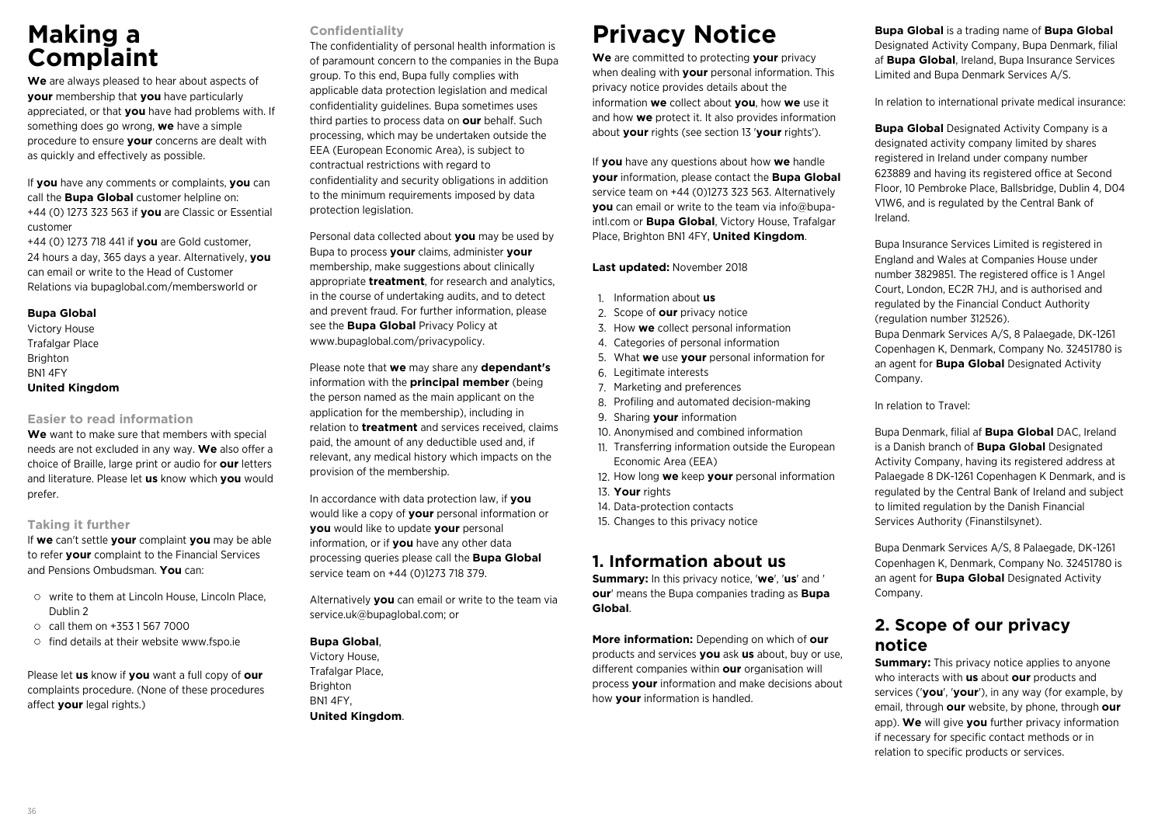## **Making a Complaint**

**We** are always pleased to hear about aspects of **your** membership that **you** have particularly appreciated, or that **you** have had problems with. If something does go wrong, **we** have a simple procedure to ensure **your** concerns are dealt with as quickly and effectively as possible.

If **you** have any comments or complaints, **you** can call the **Bupa Global** customer helpline on: +44 (0) 1273 323 563 if **you** are Classic or Essential customer

+44 (0) 1273 718 441 if **you** are Gold customer, 24 hours a day, 365 days a year. Alternatively, **you** can email or write to the Head of Customer Relations via bupaglobal.com/membersworld or

#### **Bupa Global**

Victory House Trafalgar Place Brighton BN1 4FY **United Kingdom**

### **Easier to read information**

**We** want to make sure that members with special needs are not excluded in any way. **We** also offer a choice of Braille, large print or audio for **our** letters and literature. Please let **us** know which **you** would prefer.

### **Taking it further**

If **we** can't settle **your** complaint **you** may be able to refer **your** complaint to the Financial Services and Pensions Ombudsman. **You** can:

- write to them at Lincoln House, Lincoln Place, Dublin 2
- call them on +353 1 567 7000
- $\circ$  find details at their website www.fspo.ie

Please let **us** know if **you** want a full copy of **our** complaints procedure. (None of these procedures affect **your** legal rights.)

### **Confidentiality**

The confidentiality of personal health information is of paramount concern to the companies in the Bupa group. To this end, Bupa fully complies with applicable data protection legislation and medical confidentiality guidelines. Bupa sometimes uses third parties to process data on **our** behalf. Such processing, which may be undertaken outside the EEA (European Economic Area), is subject to contractual restrictions with regard to confidentiality and security obligations in addition to the minimum requirements imposed by data protection legislation.

Personal data collected about **you** may be used by Bupa to process **your** claims, administer **your** membership, make suggestions about clinically appropriate **treatment**, for research and analytics, in the course of undertaking audits, and to detect and prevent fraud. For further information, please see the **Bupa Global** Privacy Policy at www.bupaglobal.com/privacypolicy.

Please note that **we** may share any **dependant's** information with the **principal member** (being the person named as the main applicant on the application for the membership), including in relation to **treatment** and services received, claims paid, the amount of any deductible used and, if relevant, any medical history which impacts on the provision of the membership.

In accordance with data protection law, if **you** would like a copy of **your** personal information or **you** would like to update **your** personal information, or if **you** have any other data processing queries please call the **Bupa Global** service team on +44 (0)1273 718 379.

Alternatively **you** can email or write to the team via service.uk@bupaglobal.com; or

### **Bupa Global**,

Victory House, Trafalgar Place, Brighton BN1 4FY, **United Kingdom**.

## **Privacy Notice**

**We** are committed to protecting **your** privacy when dealing with **your** personal information. This privacy notice provides details about the information **we** collect about **you**, how **we** use it and how **we** protect it. It also provides information about **your** rights (see section 13 '**your** rights').

If **you** have any questions about how **we** handle **your** information, please contact the **Bupa Global** service team on +44 (0)1273 323 563. Alternatively **you** can email or write to the team via info@bupaintl.com or **Bupa Global**, Victory House, Trafalgar Place, Brighton BN1 4FY, **United Kingdom**.

### **Last updated:** November 2018

- 1. Information about **us**
- 2. Scope of **our** privacy notice
- 3. How **we** collect personal information
- 4. Categories of personal information
- 5. What **we** use **your** personal information for
- 6. Legitimate interests
- 7. Marketing and preferences
- 8. Profiling and automated decision-making
- 9. Sharing **your** information
- 10. Anonymised and combined information
- 11. Transferring information outside the European Economic Area (EEA)
- 12. How long **we** keep **your** personal information
- 13. **Your** rights
- 14. Data-protection contacts
- 15. Changes to this privacy notice

### **1. Information about us**

**Summary:** In this privacy notice, '**we**', '**us**' and ' **our**' means the Bupa companies trading as **Bupa Global**.

**More information:** Depending on which of **our** products and services **you** ask **us** about, buy or use, different companies within **our** organisation will process **your** information and make decisions about how **your** information is handled.

**Bupa Global** is a trading name of **Bupa Global** Designated Activity Company, Bupa Denmark, filial af **Bupa Global**, Ireland, Bupa Insurance Services Limited and Bupa Denmark Services A/S.

In relation to international private medical insurance:

**Bupa Global** Designated Activity Company is a designated activity company limited by shares registered in Ireland under company number 623889 and having its registered office at Second Floor, 10 Pembroke Place, Ballsbridge, Dublin 4, D04 V1W6, and is regulated by the Central Bank of Ireland.

Bupa Insurance Services Limited is registered in England and Wales at Companies House under number 3829851. The registered office is 1 Angel Court, London, EC2R 7HJ, and is authorised and regulated by the Financial Conduct Authority (regulation number 312526).

Bupa Denmark Services A/S, 8 Palaegade, DK-1261 Copenhagen K, Denmark, Company No. 32451780 is an agent for **Bupa Global** Designated Activity Company.

In relation to Travel:

Bupa Denmark, filial af **Bupa Global** DAC, Ireland is a Danish branch of **Bupa Global** Designated Activity Company, having its registered address at Palaegade 8 DK-1261 Copenhagen K Denmark, and is regulated by the Central Bank of Ireland and subject to limited regulation by the Danish Financial Services Authority (Finanstilsynet).

Bupa Denmark Services A/S, 8 Palaegade, DK-1261 Copenhagen K, Denmark, Company No. 32451780 is an agent for **Bupa Global** Designated Activity Company.

## **2. Scope of our privacy notice**

**Summary:** This privacy notice applies to anyone who interacts with **us** about **our** products and services ('**you**', '**your**'), in any way (for example, by email, through **our** website, by phone, through **our** app). **We** will give **you** further privacy information if necessary for specific contact methods or in relation to specific products or services.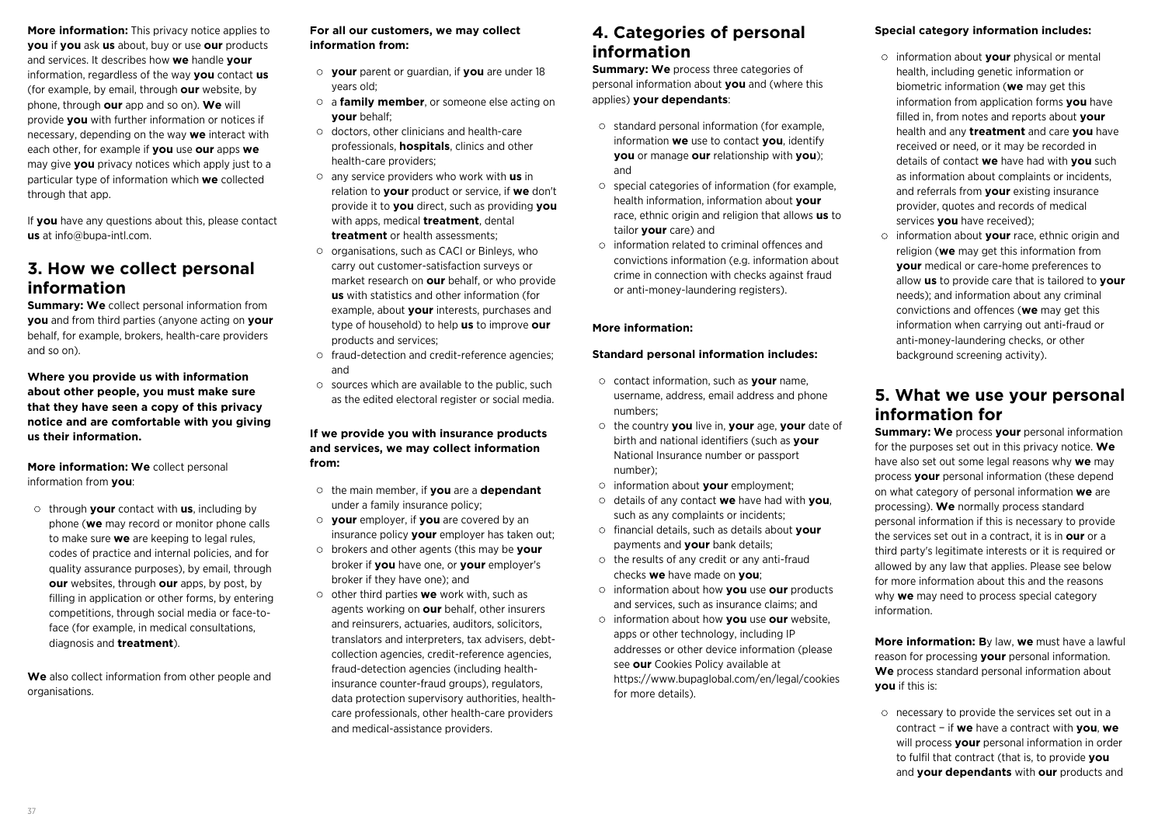**More information:** This privacy notice applies to **you** if **you** ask **us** about, buy or use **our** products and services. It describes how **we** handle **your** information, regardless of the way **you** contact **us** (for example, by email, through **our** website, by phone, through **our** app and so on). **We** will provide **you** with further information or notices if necessary, depending on the way **we** interact with each other, for example if **you** use **our** apps **we** may give **you** privacy notices which apply just to a particular type of information which **we** collected through that app.

If **you** have any questions about this, please contact **us** at info@bupa-intl.com.

## **3. How we collect personal information**

**Summary: We** collect personal information from **you** and from third parties (anyone acting on **your** behalf, for example, brokers, health-care providers and so on).

**Where you provide us with information about other people, you must make sure that they have seen a copy of this privacy notice and are comfortable with you giving us their information.** 

**More information: We** collect personal information from **you**:

through **your** contact with **us**, including by phone (**we** may record or monitor phone calls to make sure **we** are keeping to legal rules, codes of practice and internal policies, and for quality assurance purposes), by email, through **our** websites, through **our** apps, by post, by filling in application or other forms, by entering competitions, through social media or face-toface (for example, in medical consultations, diagnosis and **treatment**).

**We** also collect information from other people and organisations.

### **For all our customers, we may collect information from:**

- **your** parent or guardian, if **you** are under 18 years old;
- a **family member**, or someone else acting on **your** behalf;
- $\circ$  doctors, other clinicians and health-care professionals, **hospitals**, clinics and other health-care providers;
- any service providers who work with **us** in relation to **your** product or service, if **we** don't provide it to **you** direct, such as providing **you** with apps, medical **treatment**, dental **treatment** or health assessments;
- o organisations, such as CACI or Binleys, who carry out customer-satisfaction surveys or market research on **our** behalf, or who provide **us** with statistics and other information (for example, about **your** interests, purchases and type of household) to help **us** to improve **our** products and services;
- fraud-detection and credit-reference agencies; and
- $\circ$  sources which are available to the public, such as the edited electoral register or social media.

### **If we provide you with insurance products and services, we may collect information from:**

- the main member, if **you** are a **dependant** under a family insurance policy;
- **your** employer, if **you** are covered by an insurance policy **your** employer has taken out;
- brokers and other agents (this may be **your** broker if **you** have one, or **your** employer's broker if they have one); and
- other third parties **we** work with, such as agents working on **our** behalf, other insurers and reinsurers, actuaries, auditors, solicitors, translators and interpreters, tax advisers, debtcollection agencies, credit-reference agencies, fraud-detection agencies (including healthinsurance counter-fraud groups), regulators, data protection supervisory authorities, healthcare professionals, other health-care providers and medical-assistance providers.

### **4. Categories of personal information**

**Summary: We** process three categories of personal information about **you** and (where this applies) **your dependants**:

- standard personal information (for example, information **we** use to contact **you**, identify **you** or manage **our** relationship with **you**); and
- $\circ$  special categories of information (for example, health information, information about **your** race, ethnic origin and religion that allows **us** to tailor **your** care) and
- information related to criminal offences and convictions information (e.g. information about crime in connection with checks against fraud or anti-money-laundering registers).

### **More information:**

### **Standard personal information includes:**

- contact information, such as **your** name, username, address, email address and phone numbers;
- the country **you** live in, **your** age, **your** date of birth and national identifiers (such as **your** National Insurance number or passport number);
- information about **your** employment;
- details of any contact **we** have had with **you**, such as any complaints or incidents;
- financial details, such as details about **your** payments and **your** bank details;
- $\circ$  the results of any credit or any anti-fraud checks **we** have made on **you**;
- information about how **you** use **our** products and services, such as insurance claims; and
- information about how **you** use **our** website, apps or other technology, including IP addresses or other device information (please see **our** Cookies Policy available at https://www.bupaglobal.com/en/legal/cookies for more details).

### **Special category information includes:**

- information about **your** physical or mental health, including genetic information or biometric information (**we** may get this information from application forms **you** have filled in, from notes and reports about **your** health and any **treatment** and care **you** have received or need, or it may be recorded in details of contact **we** have had with **you** such as information about complaints or incidents, and referrals from **your** existing insurance provider, quotes and records of medical services **you** have received);
- information about **your** race, ethnic origin and religion (**we** may get this information from **your** medical or care-home preferences to allow **us** to provide care that is tailored to **your** needs); and information about any criminal convictions and offences (**we** may get this information when carrying out anti-fraud or anti-money-laundering checks, or other background screening activity).

### **5. What we use your personal information for**

**Summary: We** process **your** personal information for the purposes set out in this privacy notice. **We** have also set out some legal reasons why **we** may process **your** personal information (these depend on what category of personal information **we** are processing). **We** normally process standard personal information if this is necessary to provide the services set out in a contract, it is in **our** or a third party's legitimate interests or it is required or allowed by any law that applies. Please see below for more information about this and the reasons why **we** may need to process special category information.

**More information: B**y law, **we** must have a lawful reason for processing **your** personal information. **We** process standard personal information about **you** if this is:

 $\circ$  necessary to provide the services set out in a contract − if **we** have a contract with **you**, **we** will process **your** personal information in order to fulfil that contract (that is, to provide **you** and **your dependants** with **our** products and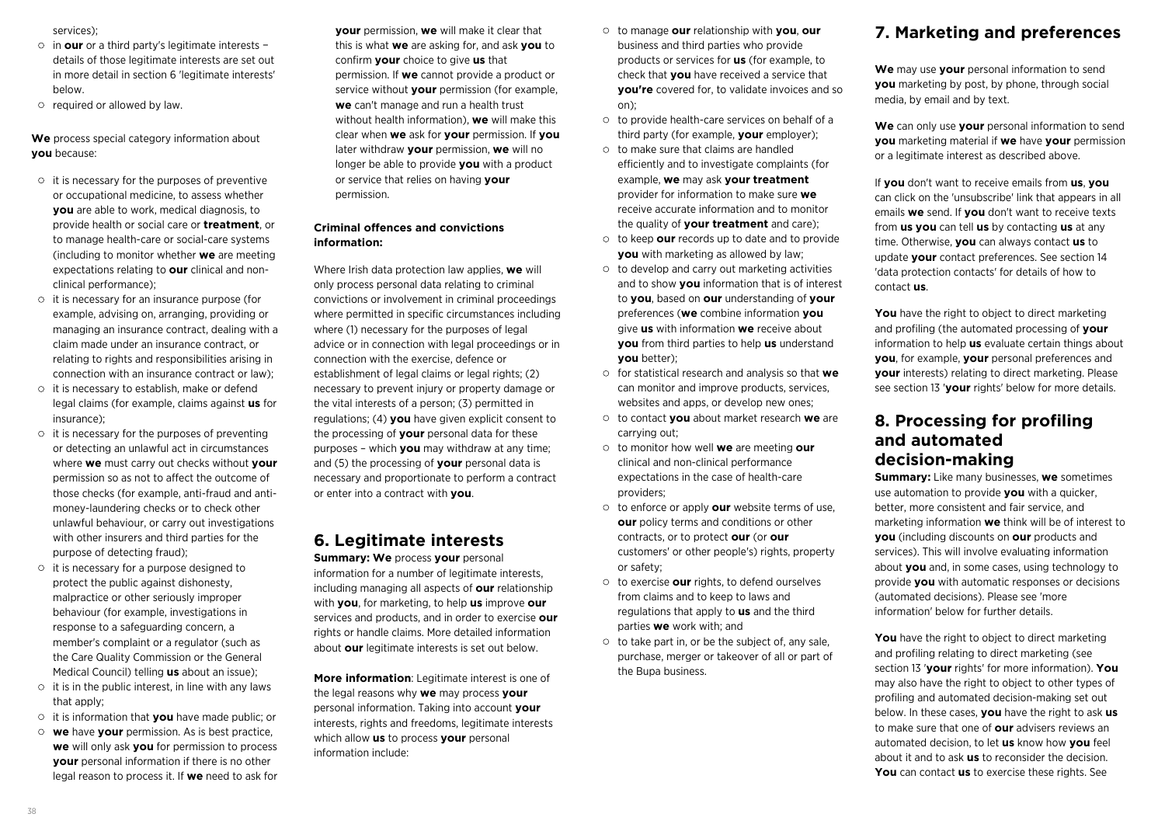services);

- in **our** or a third party's legitimate interests − details of those legitimate interests are set out in more detail in section 6 'legitimate interests' below.
- o required or allowed by law.

**We** process special category information about **you** because:

- $\circ$  it is necessary for the purposes of preventive or occupational medicine, to assess whether **you** are able to work, medical diagnosis, to provide health or social care or **treatment**, or to manage health-care or social-care systems (including to monitor whether **we** are meeting expectations relating to **our** clinical and nonclinical performance);
- $\circ$  it is necessary for an insurance purpose (for example, advising on, arranging, providing or managing an insurance contract, dealing with a claim made under an insurance contract, or relating to rights and responsibilities arising in connection with an insurance contract or law);
- $\circ$  it is necessary to establish, make or defend legal claims (for example, claims against **us** for insurance);
- $\circ$  it is necessary for the purposes of preventing or detecting an unlawful act in circumstances where **we** must carry out checks without **your** permission so as not to affect the outcome of those checks (for example, anti-fraud and antimoney-laundering checks or to check other unlawful behaviour, or carry out investigations with other insurers and third parties for the purpose of detecting fraud);
- $\circ$  it is necessary for a purpose designed to protect the public against dishonesty, malpractice or other seriously improper behaviour (for example, investigations in response to a safeguarding concern, a member's complaint or a regulator (such as the Care Quality Commission or the General Medical Council) telling **us** about an issue);
- $\circ$  it is in the public interest, in line with any laws that apply:
- it is information that **you** have made public; or
- **we** have **your** permission. As is best practice, **we** will only ask **you** for permission to process **your** personal information if there is no other legal reason to process it. If **we** need to ask for

**your** permission, **we** will make it clear that this is what **we** are asking for, and ask **you** to confirm **your** choice to give **us** that permission. If **we** cannot provide a product or service without **your** permission (for example, **we** can't manage and run a health trust without health information), **we** will make this clear when **we** ask for **your** permission. If **you** later withdraw **your** permission, **we** will no longer be able to provide **you** with a product or service that relies on having **your** permission.

### **Criminal offences and convictions information:**

Where Irish data protection law applies, **we** will only process personal data relating to criminal convictions or involvement in criminal proceedings where permitted in specific circumstances including where (1) necessary for the purposes of legal advice or in connection with legal proceedings or in connection with the exercise, defence or establishment of legal claims or legal rights; (2) necessary to prevent injury or property damage or the vital interests of a person; (3) permitted in regulations; (4) **you** have given explicit consent to the processing of **your** personal data for these purposes – which **you** may withdraw at any time; and (5) the processing of **your** personal data is necessary and proportionate to perform a contract or enter into a contract with **you**.

### **6. Legitimate interests**

**Summary: We** process **your** personal information for a number of legitimate interests, including managing all aspects of **our** relationship with **you**, for marketing, to help **us** improve **our** services and products, and in order to exercise **our** rights or handle claims. More detailed information about **our** legitimate interests is set out below.

**More information**: Legitimate interest is one of the legal reasons why **we** may process **your** personal information. Taking into account **your** interests, rights and freedoms, legitimate interests which allow **us** to process **your** personal information include:

- to manage **our** relationship with **you**, **our** business and third parties who provide products or services for **us** (for example, to check that **you** have received a service that **you're** covered for, to validate invoices and so on);
- to provide health-care services on behalf of a third party (for example, **your** employer);
- $\circ$  to make sure that claims are handled efficiently and to investigate complaints (for example, **we** may ask **your treatment** provider for information to make sure **we** receive accurate information and to monitor the quality of **your treatment** and care);
- to keep **our** records up to date and to provide **you** with marketing as allowed by law;
- $\circ$  to develop and carry out marketing activities and to show **you** information that is of interest to **you**, based on **our** understanding of **your** preferences (**we** combine information **you** give **us** with information **we** receive about **you** from third parties to help **us** understand **you** better);
- for statistical research and analysis so that **we** can monitor and improve products, services, websites and apps, or develop new ones;
- to contact **you** about market research **we** are carrying out;
- to monitor how well **we** are meeting **our** clinical and non-clinical performance expectations in the case of health-care providers;
- to enforce or apply **our** website terms of use, **our** policy terms and conditions or other contracts, or to protect **our** (or **our** customers' or other people's) rights, property or safety;
- to exercise **our** rights, to defend ourselves from claims and to keep to laws and regulations that apply to **us** and the third parties **we** work with; and
- $\circ$  to take part in, or be the subject of, any sale, purchase, merger or takeover of all or part of the Bupa business.

## **7. Marketing and preferences**

**We** may use **your** personal information to send **you** marketing by post, by phone, through social media, by email and by text.

**We** can only use **your** personal information to send **you** marketing material if **we** have **your** permission or a legitimate interest as described above.

If **you** don't want to receive emails from **us**, **you** can click on the 'unsubscribe' link that appears in all emails **we** send. If **you** don't want to receive texts from **us you** can tell **us** by contacting **us** at any time. Otherwise, **you** can always contact **us** to update **your** contact preferences. See section 14 'data protection contacts' for details of how to contact **us**.

**You** have the right to object to direct marketing and profiling (the automated processing of **your** information to help **us** evaluate certain things about **you**, for example, **your** personal preferences and **your** interests) relating to direct marketing. Please see section 13 '**your** rights' below for more details.

### **8. Processing for profiling and automated decision-making**

**Summary:** Like many businesses, **we** sometimes use automation to provide **you** with a quicker, better, more consistent and fair service, and marketing information **we** think will be of interest to **you** (including discounts on **our** products and services). This will involve evaluating information about **you** and, in some cases, using technology to provide **you** with automatic responses or decisions (automated decisions). Please see 'more information' below for further details.

**You** have the right to object to direct marketing and profiling relating to direct marketing (see section 13 '**your** rights' for more information). **You** may also have the right to object to other types of profiling and automated decision-making set out below. In these cases, **you** have the right to ask **us** to make sure that one of **our** advisers reviews an automated decision, to let **us** know how **you** feel about it and to ask **us** to reconsider the decision. **You** can contact **us** to exercise these rights. See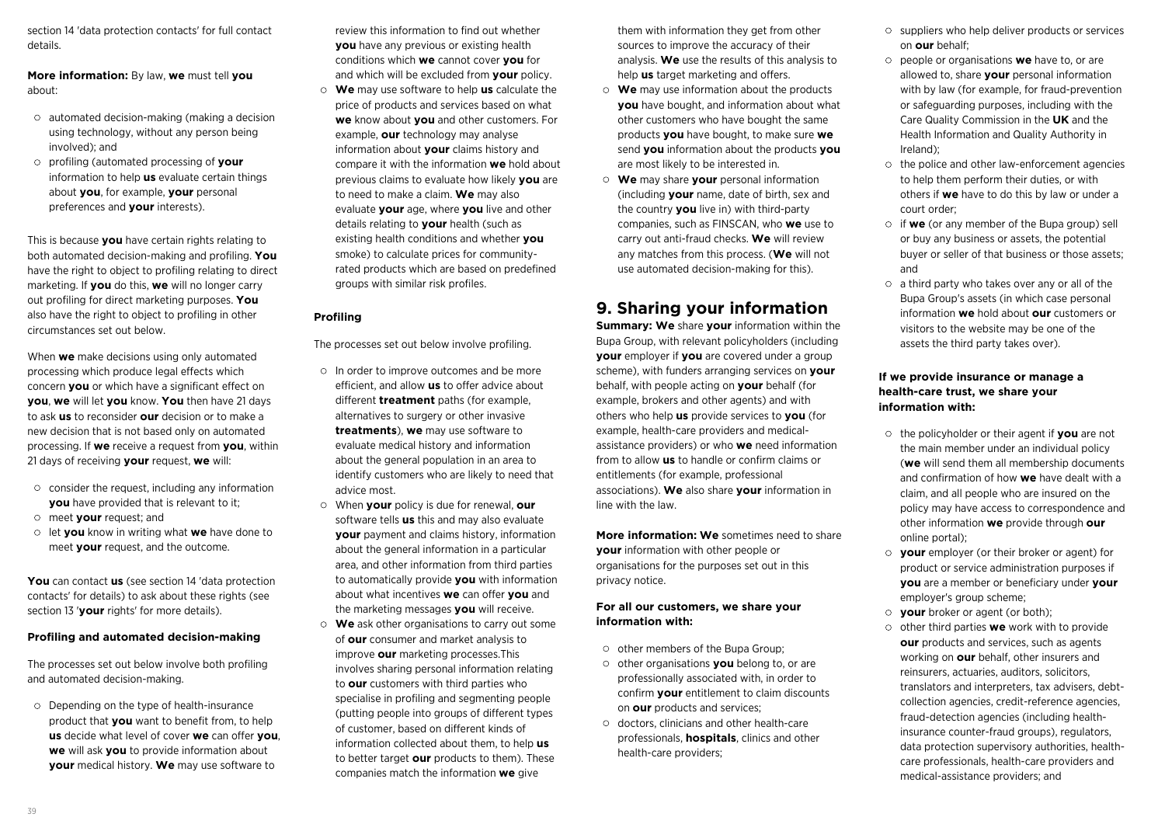section 14 'data protection contacts' for full contact details.

**More information:** By law, **we** must tell **you** about:

- automated decision-making (making a decision using technology, without any person being involved); and
- profiling (automated processing of **your** information to help **us** evaluate certain things about **you**, for example, **your** personal preferences and **your** interests).

This is because **you** have certain rights relating to both automated decision-making and profiling. **You** have the right to object to profiling relating to direct marketing. If **you** do this, **we** will no longer carry out profiling for direct marketing purposes. **You** also have the right to object to profiling in other circumstances set out below.

When **we** make decisions using only automated processing which produce legal effects which concern **you** or which have a significant effect on **you**, **we** will let **you** know. **You** then have 21 days to ask **us** to reconsider **our** decision or to make a new decision that is not based only on automated processing. If **we** receive a request from **you**, within 21 days of receiving **your** request, **we** will:

- $\circ$  consider the request, including any information **you** have provided that is relevant to it:
- meet **your** request; and
- let **you** know in writing what **we** have done to meet **your** request, and the outcome.

**You** can contact **us** (see section 14 'data protection contacts' for details) to ask about these rights (see section 13 '**your** rights' for more details).

#### **Profiling and automated decision-making**

The processes set out below involve both profiling and automated decision-making.

Depending on the type of health-insurance product that **you** want to benefit from, to help **us** decide what level of cover **we** can offer **you**, **we** will ask **you** to provide information about **your** medical history. **We** may use software to

review this information to find out whether **you** have any previous or existing health conditions which **we** cannot cover **you** for and which will be excluded from **your** policy.

**We** may use software to help **us** calculate the price of products and services based on what **we** know about **you** and other customers. For example, **our** technology may analyse information about **your** claims history and compare it with the information **we** hold about previous claims to evaluate how likely **you** are to need to make a claim. **We** may also evaluate **your** age, where **you** live and other details relating to **your** health (such as existing health conditions and whether **you** smoke) to calculate prices for communityrated products which are based on predefined groups with similar risk profiles.

#### **Profiling**

The processes set out below involve profiling.

- In order to improve outcomes and be more efficient, and allow **us** to offer advice about different **treatment** paths (for example, alternatives to surgery or other invasive **treatments**), **we** may use software to evaluate medical history and information about the general population in an area to identify customers who are likely to need that advice most.
- When **your** policy is due for renewal, **our** software tells **us** this and may also evaluate **your** payment and claims history, information about the general information in a particular area, and other information from third parties to automatically provide **you** with information about what incentives **we** can offer **you** and the marketing messages **you** will receive.
- **We** ask other organisations to carry out some of **our** consumer and market analysis to improve **our** marketing processes.This involves sharing personal information relating to **our** customers with third parties who specialise in profiling and segmenting people (putting people into groups of different types of customer, based on different kinds of information collected about them, to help **us** to better target **our** products to them). These companies match the information **we** give

them with information they get from other sources to improve the accuracy of their analysis. **We** use the results of this analysis to help **us** target marketing and offers.

- **We** may use information about the products **you** have bought, and information about what other customers who have bought the same products **you** have bought, to make sure **we** send **you** information about the products **you** are most likely to be interested in.
- **We** may share **your** personal information (including **your** name, date of birth, sex and the country **you** live in) with third-party companies, such as FINSCAN, who **we** use to carry out anti-fraud checks. **We** will review any matches from this process. (**We** will not use automated decision-making for this).

## **9. Sharing your information**

**Summary: We** share **your** information within the Bupa Group, with relevant policyholders (including **your** employer if **you** are covered under a group scheme), with funders arranging services on **your** behalf, with people acting on **your** behalf (for example, brokers and other agents) and with others who help **us** provide services to **you** (for example, health-care providers and medicalassistance providers) or who **we** need information from to allow **us** to handle or confirm claims or entitlements (for example, professional associations). **We** also share **your** information in line with the law.

**More information: We** sometimes need to share **your** information with other people or organisations for the purposes set out in this privacy notice.

### **For all our customers, we share your information with:**

- $\circ$  other members of the Bupa Group;
- other organisations **you** belong to, or are professionally associated with, in order to confirm **your** entitlement to claim discounts on **our** products and services;
- $\circ$  doctors, clinicians and other health-care professionals, **hospitals**, clinics and other health-care providers;
- suppliers who help deliver products or services on **our** behalf;
- people or organisations **we** have to, or are allowed to, share **your** personal information with by law (for example, for fraud-prevention or safeguarding purposes, including with the Care Quality Commission in the **UK** and the Health Information and Quality Authority in Ireland);
- $\circ$  the police and other law-enforcement agencies to help them perform their duties, or with others if **we** have to do this by law or under a court order;
- if **we** (or any member of the Bupa group) sell or buy any business or assets, the potential buyer or seller of that business or those assets; and
- $\circ$  a third party who takes over any or all of the Bupa Group's assets (in which case personal information **we** hold about **our** customers or visitors to the website may be one of the assets the third party takes over).

### **If we provide insurance or manage a health-care trust, we share your information with:**

- the policyholder or their agent if **you** are not the main member under an individual policy (**we** will send them all membership documents and confirmation of how **we** have dealt with a claim, and all people who are insured on the policy may have access to correspondence and other information **we** provide through **our** online portal);
- **your** employer (or their broker or agent) for product or service administration purposes if **you** are a member or beneficiary under **your** employer's group scheme;
- **your** broker or agent (or both);
- o other third parties **we** work with to provide **our** products and services, such as agents working on **our** behalf, other insurers and reinsurers, actuaries, auditors, solicitors, translators and interpreters, tax advisers, debtcollection agencies, credit-reference agencies, fraud-detection agencies (including healthinsurance counter-fraud groups), regulators, data protection supervisory authorities, healthcare professionals, health-care providers and medical-assistance providers; and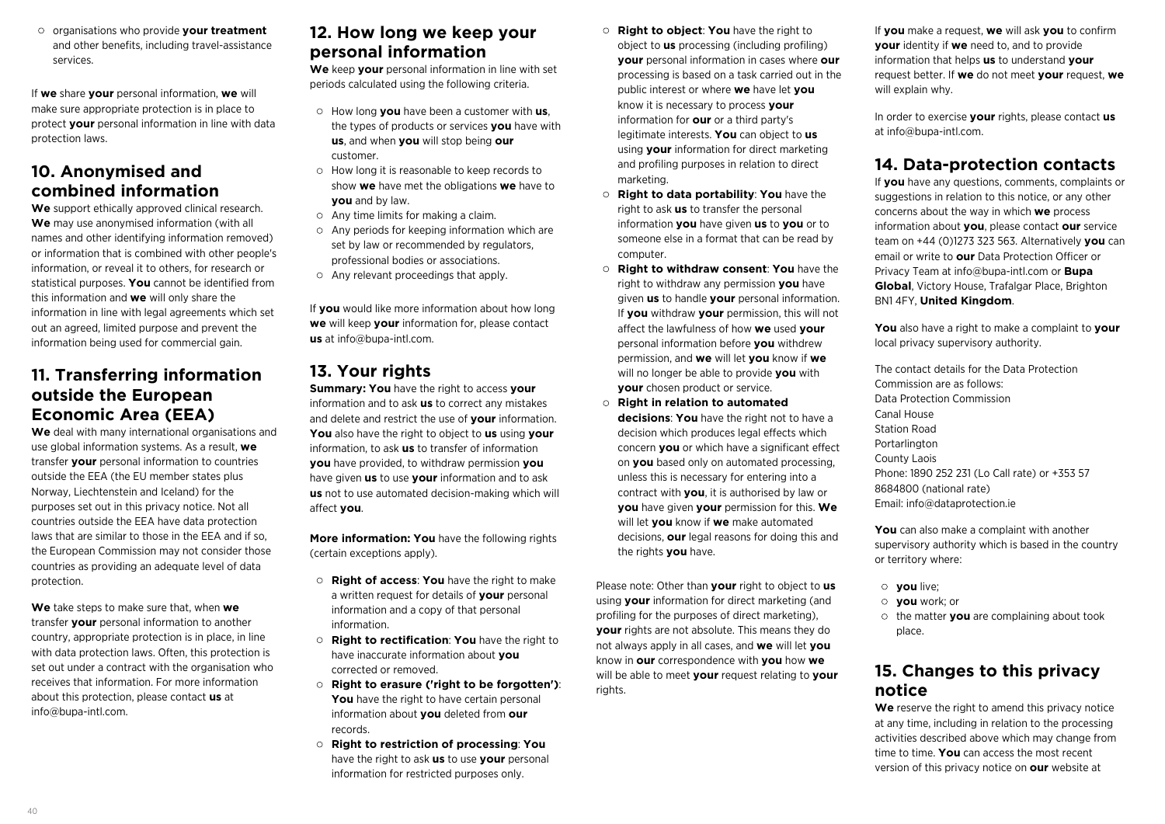organisations who provide **your treatment** and other benefits, including travel-assistance services.

If **we** share **your** personal information, **we** will make sure appropriate protection is in place to protect **your** personal information in line with data protection laws.

### **10. Anonymised and combined information**

**We** support ethically approved clinical research. **We** may use anonymised information (with all names and other identifying information removed) or information that is combined with other people's information, or reveal it to others, for research or statistical purposes. **You** cannot be identified from this information and **we** will only share the information in line with legal agreements which set out an agreed, limited purpose and prevent the information being used for commercial gain.

### **11. Transferring information outside the European Economic Area (EEA)**

**We** deal with many international organisations and use global information systems. As a result, **we** transfer **your** personal information to countries outside the EEA (the EU member states plus Norway, Liechtenstein and Iceland) for the purposes set out in this privacy notice. Not all countries outside the EEA have data protection laws that are similar to those in the EEA and if so, the European Commission may not consider those countries as providing an adequate level of data protection.

**We** take steps to make sure that, when **we** transfer **your** personal information to another country, appropriate protection is in place, in line with data protection laws. Often, this protection is set out under a contract with the organisation who receives that information. For more information about this protection, please contact **us** at info@bupa-intl.com.

### **12. How long we keep your personal information**

**We** keep **your** personal information in line with set periods calculated using the following criteria.

- How long **you** have been a customer with **us**, the types of products or services **you** have with **us**, and when **you** will stop being **our** customer.
- How long it is reasonable to keep records to show **we** have met the obligations **we** have to **you** and by law.
- Any time limits for making a claim.
- $\circ$  Any periods for keeping information which are set by law or recommended by regulators, professional bodies or associations.
- Any relevant proceedings that apply.

If **you** would like more information about how long **we** will keep **your** information for, please contact **us** at info@bupa-intl.com.

### **13. Your rights**

**Summary: You** have the right to access **your** information and to ask **us** to correct any mistakes and delete and restrict the use of **your** information. **You** also have the right to object to **us** using **your** information, to ask **us** to transfer of information **you** have provided, to withdraw permission **you** have given **us** to use **your** information and to ask **us** not to use automated decision-making which will affect **you**.

**More information: You** have the following rights (certain exceptions apply).

- **Right of access**: **You** have the right to make a written request for details of **your** personal information and a copy of that personal information.
- **Right to rectification**: **You** have the right to have inaccurate information about **you** corrected or removed.
- **Right to erasure ('right to be forgotten')**: **You** have the right to have certain personal information about **you** deleted from **our** records.
- **Right to restriction of processing**: **You** have the right to ask **us** to use **your** personal information for restricted purposes only.
- **Right to object**: **You** have the right to object to **us** processing (including profiling) **your** personal information in cases where **our** processing is based on a task carried out in the public interest or where **we** have let **you** know it is necessary to process **your** information for **our** or a third party's legitimate interests. **You** can object to **us** using **your** information for direct marketing and profiling purposes in relation to direct marketing.
- **Right to data portability**: **You** have the right to ask **us** to transfer the personal information **you** have given **us** to **you** or to someone else in a format that can be read by computer.
- **Right to withdraw consent**: **You** have the right to withdraw any permission **you** have given **us** to handle **your** personal information. If **you** withdraw **your** permission, this will not affect the lawfulness of how **we** used **your** personal information before **you** withdrew permission, and **we** will let **you** know if **we** will no longer be able to provide **you** with **your** chosen product or service.
- **Right in relation to automated**

**decisions**: **You** have the right not to have a decision which produces legal effects which concern **you** or which have a significant effect on **you** based only on automated processing, unless this is necessary for entering into a contract with **you**, it is authorised by law or **you** have given **your** permission for this. **We** will let **you** know if **we** make automated decisions, **our** legal reasons for doing this and the rights **you** have.

Please note: Other than **your** right to object to **us** using **your** information for direct marketing (and profiling for the purposes of direct marketing), **your** rights are not absolute. This means they do not always apply in all cases, and **we** will let **you** know in **our** correspondence with **you** how **we** will be able to meet **your** request relating to **your** rights.

If **you** make a request, **we** will ask **you** to confirm **your** identity if **we** need to, and to provide information that helps **us** to understand **your** request better. If **we** do not meet **your** request, **we** will explain why.

In order to exercise **your** rights, please contact **us** at info@bupa-intl.com.

## **14. Data-protection contacts**

If **you** have any questions, comments, complaints or suggestions in relation to this notice, or any other concerns about the way in which **we** process information about **you**, please contact **our** service team on +44 (0)1273 323 563. Alternatively **you** can email or write to **our** Data Protection Officer or Privacy Team at info@bupa-intl.com or **Bupa Global**, Victory House, Trafalgar Place, Brighton BN1 4FY, **United Kingdom**.

**You** also have a right to make a complaint to **your** local privacy supervisory authority.

The contact details for the Data Protection Commission are as follows: Data Protection Commission Canal House Station Road Portarlington County Laois Phone: 1890 252 231 (Lo Call rate) or +353 57 8684800 (national rate) Email: info@dataprotection.ie

**You** can also make a complaint with another supervisory authority which is based in the country or territory where:

- **you** live;
- **you** work; or
- the matter **you** are complaining about took place.

### **15. Changes to this privacy notice**

**We** reserve the right to amend this privacy notice at any time, including in relation to the processing activities described above which may change from time to time. **You** can access the most recent version of this privacy notice on **our** website at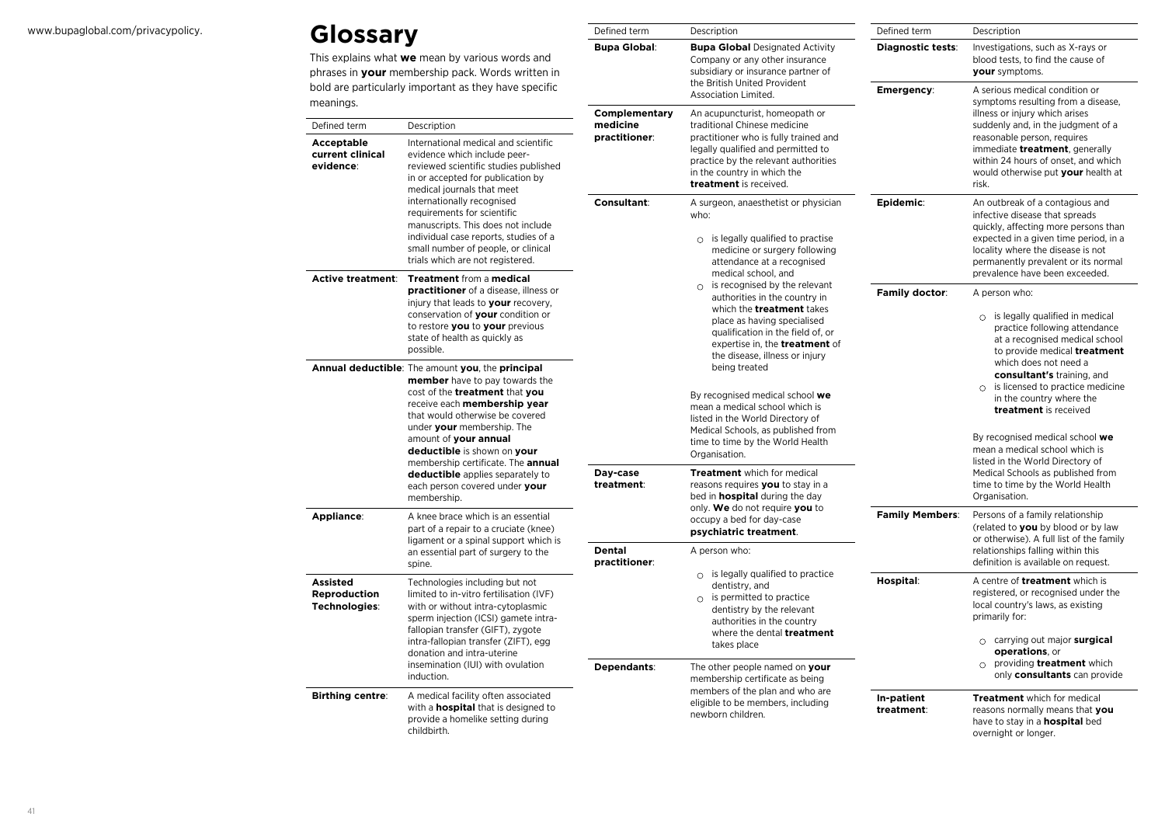## www.bupaglobal.com/privacypolicy. **Glossary**

This explains what **we** mean by various words and phrases in **your** membership pack. Words written in bold are particularly important as they have specific mea

| This explains what <b>we</b> mean by various words and<br>phrases in your membership pack. Words written in<br>bold are particularly important as they have specific<br>meanings. |                                                                                                                                                                                                                                                                                                                                                                                                         |                           | Company or any other insurance<br>subsidiary or insurance partner of                                                                                                                                                                                      |                          | blood tests, to find the cause of<br>your symptoms.                                                                                                                                                                                                                                                                                                                                                                          |  |
|-----------------------------------------------------------------------------------------------------------------------------------------------------------------------------------|---------------------------------------------------------------------------------------------------------------------------------------------------------------------------------------------------------------------------------------------------------------------------------------------------------------------------------------------------------------------------------------------------------|---------------------------|-----------------------------------------------------------------------------------------------------------------------------------------------------------------------------------------------------------------------------------------------------------|--------------------------|------------------------------------------------------------------------------------------------------------------------------------------------------------------------------------------------------------------------------------------------------------------------------------------------------------------------------------------------------------------------------------------------------------------------------|--|
|                                                                                                                                                                                   |                                                                                                                                                                                                                                                                                                                                                                                                         |                           | the British United Provident<br>Association Limited.                                                                                                                                                                                                      | <b>Emergency:</b>        | A serious medical condition or<br>symptoms resulting from a disease,                                                                                                                                                                                                                                                                                                                                                         |  |
| Defined term                                                                                                                                                                      | Description                                                                                                                                                                                                                                                                                                                                                                                             | Complementary<br>medicine | An acupuncturist, homeopath or<br>traditional Chinese medicine                                                                                                                                                                                            |                          | illness or injury which arises<br>suddenly and, in the judgment of a                                                                                                                                                                                                                                                                                                                                                         |  |
| <b>Acceptable</b><br>current clinical<br>evidence:                                                                                                                                | International medical and scientific<br>evidence which include peer-<br>reviewed scientific studies published<br>in or accepted for publication by<br>medical journals that meet<br>internationally recognised<br>requirements for scientific<br>manuscripts. This does not include<br>individual case reports, studies of a<br>small number of people, or clinical<br>trials which are not registered. |                           | practitioner who is fully trained and<br>legally qualified and permitted to<br>practice by the relevant authorities<br>in the country in which the<br>treatment is received.                                                                              |                          | reasonable person, requires<br>immediate treatment, generally<br>within 24 hours of onset, and which<br>would otherwise put your health at<br>risk.                                                                                                                                                                                                                                                                          |  |
|                                                                                                                                                                                   |                                                                                                                                                                                                                                                                                                                                                                                                         |                           | A surgeon, anaesthetist or physician<br>who:<br>$\circ$ is legally qualified to practise<br>medicine or surgery following<br>attendance at a recognised<br>medical school, and                                                                            | Epidemic:                | An outbreak of a contagious and<br>infective disease that spreads<br>quickly, affecting more persons than<br>expected in a given time period, in a<br>locality where the disease is not<br>permanently prevalent or its normal<br>prevalence have been exceeded.                                                                                                                                                             |  |
| <b>Active treatment:</b>                                                                                                                                                          | Treatment from a medical<br>practitioner of a disease, illness or<br>injury that leads to your recovery,<br>conservation of your condition or<br>to restore you to your previous<br>state of health as quickly as<br>possible.                                                                                                                                                                          |                           | $\circ$ is recognised by the relevant<br>authorities in the country in<br>which the <b>treatment</b> takes<br>place as having specialised<br>qualification in the field of, or<br>expertise in, the <b>treatment</b> of<br>the disease, illness or injury | Family doctor:           | A person who:<br>$\circ$ is legally qualified in medical<br>practice following attendance<br>at a recognised medical school<br>to provide medical treatment<br>which does not need a<br>consultant's training, and<br>$\circ$ is licensed to practice medicine<br>in the country where the<br>treatment is received<br>By recognised medical school we<br>mean a medical school which is<br>listed in the World Directory of |  |
|                                                                                                                                                                                   | Annual deductible: The amount you, the principal<br><b>member</b> have to pay towards the<br>cost of the treatment that you<br>receive each membership year<br>that would otherwise be covered<br>under your membership. The<br>amount of your annual<br>deductible is shown on your<br>membership certificate. The <b>annual</b>                                                                       |                           | being treated<br>By recognised medical school we<br>mean a medical school which is<br>listed in the World Directory of<br>Medical Schools, as published from<br>time to time by the World Health<br>Organisation.                                         |                          |                                                                                                                                                                                                                                                                                                                                                                                                                              |  |
|                                                                                                                                                                                   | deductible applies separately to<br>each person covered under your<br>membership.                                                                                                                                                                                                                                                                                                                       | Day-case<br>treatment:    | <b>Treatment</b> which for medical<br>reasons requires you to stay in a<br>bed in <b>hospital</b> during the day                                                                                                                                          |                          | Medical Schools as published from<br>time to time by the World Health<br>Organisation.<br>Persons of a family relationship<br>(related to you by blood or by law<br>or otherwise). A full list of the family<br>relationships falling within this<br>definition is available on request.                                                                                                                                     |  |
| Appliance:                                                                                                                                                                        | A knee brace which is an essential<br>part of a repair to a cruciate (knee)<br>ligament or a spinal support which is                                                                                                                                                                                                                                                                                    |                           | only. We do not require you to<br>occupy a bed for day-case<br>psychiatric treatment.                                                                                                                                                                     | <b>Family Members:</b>   |                                                                                                                                                                                                                                                                                                                                                                                                                              |  |
|                                                                                                                                                                                   | an essential part of surgery to the<br>spine.                                                                                                                                                                                                                                                                                                                                                           | Dental<br>practitioner:   | A person who:                                                                                                                                                                                                                                             |                          |                                                                                                                                                                                                                                                                                                                                                                                                                              |  |
| <b>Assisted</b><br>Reproduction<br>Technologies:                                                                                                                                  | Technologies including but not<br>limited to in-vitro fertilisation (IVF)<br>with or without intra-cytoplasmic<br>sperm injection (ICSI) gamete intra-<br>fallopian transfer (GIFT), zygote<br>intra-fallopian transfer (ZIFT), egg<br>donation and intra-uterine                                                                                                                                       |                           | $\circ$ is legally qualified to practice<br>dentistry, and<br>$\circ$ is permitted to practice<br>dentistry by the relevant<br>authorities in the country<br>where the dental <b>treatment</b><br>takes place                                             | Hospital:                | A centre of <b>treatment</b> which is<br>registered, or recognised under the<br>local country's laws, as existing<br>primarily for:<br>$\circ$ carrying out major surgical<br>operations, or                                                                                                                                                                                                                                 |  |
| insemination (IUI) with ovulation<br>induction.                                                                                                                                   |                                                                                                                                                                                                                                                                                                                                                                                                         | Dependants:               | The other people named on your<br>membership certificate as being                                                                                                                                                                                         |                          | $\circ$ providing treatment which<br>only consultants can provide                                                                                                                                                                                                                                                                                                                                                            |  |
| <b>Birthing centre:</b>                                                                                                                                                           | A medical facility often associated<br>with a <b>hospital</b> that is designed to<br>provide a homelike setting during<br>childbirth.                                                                                                                                                                                                                                                                   |                           | members of the plan and who are<br>eligible to be members, including<br>newborn children.                                                                                                                                                                 | In-patient<br>treatment: | <b>Treatment</b> which for medical<br>reasons normally means that you<br>have to stay in a <b>hospital</b> bed<br>overnight or longer.                                                                                                                                                                                                                                                                                       |  |

Defined term Description

**Bupa Global**: **Bupa Global** Designated Activity

Defined term Description

**Diagnostic tests**: Investigations, such as X-rays or

41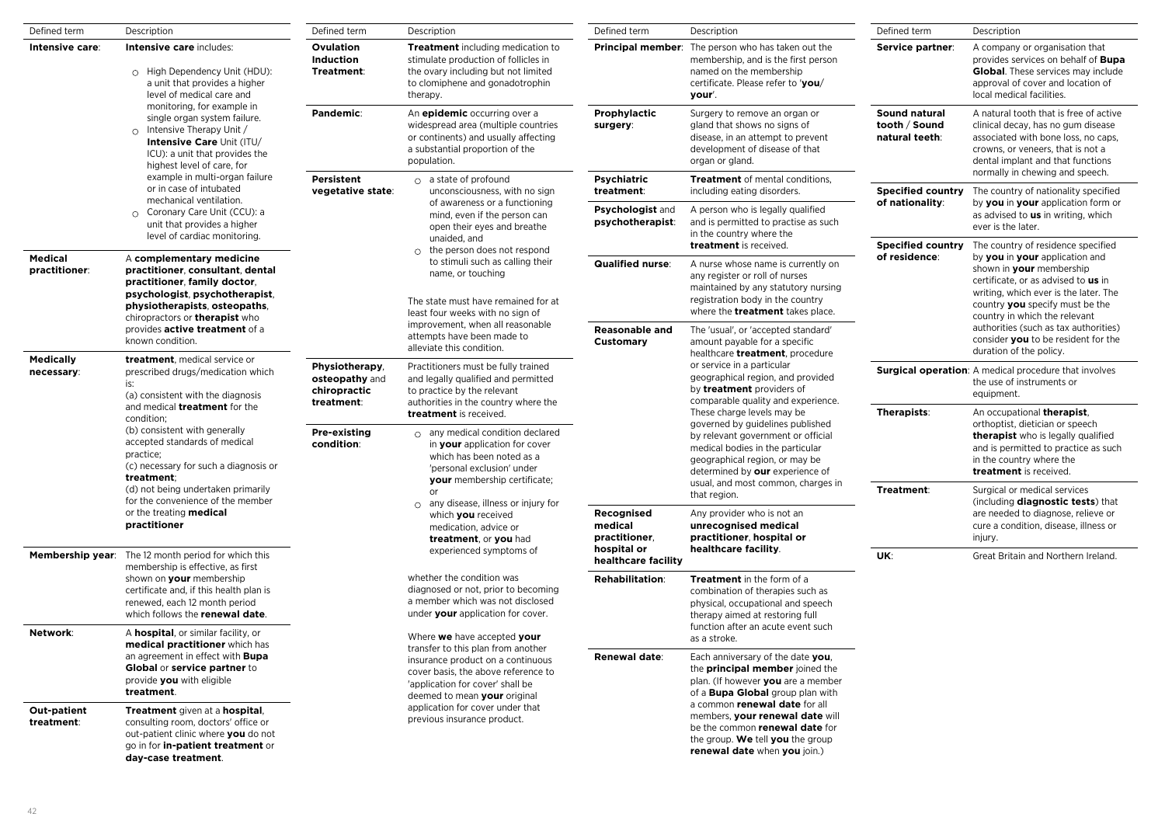| Defined term                                                                                                                                                                                                                                                                            | Description                                                                                                                                                                                                                                       | Defined term                                                                                                                                                                                                      | Description                                                                                                                                                                                                                                                                                      | Defined term                                                                                                                                                                                                                                                                                                                                                                              | Description                                                                                                                                                                                                                                                 | Defined term                                                                                                                                                                                             | Description                                                                                                                                                                                                                                                                                   |  |
|-----------------------------------------------------------------------------------------------------------------------------------------------------------------------------------------------------------------------------------------------------------------------------------------|---------------------------------------------------------------------------------------------------------------------------------------------------------------------------------------------------------------------------------------------------|-------------------------------------------------------------------------------------------------------------------------------------------------------------------------------------------------------------------|--------------------------------------------------------------------------------------------------------------------------------------------------------------------------------------------------------------------------------------------------------------------------------------------------|-------------------------------------------------------------------------------------------------------------------------------------------------------------------------------------------------------------------------------------------------------------------------------------------------------------------------------------------------------------------------------------------|-------------------------------------------------------------------------------------------------------------------------------------------------------------------------------------------------------------------------------------------------------------|----------------------------------------------------------------------------------------------------------------------------------------------------------------------------------------------------------|-----------------------------------------------------------------------------------------------------------------------------------------------------------------------------------------------------------------------------------------------------------------------------------------------|--|
| Intensive care:                                                                                                                                                                                                                                                                         | Intensive care includes:<br>Ovulation<br>Induction<br>o High Dependency Unit (HDU):<br>Treatment:<br>a unit that provides a higher<br>level of medical care and                                                                                   |                                                                                                                                                                                                                   | <b>Treatment</b> including medication to<br>stimulate production of follicles in<br>the ovary including but not limited<br>to clomiphene and gonadotrophin<br>therapy.                                                                                                                           |                                                                                                                                                                                                                                                                                                                                                                                           | <b>Principal member:</b> The person who has taken out the<br>membership, and is the first person<br>named on the membership<br>certificate. Please refer to 'you/<br>your'.                                                                                 | Service partner:                                                                                                                                                                                         | A company or organisation that<br>provides services on behalf of <b>Bupa</b><br><b>Global.</b> These services may include<br>approval of cover and location of<br>local medical facilities.                                                                                                   |  |
|                                                                                                                                                                                                                                                                                         | monitoring, for example in<br>single organ system failure.<br>$\circ$ Intensive Therapy Unit /<br>Intensive Care Unit (ITU/<br>ICU): a unit that provides the<br>highest level of care, for                                                       | Pandemic:                                                                                                                                                                                                         | An epidemic occurring over a<br>widespread area (multiple countries<br>or continents) and usually affecting<br>a substantial proportion of the<br>population.                                                                                                                                    | Prophylactic<br>surgery:                                                                                                                                                                                                                                                                                                                                                                  | Surgery to remove an organ or<br>gland that shows no signs of<br>disease, in an attempt to prevent<br>development of disease of that<br>organ or gland.                                                                                                     | Sound natural<br>tooth / Sound<br>natural teeth:                                                                                                                                                         | A natural tooth that is free of active<br>clinical decay, has no gum disease<br>associated with bone loss, no caps,<br>crowns, or veneers, that is not a<br>dental implant and that functions                                                                                                 |  |
|                                                                                                                                                                                                                                                                                         | example in multi-organ failure<br>or in case of intubated                                                                                                                                                                                         | Persistent<br>vegetative state:                                                                                                                                                                                   | $\circ$ a state of profound<br>unconsciousness, with no sign                                                                                                                                                                                                                                     | <b>Psychiatric</b><br>treatment:                                                                                                                                                                                                                                                                                                                                                          | <b>Treatment</b> of mental conditions.<br>including eating disorders.                                                                                                                                                                                       | <b>Specified country</b>                                                                                                                                                                                 | normally in chewing and speech.<br>The country of nationality specified                                                                                                                                                                                                                       |  |
|                                                                                                                                                                                                                                                                                         | mechanical ventilation.<br>○ Coronary Care Unit (CCU): a<br>unit that provides a higher<br>level of cardiac monitoring.                                                                                                                           |                                                                                                                                                                                                                   | of awareness or a functioning<br>mind, even if the person can<br>open their eyes and breathe<br>unaided, and                                                                                                                                                                                     | <b>Psychologist and</b><br>psychotherapist:                                                                                                                                                                                                                                                                                                                                               | A person who is legally qualified<br>and is permitted to practise as such<br>in the country where the                                                                                                                                                       | of nationality:                                                                                                                                                                                          | by you in your application form or<br>as advised to us in writing, which<br>ever is the later.                                                                                                                                                                                                |  |
| Medical<br>practitioner:                                                                                                                                                                                                                                                                | A complementary medicine<br>practitioner, consultant, dental<br>practitioner, family doctor,<br>psychologist, psychotherapist,<br>physiotherapists, osteopaths,<br>chiropractors or <b>therapist</b> who<br>provides <b>active treatment</b> of a |                                                                                                                                                                                                                   | $\circ$ the person does not respond<br>to stimuli such as calling their<br>name, or touching<br>The state must have remained for at<br>least four weeks with no sign of<br>improvement, when all reasonable                                                                                      | <b>Qualified nurse:</b><br><b>Reasonable and</b>                                                                                                                                                                                                                                                                                                                                          | treatment is received.<br>A nurse whose name is currently on<br>any register or roll of nurses<br>maintained by any statutory nursing<br>registration body in the country<br>where the <b>treatment</b> takes place.<br>The 'usual', or 'accepted standard' | <b>Specified country</b><br>of residence:                                                                                                                                                                | The country of residence specified<br>by you in your application and<br>shown in your membership<br>certificate, or as advised to us in<br>writing, which ever is the later. The<br>country you specify must be the<br>country in which the relevant<br>authorities (such as tax authorities) |  |
| <b>Medically</b>                                                                                                                                                                                                                                                                        | known condition.<br>treatment, medical service or                                                                                                                                                                                                 |                                                                                                                                                                                                                   | attempts have been made to<br>alleviate this condition.                                                                                                                                                                                                                                          | Customary                                                                                                                                                                                                                                                                                                                                                                                 | amount payable for a specific<br>healthcare <b>treatment</b> , procedure                                                                                                                                                                                    |                                                                                                                                                                                                          | consider you to be resident for the<br>duration of the policy.                                                                                                                                                                                                                                |  |
| necessary:<br>prescribed drugs/medication which<br>is:<br>(a) consistent with the diagnosis<br>and medical <b>treatment</b> for the<br>condition;<br>(b) consistent with generally<br>accepted standards of medical<br>practice;<br>(c) necessary for such a diagnosis or<br>treatment: | Physiotherapy,<br>osteopathy and<br>chiropractic<br>treatment:                                                                                                                                                                                    | Practitioners must be fully trained<br>and legally qualified and permitted<br>to practice by the relevant<br>authorities in the country where the                                                                 |                                                                                                                                                                                                                                                                                                  | or service in a particular<br>geographical region, and provided<br>by treatment providers of<br>comparable quality and experience.<br>These charge levels may be<br>governed by guidelines published<br>by relevant government or official<br>medical bodies in the particular<br>geographical region, or may be<br>determined by our experience of<br>usual, and most common, charges in |                                                                                                                                                                                                                                                             | <b>Surgical operation:</b> A medical procedure that involves<br>the use of instruments or<br>equipment.                                                                                                  |                                                                                                                                                                                                                                                                                               |  |
|                                                                                                                                                                                                                                                                                         | <b>Pre-existing</b><br>condition:                                                                                                                                                                                                                 | treatment is received.<br>$\circ$ any medical condition declared<br>in your application for cover<br>which has been noted as a<br>'personal exclusion' under<br><b>your</b> membership certificate;               |                                                                                                                                                                                                                                                                                                  |                                                                                                                                                                                                                                                                                                                                                                                           | <b>Therapists:</b>                                                                                                                                                                                                                                          | An occupational therapist.<br>orthoptist, dietician or speech<br><b>therapist</b> who is legally qualified<br>and is permitted to practice as such<br>in the country where the<br>treatment is received. |                                                                                                                                                                                                                                                                                               |  |
|                                                                                                                                                                                                                                                                                         | (d) not being undertaken primarily<br>for the convenience of the member<br>or the treating medical<br>practitioner                                                                                                                                |                                                                                                                                                                                                                   | or<br>$\circ$ any disease, illness or injury for<br>which you received<br>medication, advice or<br>treatment, or you had<br>experienced symptoms of<br>whether the condition was<br>diagnosed or not, prior to becoming<br>a member which was not disclosed<br>under your application for cover. | Recognised<br>medical<br>practitioner,                                                                                                                                                                                                                                                                                                                                                    | that region.<br>Any provider who is not an<br>unrecognised medical<br>practitioner, hospital or                                                                                                                                                             | Treatment:                                                                                                                                                                                               | Surgical or medical services<br>(including diagnostic tests) that<br>are needed to diagnose, relieve or<br>cure a condition, disease, illness or<br>injury.                                                                                                                                   |  |
| Membership year:                                                                                                                                                                                                                                                                        | The 12 month period for which this<br>membership is effective, as first                                                                                                                                                                           |                                                                                                                                                                                                                   |                                                                                                                                                                                                                                                                                                  | hospital or<br>healthcare facility                                                                                                                                                                                                                                                                                                                                                        | healthcare facility.                                                                                                                                                                                                                                        | UK:                                                                                                                                                                                                      | Great Britain and Northern Ireland.                                                                                                                                                                                                                                                           |  |
|                                                                                                                                                                                                                                                                                         | shown on your membership<br>certificate and, if this health plan is<br>renewed, each 12 month period<br>which follows the renewal date.                                                                                                           |                                                                                                                                                                                                                   |                                                                                                                                                                                                                                                                                                  |                                                                                                                                                                                                                                                                                                                                                                                           |                                                                                                                                                                                                                                                             | <b>Rehabilitation:</b>                                                                                                                                                                                   | <b>Treatment</b> in the form of a<br>combination of therapies such as<br>physical, occupational and speech<br>therapy aimed at restoring full                                                                                                                                                 |  |
| Network:                                                                                                                                                                                                                                                                                | A hospital, or similar facility, or<br>medical practitioner which has<br>an agreement in effect with <b>Bupa</b><br>Global or service partner to<br>provide you with eligible<br>treatment.                                                       | Where we have accepted your<br>transfer to this plan from another<br>insurance product on a continuous<br>cover basis, the above reference to<br>'application for cover' shall be<br>deemed to mean your original |                                                                                                                                                                                                                                                                                                  | function after an acute event such<br>as a stroke.                                                                                                                                                                                                                                                                                                                                        |                                                                                                                                                                                                                                                             |                                                                                                                                                                                                          |                                                                                                                                                                                                                                                                                               |  |
|                                                                                                                                                                                                                                                                                         |                                                                                                                                                                                                                                                   |                                                                                                                                                                                                                   | Renewal date:                                                                                                                                                                                                                                                                                    | Each anniversary of the date you,<br>the <b>principal member</b> joined the<br>plan. (If however you are a member<br>of a <b>Bupa Global</b> group plan with                                                                                                                                                                                                                              |                                                                                                                                                                                                                                                             |                                                                                                                                                                                                          |                                                                                                                                                                                                                                                                                               |  |
| Out-patient<br>treatment:                                                                                                                                                                                                                                                               | Treatment given at a hospital,<br>consulting room, doctors' office or<br>out-patient clinic where you do not<br>go in for in-patient treatment or<br>day-case treatment.                                                                          |                                                                                                                                                                                                                   | application for cover under that<br>previous insurance product.                                                                                                                                                                                                                                  |                                                                                                                                                                                                                                                                                                                                                                                           | a common <i>renewal</i> date for all<br>members, your renewal date will<br>be the common renewal date for<br>the group. We tell you the group<br>renewal date when you join.)                                                                               |                                                                                                                                                                                                          |                                                                                                                                                                                                                                                                                               |  |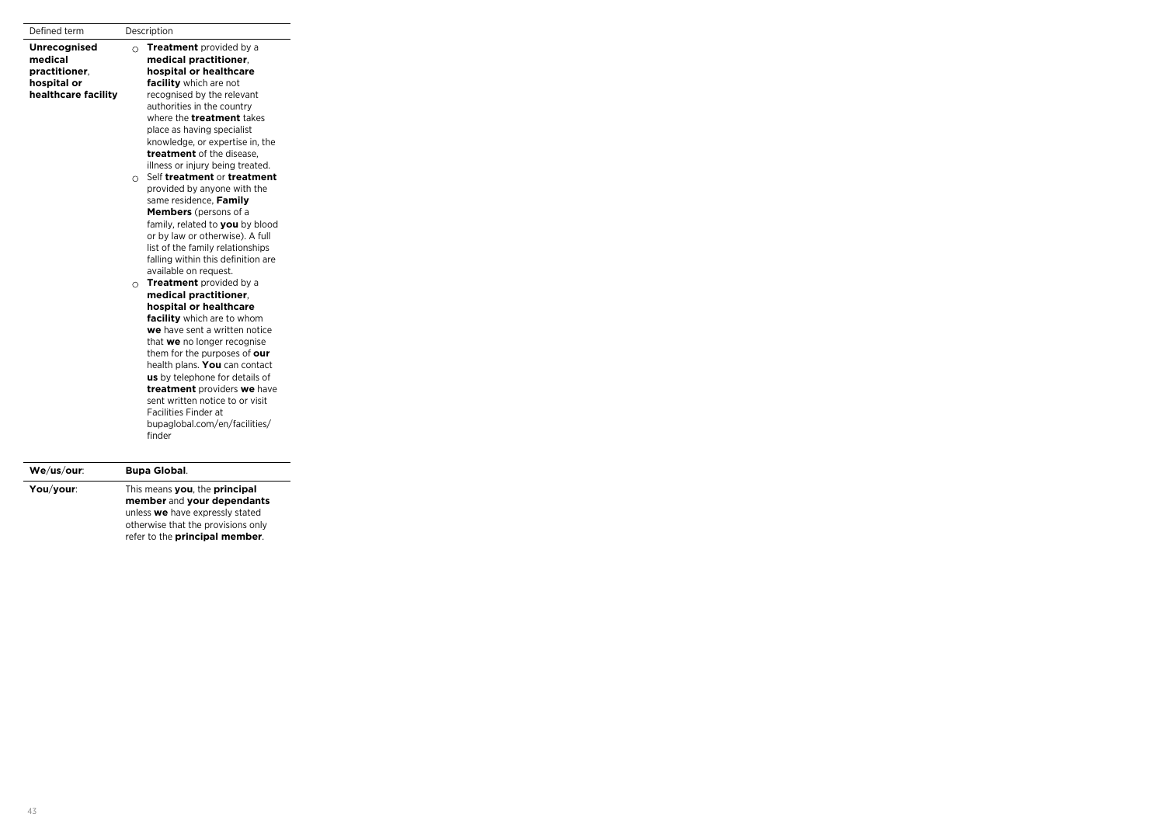| Defined term                                                                          |          | Description                                                                                                                                                                                                                                                                                                                                                                                                             |
|---------------------------------------------------------------------------------------|----------|-------------------------------------------------------------------------------------------------------------------------------------------------------------------------------------------------------------------------------------------------------------------------------------------------------------------------------------------------------------------------------------------------------------------------|
| <b>Unrecognised</b><br>medical<br>practitioner.<br>hospital or<br>healthcare facility | $\Omega$ | <b>Treatment</b> provided by a<br>medical practitioner.<br>hospital or healthcare<br>facility which are not<br>recognised by the relevant<br>authorities in the country<br>where the <b>treatment</b> takes<br>place as having specialist<br>knowledge, or expertise in, the<br>treatment of the disease.                                                                                                               |
|                                                                                       | O        | illness or injury being treated.<br>Self treatment or treatment<br>provided by anyone with the<br>same residence, Family<br><b>Members</b> (persons of a<br>family, related to you by blood<br>or by law or otherwise). A full<br>list of the family relationships<br>falling within this definition are<br>available on request.                                                                                       |
|                                                                                       | $\circ$  | <b>Treatment</b> provided by a<br>medical practitioner.<br>hospital or healthcare<br>facility which are to whom<br>we have sent a written notice<br>that we no longer recognise<br>them for the purposes of our<br>health plans. You can contact<br>us by telephone for details of<br>treatment providers we have<br>sent written notice to or visit<br>Facilities Finder at<br>bupaglobal.com/en/facilities/<br>finder |
| We/us/our:                                                                            |          | <b>Bupa Global.</b>                                                                                                                                                                                                                                                                                                                                                                                                     |

| VVC/US/VUI. | buva vivvai.                                                                                   |
|-------------|------------------------------------------------------------------------------------------------|
| You/your:   | This means you, the principal<br>member and your dependants<br>unless we have expressly stated |
|             | otherwise that the provisions only<br>refer to the principal member.                           |